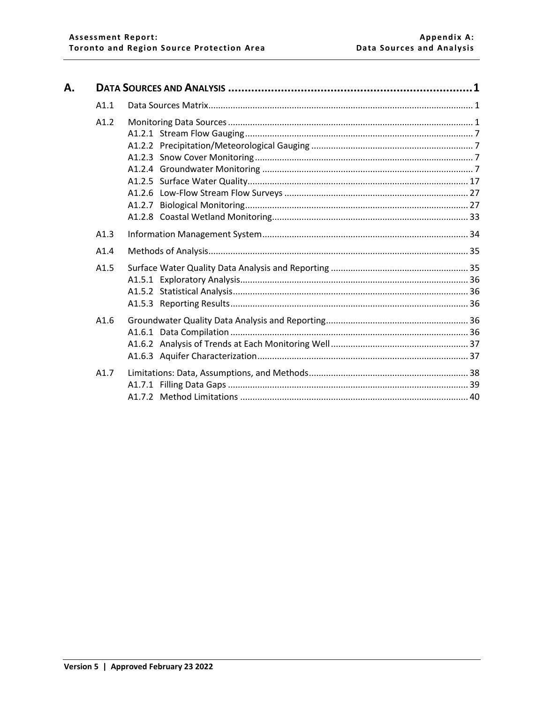| Α. |      |  |  |  |  |  |  |  |  |  |
|----|------|--|--|--|--|--|--|--|--|--|
|    | A1.1 |  |  |  |  |  |  |  |  |  |
|    | A1.2 |  |  |  |  |  |  |  |  |  |
|    | A1.3 |  |  |  |  |  |  |  |  |  |
|    | A1.4 |  |  |  |  |  |  |  |  |  |
|    | A1.5 |  |  |  |  |  |  |  |  |  |
|    | A1.6 |  |  |  |  |  |  |  |  |  |
|    | A1.7 |  |  |  |  |  |  |  |  |  |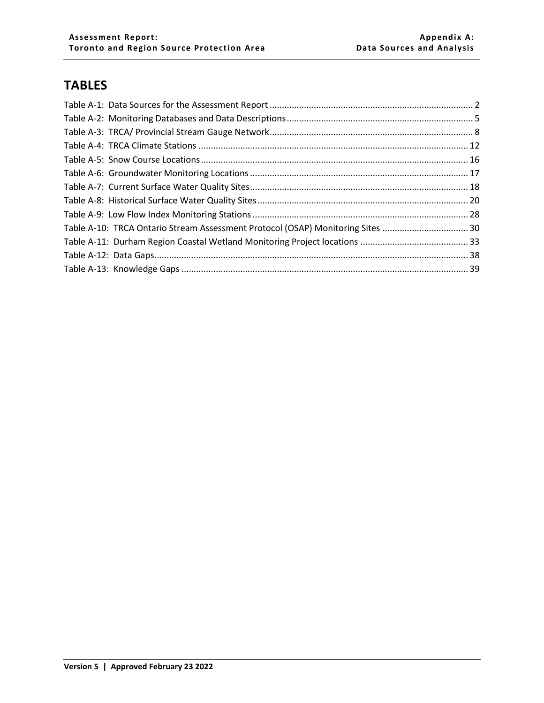# **TABLES**

| Table A-10: TRCA Ontario Stream Assessment Protocol (OSAP) Monitoring Sites  30 |  |
|---------------------------------------------------------------------------------|--|
|                                                                                 |  |
|                                                                                 |  |
|                                                                                 |  |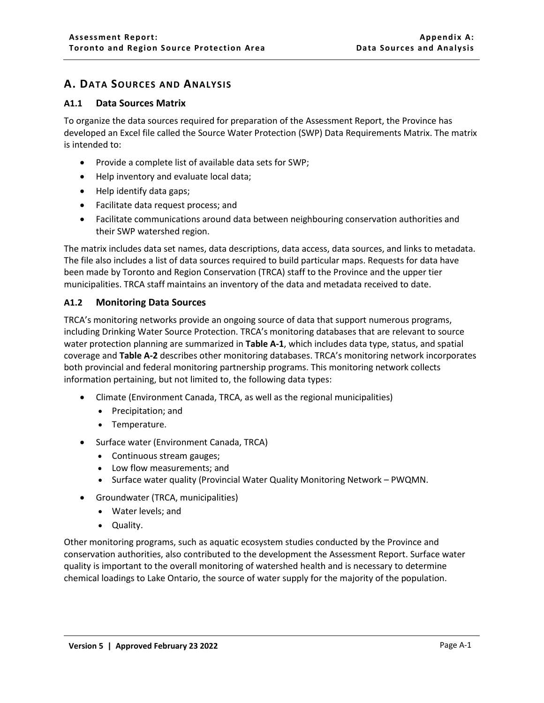# <span id="page-2-0"></span>**A. DATA SOURCES AND ANALYSIS**

#### <span id="page-2-1"></span>**A1.1 Data Sources Matrix**

To organize the data sources required for preparation of the Assessment Report, the Province has developed an Excel file called the Source Water Protection (SWP) Data Requirements Matrix. The matrix is intended to:

- Provide a complete list of available data sets for SWP;
- Help inventory and evaluate local data;
- Help identify data gaps;
- Facilitate data request process; and
- Facilitate communications around data between neighbouring conservation authorities and their SWP watershed region.

The matrix includes data set names, data descriptions, data access, data sources, and links to metadata. The file also includes a list of data sources required to build particular maps. Requests for data have been made by Toronto and Region Conservation (TRCA) staff to the Province and the upper tier municipalities. TRCA staff maintains an inventory of the data and metadata received to date.

#### <span id="page-2-2"></span>**A1.2 Monitoring Data Sources**

TRCA's monitoring networks provide an ongoing source of data that support numerous programs, including Drinking Water Source Protection. TRCA's monitoring databases that are relevant to source water protection planning are summarized in **Table A-1**, which includes data type, status, and spatial coverage and **[Table A-2](#page-6-0)** describes other monitoring databases. TRCA's monitoring network incorporates both provincial and federal monitoring partnership programs. This monitoring network collects information pertaining, but not limited to, the following data types:

- Climate (Environment Canada, TRCA, as well as the regional municipalities)
	- Precipitation; and
	- Temperature.
- Surface water (Environment Canada, TRCA)
	- Continuous stream gauges;
	- Low flow measurements; and
	- Surface water quality (Provincial Water Quality Monitoring Network PWQMN.
- Groundwater (TRCA, municipalities)
	- Water levels; and
	- Quality.

Other monitoring programs, such as aquatic ecosystem studies conducted by the Province and conservation authorities, also contributed to the development the Assessment Report. Surface water quality is important to the overall monitoring of watershed health and is necessary to determine chemical loadings to Lake Ontario, the source of water supply for the majority of the population.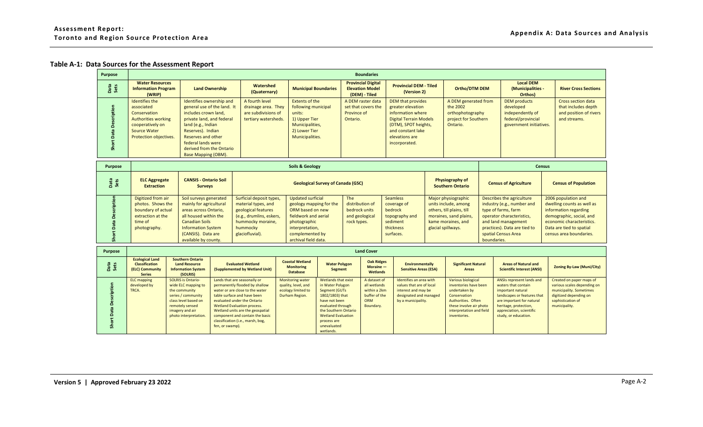# **Table A-1: Data Sources for the Assessment Report**

| <b>Purpose</b> |                                                                                                                                          | <b>Boundaries</b>                                                                                                                                                                                                                                      |                                                                                      |                                                                                                                         |                                                                      |                                                                                                                                                                              |                                                                                          |                                                                                                       |                                                                                     |  |  |
|----------------|------------------------------------------------------------------------------------------------------------------------------------------|--------------------------------------------------------------------------------------------------------------------------------------------------------------------------------------------------------------------------------------------------------|--------------------------------------------------------------------------------------|-------------------------------------------------------------------------------------------------------------------------|----------------------------------------------------------------------|------------------------------------------------------------------------------------------------------------------------------------------------------------------------------|------------------------------------------------------------------------------------------|-------------------------------------------------------------------------------------------------------|-------------------------------------------------------------------------------------|--|--|
| Data<br>Sets   | <b>Water Resources</b><br><b>Information Program</b><br>(WRIP)                                                                           | <b>Land Ownership</b>                                                                                                                                                                                                                                  | Watershed<br>(Quaternary)                                                            | <b>Municipal Boundaries</b>                                                                                             | <b>Provincial Digital</b><br><b>Elevation Model</b><br>(DEM) - Tiled | <b>Provincial DEM - Tiled</b><br>(Version 2)                                                                                                                                 | <b>Ortho/DTM DEM</b>                                                                     | <b>Local DEM</b><br>(Municipalities -<br>Orthos)                                                      | <b>River Cross Sections</b>                                                         |  |  |
| 둢              | Identifies the<br>associated<br>Conservation<br><b>Authorities working</b><br>cooperatively on<br>Source Water<br>Protection objectives. | Identifies ownership and<br>general use of the land. It<br>includes crown land,<br>private land, and federal<br>land (e.g., Indian<br>Reserves). Indian<br>Reserves and other<br>federal lands were<br>derived from the Ontario<br>Base Mapping (OBM). | A fourth level<br>drainage area. They<br>are subdivisions of<br>tertiary watersheds. | Extents of the<br>following municipal<br>units:<br>1) Upper Tier<br>Municipalities,<br>2) Lower Tier<br>Municipalities. | A DEM raster data<br>set that covers the<br>Province of<br>Ontario.  | DEM that provides<br>greater elevation<br>information where<br><b>Digital Terrain Models</b><br>(DTM), SPOT heights,<br>and constant lake<br>elevations are<br>incorporated. | A DEM generated from<br>the 2002<br>orthophotography<br>project for Southern<br>Ontario. | <b>DEM</b> products<br>developed<br>independently of<br>federal/provincial<br>government initiatives. | Cross section data<br>that includes depth<br>and position of rivers<br>and streams. |  |  |

<span id="page-3-0"></span>

| Purpose      |                                                                                                               |                                                                                                                                                                                                         | <b>Census</b>                                                                                                                                          |                                                                                                                                                                        |                                                                          |                                                                                                   |                                                                                                                                                |                                                                                                                                                                                                          |                                                                                                                                                                                            |
|--------------|---------------------------------------------------------------------------------------------------------------|---------------------------------------------------------------------------------------------------------------------------------------------------------------------------------------------------------|--------------------------------------------------------------------------------------------------------------------------------------------------------|------------------------------------------------------------------------------------------------------------------------------------------------------------------------|--------------------------------------------------------------------------|---------------------------------------------------------------------------------------------------|------------------------------------------------------------------------------------------------------------------------------------------------|----------------------------------------------------------------------------------------------------------------------------------------------------------------------------------------------------------|--------------------------------------------------------------------------------------------------------------------------------------------------------------------------------------------|
| Data<br>Sets | <b>ELC Aggregate</b><br><b>Extraction</b>                                                                     | <b>CANSIS - Ontario Soil</b><br><b>Surveys</b>                                                                                                                                                          | <b>Geological Survey of Canada (GSC)</b>                                                                                                               |                                                                                                                                                                        |                                                                          | <b>Physiography of</b><br><b>Southern Ontario</b>                                                 |                                                                                                                                                | <b>Census of Agriculture</b>                                                                                                                                                                             | <b>Census of Population</b>                                                                                                                                                                |
|              | Digitized from air<br>photos. Shows the<br>boundary of actual<br>extraction at the<br>time of<br>photography. | Soil surveys generated<br>mainly for agricultural<br>areas across Ontario,<br>all housed within the<br><b>Canadian Soils</b><br><b>Information System</b><br>(CANSIS). Data are<br>available by county. | Surficial deposit types,<br>material types, and<br>geological features<br>(e.g., drumlins, eskers,<br>hummocky moraine,<br>hummocky<br>glaciofluvial). | Updated surficial<br>geology mapping for the<br>ORM based on new<br>fieldwork and aerial<br>photographic<br>interpretation,<br>complemented by<br>archival field data. | The<br>distribution of<br>bedrock units<br>and geological<br>rock types. | <b>Seamless</b><br>coverage of<br>bedrock<br>topography and<br>sediment<br>thickness<br>surfaces. | Major physiographic<br>units include, among<br>others, till plains, till<br>moraines, sand plains,<br>kame moraines, and<br>glacial spillways. | Describes the agriculture<br>industry (e.g., number and<br>type of farms, farm<br>operator characteristics,<br>and land management<br>practices). Data are tied to<br>spatial Census Area<br>boundaries. | 2006 population and<br>dwelling counts as well as<br>information regarding<br>demographic, social, and<br>economic characteristics.<br>Data are tied to spatial<br>census area boundaries. |

| Purpose      |                                                                                     | <b>Land Cover</b>                                                                                                                                                              |                                                                                                                                                                                                                                                                                                                               |                                                                                        |                                                                                                                                                                                                                   |                                                                                   |                                                                                                                            |                                                                                                                                                                           |                                                                                                                                                                                                                |                                                                                                                                                    |  |  |
|--------------|-------------------------------------------------------------------------------------|--------------------------------------------------------------------------------------------------------------------------------------------------------------------------------|-------------------------------------------------------------------------------------------------------------------------------------------------------------------------------------------------------------------------------------------------------------------------------------------------------------------------------|----------------------------------------------------------------------------------------|-------------------------------------------------------------------------------------------------------------------------------------------------------------------------------------------------------------------|-----------------------------------------------------------------------------------|----------------------------------------------------------------------------------------------------------------------------|---------------------------------------------------------------------------------------------------------------------------------------------------------------------------|----------------------------------------------------------------------------------------------------------------------------------------------------------------------------------------------------------------|----------------------------------------------------------------------------------------------------------------------------------------------------|--|--|
| Data<br>Sets | <b>Ecological Land</b><br><b>Classification</b><br>(ELC) Community<br><b>Series</b> | <b>Southern Ontario</b><br><b>Land Resource</b><br><b>Information System</b><br>(SOLRIS)                                                                                       | <b>Evaluated Wetland</b><br>(Supplemented by Wetland Unit)                                                                                                                                                                                                                                                                    | <b>Coastal Wetland</b><br><b>Monitoring</b><br><b>Database</b>                         | <b>Water Polygon</b><br>Segment                                                                                                                                                                                   | <b>Oak Ridges</b><br>$Moraine -$<br>Wetlands                                      | Environmentally<br><b>Sensitive Areas (ESA)</b>                                                                            | <b>Significant Natural</b><br><b>Areas</b>                                                                                                                                | <b>Areas of Natural and</b><br><b>Scientific Interest (ANSI)</b>                                                                                                                                               | <b>Zoning By-Law (Muni/City)</b>                                                                                                                   |  |  |
| के           | <b>ELC</b> mapping<br>developed by<br>TRCA.                                         | <b>SOLRIS is Ontario-</b><br>wide ELC mapping to<br>the community<br>series / community<br>class level based on<br>remotely sensed<br>imagery and air<br>photo interpretation. | Lands that are seasonally or<br>permanently flooded by shallow<br>water or are close to the water<br>table surface and have been<br>evaluated under the Ontario<br>Wetland Evaluation process.<br>Wetland units are the geospatial<br>component and contain the basic<br>classification (i.e., marsh, bog,<br>fen, or swamp). | <b>Monitoring water</b><br>quality, level, and<br>ecology limited to<br>Durham Region. | Wetlands that exist<br>in Water Polygon<br>Segment (GUTs<br>1802/1803) that<br>have not been<br>evaluated through<br>the Southern Ontario<br><b>Wetland Evaluation</b><br>process are<br>unevaluated<br>wetlands. | A dataset of<br>all wetlands<br>within a 2km<br>buffer of the<br>ORM<br>Boundary. | Identifies an area with<br>values that are of local<br>interest and may be<br>designated and managed<br>by a municipality. | Various biological<br>inventories have been<br>undertaken by<br>Conservation<br>Authorities, Often<br>these involve air photo<br>interpretation and field<br>inventories. | ANSIs represent lands and<br>waters that contain<br>important natural<br>landscapes or features that<br>are important for natural<br>heritage, protection,<br>appreciation, scientific<br>study, or education. | Created on paper maps of<br>various scales depending on<br>municipality. Sometimes<br>digitized depending on<br>sophistication of<br>municipality. |  |  |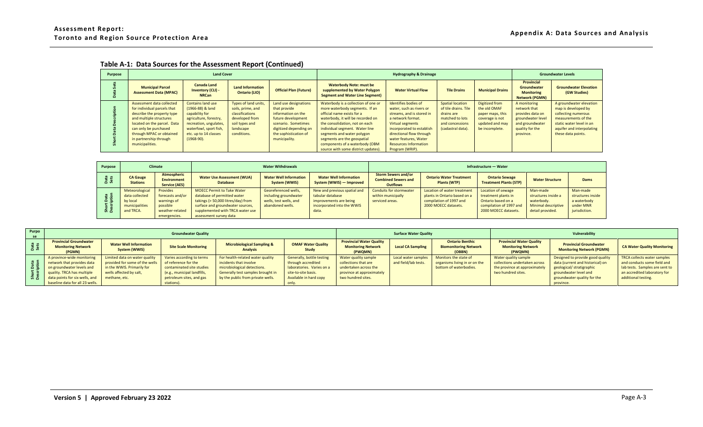| Purpose |                                                                                                                                                                                                                                                    | <b>Land Cover</b>                                                                                                                                                               |                                                                                                                              |                                                                                                                                                                              |                                                                                                                                                                                                                                                                                                                                                    | <b>Hydrography &amp; Drainage</b>                                                                                                                                                                                                                           |                                                                                                                          |                                                                                                            |                                                                                                                          |                                                                                                                                                                             |
|---------|----------------------------------------------------------------------------------------------------------------------------------------------------------------------------------------------------------------------------------------------------|---------------------------------------------------------------------------------------------------------------------------------------------------------------------------------|------------------------------------------------------------------------------------------------------------------------------|------------------------------------------------------------------------------------------------------------------------------------------------------------------------------|----------------------------------------------------------------------------------------------------------------------------------------------------------------------------------------------------------------------------------------------------------------------------------------------------------------------------------------------------|-------------------------------------------------------------------------------------------------------------------------------------------------------------------------------------------------------------------------------------------------------------|--------------------------------------------------------------------------------------------------------------------------|------------------------------------------------------------------------------------------------------------|--------------------------------------------------------------------------------------------------------------------------|-----------------------------------------------------------------------------------------------------------------------------------------------------------------------------|
|         | <b>Municipal Parcel</b><br><b>Assessment Data (MPAC)</b>                                                                                                                                                                                           | <b>Canada Land</b><br><b>Inventory (CLI) -</b><br><b>NRCan</b>                                                                                                                  | <b>Land Information</b><br>Ontario (LIO)                                                                                     | <b>Official Plan (Future)</b>                                                                                                                                                | <b>Waterbody Note: must be</b><br>supplemented by Water Polygon<br><b>Segment and Water Line Segment)</b>                                                                                                                                                                                                                                          | <b>Water Virtual Flow</b>                                                                                                                                                                                                                                   | <b>Tile Drains</b>                                                                                                       | <b>Municipal Drains</b>                                                                                    | <b>Provincial</b><br>Groundwater<br><b>Monitoring</b><br><b>Network (PGMN)</b>                                           | <b>Groundwater Elevation</b><br>(GW Studies)                                                                                                                                |
|         | Assessment data collected<br>for individual parcels that<br>describe the property type<br>and multiple structures<br>located on the parcel. Data<br>can only be purchased<br>through MPAC or obtained<br>in partnership through<br>municipalities. | Contains land use<br>(1966-88) & land<br>capability for<br>agriculture, forestry,<br>recreation, ungulates,<br>waterfowl, sport fish,<br>etc. up to 14 classes<br>$(1968-90)$ . | Types of land units,<br>soils, prime, and<br>classifications<br>developed from<br>soil types and<br>landscape<br>conditions. | Land use designations<br>that provide<br>information on the<br>future development<br>scenario. Sometimes<br>digitized depending on<br>the sophistication of<br>municipality. | Waterbody is a collection of one or<br>more waterbody segments. If an<br>official name exists for a<br>waterbody, it will be recorded on<br>the consolidation, not on each<br>individual segment. Water line<br>segments and water polygon<br>segments are the geospatial<br>components of a waterbody (OBM<br>source with some district updates). | Identifies bodies of<br>water, such as rivers or<br>streams, and is stored in<br>a network format.<br>Virtual segments<br>incorporated to establish<br>directional flow through<br>water features, Water<br><b>Resources Information</b><br>Program (WRIP). | <b>Spatial location</b><br>of tile drains. Tile<br>drains are<br>matched to lots<br>and concessions<br>(cadastral data). | Digitized from<br>the old OMAF<br>paper maps, this<br>coverage is not<br>updated and may<br>be incomplete. | A monitoring<br>network that<br>provides data on<br>groundwater level<br>and groundwater<br>quality for the<br>province. | A groundwater elevation<br>map is developed by<br>collecting numerous<br>measurements of the<br>static water level in an<br>aquifer and interpolating<br>these data points. |

# **Table A-1: Data Sources for the Assessment Report (Continued)**

| Purpose             | <b>Climate</b>                                                              |                                                                                            |                                                                                                                                                                                                          | <b>Water Withdrawals</b>                                                                    |                                                                                                                   | Infrastructure - Water                                                      |                                                                                                                |                                                                                                                    |                                                                                          |                                                                            |  |
|---------------------|-----------------------------------------------------------------------------|--------------------------------------------------------------------------------------------|----------------------------------------------------------------------------------------------------------------------------------------------------------------------------------------------------------|---------------------------------------------------------------------------------------------|-------------------------------------------------------------------------------------------------------------------|-----------------------------------------------------------------------------|----------------------------------------------------------------------------------------------------------------|--------------------------------------------------------------------------------------------------------------------|------------------------------------------------------------------------------------------|----------------------------------------------------------------------------|--|
| 끊 끊<br>ő ő          | <b>CA Gauge</b><br><b>Stations</b>                                          | <b>Atmospheric</b><br><b>Environment</b><br><b>Service (AES)</b>                           | <b>Water Use Assessment (WUA)</b><br><b>Database</b>                                                                                                                                                     | <b>Water Well Information</b><br>System (WWIS)                                              | <b>Water Well Information</b><br>System (WWIS) - Improved                                                         | <b>Storm Sewers and/or</b><br><b>Combined Sewers and</b><br><b>Outflows</b> | <b>Ontario Water Treatment</b><br><b>Plants (WTP)</b>                                                          | <b>Ontario Sewage</b><br><b>Treatment Plants (STP)</b>                                                             | <b>Water Structure</b>                                                                   | Dams                                                                       |  |
| Data<br>ption<br>ωõ | Meteorological<br>data collected<br>by local<br>municipalities<br>and TRCA. | Provides<br>forecasts and/or<br>warnings of<br>possible<br>weather-related<br>emergencies. | <b>MOECC Permit to Take Water</b><br>database of permitted water<br>takings (> 50,000 litres/day) from<br>surface and groundwater sources,<br>supplemented with TRCA water use<br>assessment survey data | Georeferenced wells,<br>including groundwater<br>wells, test wells, and<br>abandoned wells. | New and previous spatial and<br>tabular database<br>improvements are being<br>incorporated into the WWIS<br>data. | Conduits for stormwater<br>within municipally<br>serviced areas.            | Location of water treatment<br>plants in Ontario based on a<br>compilation of 1997 and<br>2000 MOECC datasets. | Location of sewage<br>treatment plants in<br>Ontario based on a<br>compilation of 1997 and<br>2000 MOECC datasets. | Man-made<br>structures inside a<br>waterbody.<br>Minimal descriptive<br>detail provided. | Man-made<br>structures inside<br>a waterbody<br>under MNR<br>jurisdiction. |  |

| Purpo            |                                                                                                                                                       | <b>Surface Water Quality</b>                                                                                                              |                                                                                                                                           |                                                                                                                                                                     | Vulnerability                                                                                                                 |                                                                                                                          |                                             |                                                                                  |                                                                                                              |                                                                                                                                                          |                                                                                                                                                            |
|------------------|-------------------------------------------------------------------------------------------------------------------------------------------------------|-------------------------------------------------------------------------------------------------------------------------------------------|-------------------------------------------------------------------------------------------------------------------------------------------|---------------------------------------------------------------------------------------------------------------------------------------------------------------------|-------------------------------------------------------------------------------------------------------------------------------|--------------------------------------------------------------------------------------------------------------------------|---------------------------------------------|----------------------------------------------------------------------------------|--------------------------------------------------------------------------------------------------------------|----------------------------------------------------------------------------------------------------------------------------------------------------------|------------------------------------------------------------------------------------------------------------------------------------------------------------|
| Data<br>Sets     | <b>Provincial Groundwater</b><br><b>Monitoring Network</b><br>(PGMN)                                                                                  | <b>Water Well Information</b><br>System (WWIS)                                                                                            | <b>Site Scale Monitoring</b>                                                                                                              | <b>Microbiological Sampling &amp;</b><br><b>Analysis</b>                                                                                                            | <b>OMAF Water Quality</b><br>Study                                                                                            | <b>Provincial Water Quality</b><br><b>Monitoring Network</b><br>(PWQMN)                                                  | <b>Local CA Sampling</b>                    | <b>Ontario Benthic</b><br><b>Biomonitoring Network</b><br>(OBBN)                 | <b>Provincial Water Quality</b><br><b>Monitoring Network</b><br>(PWQMN)                                      | <b>Provincial Groundwater</b><br><b>Monitoring Network (PGMN)</b>                                                                                        | <b>CA Water Quality Monitoring</b>                                                                                                                         |
| ន ឌ<br>õБ<br>운 일 | A province-wide monitoring<br>network that provides data<br>on groundwater levels and<br>quality. TRCA has multiple<br>data points for six wells, and | Limited data on water quality<br>provided for some of the wells<br>in the WWIS. Primarily for<br>wells affected by salt,<br>methane, etc. | Varies according to terms<br>of reference for the<br>contaminated site studies<br>(e.g., municipal landfills,<br>petroleum sites, and gas | For health-related water quality<br>incidents that involve<br>microbiological detections.<br>Generally test samples brought in<br>by the public from private wells. | Generally, bottle testing<br>through accredited<br>laboratories. Varies on a<br>site-to-site basis.<br>Available in hard copy | Water quality sample<br>collections that are<br>undertaken across the<br>province at approximately<br>two hundred sites. | Local water samples<br>and field/lab tests. | Monitors the state of<br>organisms living in or on the<br>bottom of waterbodies. | Water quality sample<br>collections undertaken across<br>the province at approximately<br>two hundred sites. | Designed to provide good quality<br>data (current and historical) on<br>geological/stratigraphic<br>groundwater level and<br>groundwater quality for the | <b>TRCA collects water samples</b><br>and conducts some field and<br>lab tests. Samples are sent to<br>an accredited laboratory for<br>additional testing. |
|                  | baseline data for all 23 wells.                                                                                                                       |                                                                                                                                           | stations).                                                                                                                                |                                                                                                                                                                     | only                                                                                                                          |                                                                                                                          |                                             |                                                                                  |                                                                                                              | province.                                                                                                                                                |                                                                                                                                                            |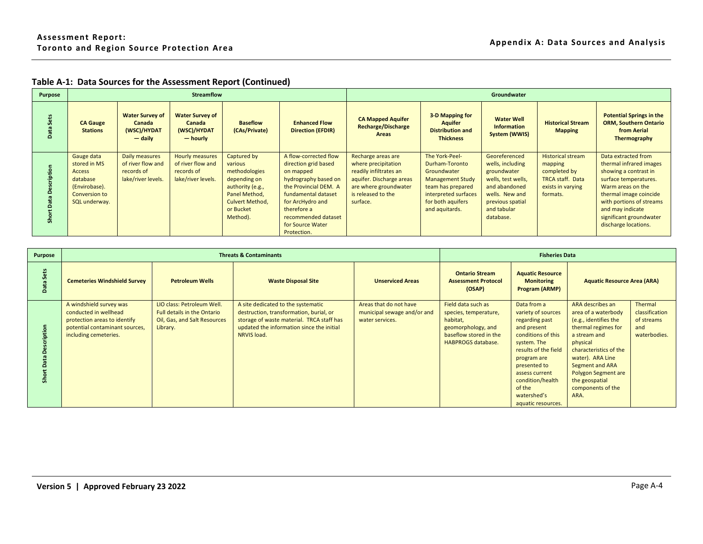| Purpose      |                                                                                                            |                                                                         | <b>Streamflow</b>                                                               |                                                                                                                                                 |                                                                                                                                                                                                                                 |                                                                                                                                                            | Groundwater                                                                                                                                                    |                                                                                                                                                           |                                                                                                                 |                                                                                                                                                                                                                                                    |  |
|--------------|------------------------------------------------------------------------------------------------------------|-------------------------------------------------------------------------|---------------------------------------------------------------------------------|-------------------------------------------------------------------------------------------------------------------------------------------------|---------------------------------------------------------------------------------------------------------------------------------------------------------------------------------------------------------------------------------|------------------------------------------------------------------------------------------------------------------------------------------------------------|----------------------------------------------------------------------------------------------------------------------------------------------------------------|-----------------------------------------------------------------------------------------------------------------------------------------------------------|-----------------------------------------------------------------------------------------------------------------|----------------------------------------------------------------------------------------------------------------------------------------------------------------------------------------------------------------------------------------------------|--|
| Ø.<br>$\sim$ | <b>CA Gauge</b><br><b>Stations</b>                                                                         | <b>Water Survey of</b><br><b>Canada</b><br>(WSC)/HYDAT<br>$-$ daily     | <b>Water Survey of</b><br>Canada<br>(WSC)/HYDAT<br>— hourly                     | <b>Baseflow</b><br>(CAs/Private)                                                                                                                | <b>Enhanced Flow</b><br><b>Direction (EFDIR)</b>                                                                                                                                                                                | <b>CA Mapped Aquifer</b><br><b>Recharge/Discharge</b><br>Areas                                                                                             | 3-D Mapping for<br><b>Aquifer</b><br><b>Distribution and</b><br><b>Thickness</b>                                                                               | <b>Water Well</b><br><b>Information</b><br>System (WWIS)                                                                                                  | <b>Historical Stream</b><br><b>Mapping</b>                                                                      | <b>Potential Springs in the</b><br><b>ORM, Southern Ontario</b><br>from Aerial<br>Thermography                                                                                                                                                     |  |
| 음<br>ᇰ       | Gauge data<br>stored in MS<br><b>Access</b><br>database<br>(Envirobase).<br>Conversion to<br>SQL underway. | Daily measures<br>of river flow and<br>records of<br>lake/river levels. | <b>Hourly measures</b><br>of river flow and<br>records of<br>lake/river levels. | Captured by<br>various<br>methodologies<br>depending on<br>authority (e.g.,<br>Panel Method.<br><b>Culvert Method.</b><br>or Bucket<br>Method). | A flow-corrected flow<br>direction grid based<br>on mapped<br>hydrography based on<br>the Provincial DEM. A<br>fundamental dataset<br>for ArcHydro and<br>therefore a<br>recommended dataset<br>for Source Water<br>Protection. | Recharge areas are<br>where precipitation<br>readily infiltrates an<br>aquifer. Discharge areas<br>are where groundwater<br>is released to the<br>surface. | The York-Peel-<br>Durham-Toronto<br>Groundwater<br><b>Management Study</b><br>team has prepared<br>interpreted surfaces<br>for both aquifers<br>and aquitards. | Georeferenced<br>wells, including<br>groundwater<br>wells, test wells,<br>and abandoned<br>wells. New and<br>previous spatial<br>and tabular<br>database. | <b>Historical stream</b><br>mapping<br>completed by<br><b>TRCA staff. Data</b><br>exists in varying<br>formats. | Data extracted from<br>thermal infrared images<br>showing a contrast in<br>surface temperatures.<br>Warm areas on the<br>thermal image coincide<br>with portions of streams<br>and may indicate<br>significant groundwater<br>discharge locations. |  |

| Purpose |                                                                                                                                             | <b>Fisheries Data</b>                                                                                 |                                                                                                                                                                                        |                                                                          |                                                                                                                                      |                                                                                                                                                                                                                                                     |                                                                                                                                                                                                                                                            |                                                                |
|---------|---------------------------------------------------------------------------------------------------------------------------------------------|-------------------------------------------------------------------------------------------------------|----------------------------------------------------------------------------------------------------------------------------------------------------------------------------------------|--------------------------------------------------------------------------|--------------------------------------------------------------------------------------------------------------------------------------|-----------------------------------------------------------------------------------------------------------------------------------------------------------------------------------------------------------------------------------------------------|------------------------------------------------------------------------------------------------------------------------------------------------------------------------------------------------------------------------------------------------------------|----------------------------------------------------------------|
|         | <b>Cemeteries Windshield Survey</b>                                                                                                         | <b>Petroleum Wells</b>                                                                                | <b>Waste Disposal Site</b>                                                                                                                                                             | <b>Unserviced Areas</b>                                                  | <b>Ontario Stream</b><br><b>Assessment Protocol</b><br>(OSAP)                                                                        | <b>Aquatic Resource</b><br><b>Monitoring</b><br><b>Program (ARMP)</b>                                                                                                                                                                               | <b>Aquatic Resource Area (ARA)</b>                                                                                                                                                                                                                         |                                                                |
|         | A windshield survey was<br>conducted in wellhead<br>protection areas to identify<br>potential contaminant sources,<br>including cemeteries. | LIO class: Petroleum Well.<br>Full details in the Ontario<br>Oil, Gas, and Salt Resources<br>Library. | A site dedicated to the systematic<br>destruction, transformation, burial, or<br>storage of waste material. TRCA staff has<br>updated the information since the initial<br>NRVIS load. | Areas that do not have<br>municipal sewage and/or and<br>water services. | Field data such as<br>species, temperature,<br>habitat,<br>geomorphology, and<br>baseflow stored in the<br><b>HABPROGS database.</b> | Data from a<br>variety of sources<br>regarding past<br>and present<br>conditions of this<br>system. The<br>results of the field<br>program are<br>presented to<br>assess current<br>condition/health<br>of the<br>watershed's<br>aquatic resources. | ARA describes an<br>area of a waterbody<br>(e.g., identifies the<br>thermal regimes for<br>a stream and<br>physical<br>characteristics of the<br>water). ARA Line<br>Segment and ARA<br>Polygon Segment are<br>the geospatial<br>components of the<br>ARA. | Thermal<br>classification<br>of streams<br>and<br>waterbodies. |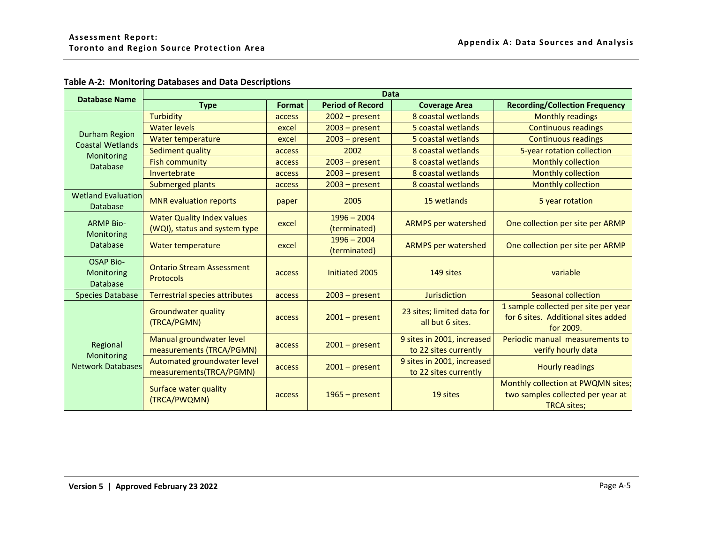|  |  | Table A-2: Monitoring Databases and Data Descriptions |  |  |
|--|--|-------------------------------------------------------|--|--|
|--|--|-------------------------------------------------------|--|--|

<span id="page-6-0"></span>

| <b>Database Name</b>                              | <b>Data</b>                                                        |        |                               |                                                     |                                                                                               |  |  |  |  |  |
|---------------------------------------------------|--------------------------------------------------------------------|--------|-------------------------------|-----------------------------------------------------|-----------------------------------------------------------------------------------------------|--|--|--|--|--|
|                                                   | <b>Type</b>                                                        | Format | <b>Period of Record</b>       | <b>Coverage Area</b>                                | <b>Recording/Collection Frequency</b>                                                         |  |  |  |  |  |
|                                                   | <b>Turbidity</b>                                                   | access | $2002$ – present              | 8 coastal wetlands                                  | <b>Monthly readings</b>                                                                       |  |  |  |  |  |
|                                                   | <b>Water levels</b>                                                | excel  | $2003$ – present              | 5 coastal wetlands                                  | <b>Continuous readings</b>                                                                    |  |  |  |  |  |
| <b>Durham Region</b><br><b>Coastal Wetlands</b>   | <b>Water temperature</b>                                           | excel  | $2003$ – present              | 5 coastal wetlands                                  | <b>Continuous readings</b>                                                                    |  |  |  |  |  |
| Monitoring                                        | Sediment quality                                                   | access | 2002                          | 8 coastal wetlands                                  | 5-year rotation collection                                                                    |  |  |  |  |  |
| <b>Database</b>                                   | <b>Fish community</b>                                              | access | $2003$ – present              | 8 coastal wetlands                                  | <b>Monthly collection</b>                                                                     |  |  |  |  |  |
|                                                   | Invertebrate                                                       | access | $2003$ – present              | 8 coastal wetlands                                  | <b>Monthly collection</b>                                                                     |  |  |  |  |  |
|                                                   | <b>Submerged plants</b>                                            | access | $2003$ – present              | 8 coastal wetlands                                  | <b>Monthly collection</b>                                                                     |  |  |  |  |  |
| <b>Wetland Evaluation</b><br><b>Database</b>      | <b>MNR</b> evaluation reports                                      | paper  | 2005                          | 15 wetlands                                         | 5 year rotation                                                                               |  |  |  |  |  |
| <b>ARMP Bio-</b>                                  | <b>Water Quality Index values</b><br>(WQI), status and system type | excel  | $1996 - 2004$<br>(terminated) | <b>ARMPS per watershed</b>                          | One collection per site per ARMP                                                              |  |  |  |  |  |
| Monitoring<br><b>Database</b>                     | Water temperature                                                  | excel  | $1996 - 2004$<br>(terminated) | <b>ARMPS per watershed</b>                          | One collection per site per ARMP                                                              |  |  |  |  |  |
| <b>OSAP Bio-</b><br>Monitoring<br><b>Database</b> | <b>Ontario Stream Assessment</b><br><b>Protocols</b>               | access | Initiated 2005                | 149 sites                                           | variable                                                                                      |  |  |  |  |  |
| <b>Species Database</b>                           | <b>Terrestrial species attributes</b>                              | access | $2003$ – present              | <b>Jurisdiction</b>                                 | <b>Seasonal collection</b>                                                                    |  |  |  |  |  |
|                                                   | <b>Groundwater quality</b><br>(TRCA/PGMN)                          | access | $2001$ – present              | 23 sites; limited data for<br>all but 6 sites.      | 1 sample collected per site per year<br>for 6 sites. Additional sites added<br>for 2009.      |  |  |  |  |  |
| Regional                                          | Manual groundwater level<br>measurements (TRCA/PGMN)               | access | $2001$ – present              | 9 sites in 2001, increased<br>to 22 sites currently | Periodic manual measurements to<br>verify hourly data                                         |  |  |  |  |  |
| Monitoring<br><b>Network Databases</b>            | Automated groundwater level<br>measurements(TRCA/PGMN)             | access | $2001$ – present              | 9 sites in 2001, increased<br>to 22 sites currently | <b>Hourly readings</b>                                                                        |  |  |  |  |  |
|                                                   | Surface water quality<br>(TRCA/PWQMN)                              | access | $1965 - present$              | 19 sites                                            | Monthly collection at PWQMN sites;<br>two samples collected per year at<br><b>TRCA sites:</b> |  |  |  |  |  |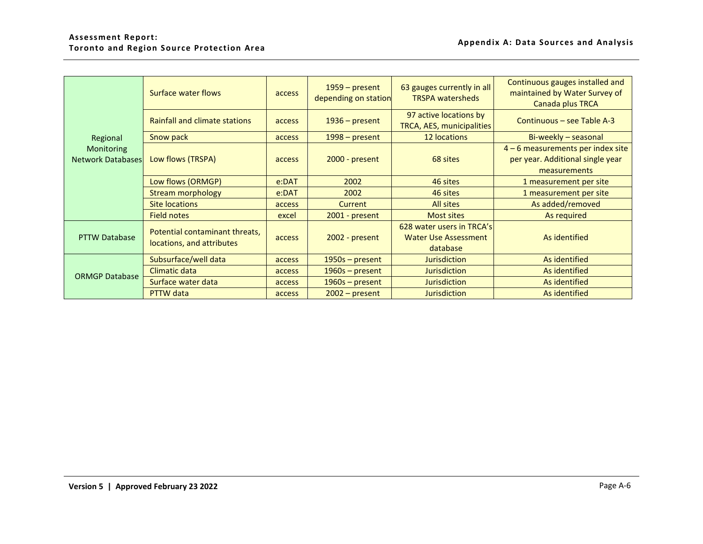|                                        | <b>Surface water flows</b>                                  | access | $1959$ – present<br>depending on station | 63 gauges currently in all<br><b>TRSPA watersheds</b>                | Continuous gauges installed and<br>maintained by Water Survey of<br>Canada plus TRCA    |
|----------------------------------------|-------------------------------------------------------------|--------|------------------------------------------|----------------------------------------------------------------------|-----------------------------------------------------------------------------------------|
|                                        | <b>Rainfall and climate stations</b>                        | access | $1936$ – present                         | 97 active locations by<br>TRCA, AES, municipalities                  | Continuous – see Table A-3                                                              |
| Regional                               | Snow pack                                                   | access | $1998 - present$                         | 12 locations                                                         | Bi-weekly - seasonal                                                                    |
| Monitoring<br><b>Network Databases</b> | Low flows (TRSPA)                                           | access | $2000 - present$                         | 68 sites                                                             | $4 - 6$ measurements per index site<br>per year. Additional single year<br>measurements |
|                                        | Low flows (ORMGP)                                           | e:DAT  | 2002                                     | 46 sites                                                             | 1 measurement per site                                                                  |
|                                        | <b>Stream morphology</b>                                    | e:DAT  | 2002                                     | 46 sites                                                             | 1 measurement per site                                                                  |
|                                        | <b>Site locations</b>                                       | access | Current                                  | All sites                                                            | As added/removed                                                                        |
|                                        | <b>Field notes</b>                                          | excel  | $2001$ - present                         | <b>Most sites</b>                                                    | As required                                                                             |
| <b>PTTW Database</b>                   | Potential contaminant threats,<br>locations, and attributes | access | $2002$ - present                         | 628 water users in TRCA's<br><b>Water Use Assessment</b><br>database | As identified                                                                           |
|                                        | Subsurface/well data                                        | access | $1950s$ – present                        | <b>Jurisdiction</b>                                                  | As identified                                                                           |
|                                        | Climatic data                                               | access | $1960s$ – present                        | <b>Jurisdiction</b>                                                  | As identified                                                                           |
| <b>ORMGP Database</b>                  | Surface water data                                          | access | $1960s$ – present                        | <b>Jurisdiction</b>                                                  | As identified                                                                           |
|                                        | PTTW data                                                   | access | $2002$ – present                         | <b>Jurisdiction</b>                                                  | As identified                                                                           |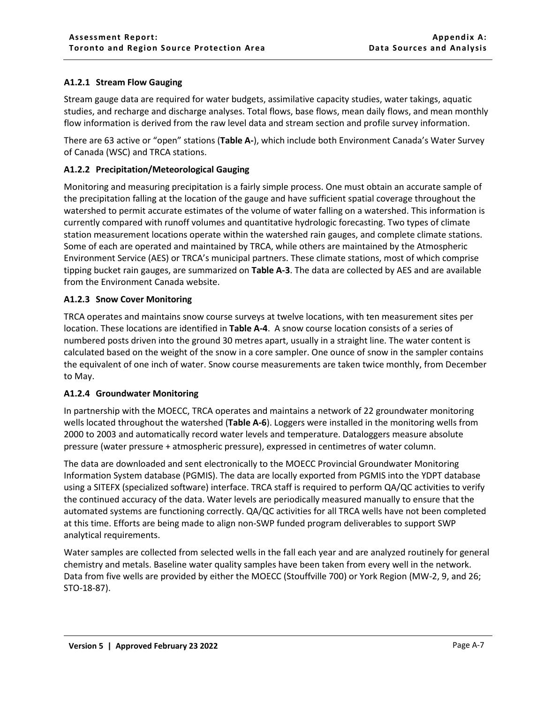# <span id="page-8-0"></span>**A1.2.1 Stream Flow Gauging**

Stream gauge data are required for water budgets, assimilative capacity studies, water takings, aquatic studies, and recharge and discharge analyses. Total flows, base flows, mean daily flows, and mean monthly flow information is derived from the raw level data and stream section and profile survey information.

There are 63 active or "open" stations (**[Table A-](#page-9-0)**), which include both Environment Canada's Water Survey of Canada (WSC) and TRCA stations.

## <span id="page-8-1"></span>**A1.2.2 Precipitation/Meteorological Gauging**

Monitoring and measuring precipitation is a fairly simple process. One must obtain an accurate sample of the precipitation falling at the location of the gauge and have sufficient spatial coverage throughout the watershed to permit accurate estimates of the volume of water falling on a watershed. This information is currently compared with runoff volumes and quantitative hydrologic forecasting. Two types of climate station measurement locations operate within the watershed rain gauges, and complete climate stations. Some of each are operated and maintained by TRCA, while others are maintained by the Atmospheric Environment Service (AES) or TRCA's municipal partners. These climate stations, most of which comprise tipping bucket rain gauges, are summarized on **[Table A-3](#page-13-0)**. The data are collected by AES and are available from the Environment Canada website.

#### <span id="page-8-2"></span>**A1.2.3 Snow Cover Monitoring**

TRCA operates and maintains snow course surveys at twelve locations, with ten measurement sites per location. These locations are identified in **[Table A-4](#page-17-0)**. A snow course location consists of a series of numbered posts driven into the ground 30 metres apart, usually in a straight line. The water content is calculated based on the weight of the snow in a core sampler. One ounce of snow in the sampler contains the equivalent of one inch of water. Snow course measurements are taken twice monthly, from December to May.

#### <span id="page-8-3"></span>**A1.2.4 Groundwater Monitoring**

In partnership with the MOECC, TRCA operates and maintains a network of 22 groundwater monitoring wells located throughout the watershed (**Table A-6**). Loggers were installed in the monitoring wells from 2000 to 2003 and automatically record water levels and temperature. Dataloggers measure absolute pressure (water pressure + atmospheric pressure), expressed in centimetres of water column.

The data are downloaded and sent electronically to the MOECC Provincial Groundwater Monitoring Information System database (PGMIS). The data are locally exported from PGMIS into the YDPT database using a SITEFX (specialized software) interface. TRCA staff is required to perform QA/QC activities to verify the continued accuracy of the data. Water levels are periodically measured manually to ensure that the automated systems are functioning correctly. QA/QC activities for all TRCA wells have not been completed at this time. Efforts are being made to align non-SWP funded program deliverables to support SWP analytical requirements.

Water samples are collected from selected wells in the fall each year and are analyzed routinely for general chemistry and metals. Baseline water quality samples have been taken from every well in the network. Data from five wells are provided by either the MOECC (Stouffville 700) or York Region (MW-2, 9, and 26; STO-18-87).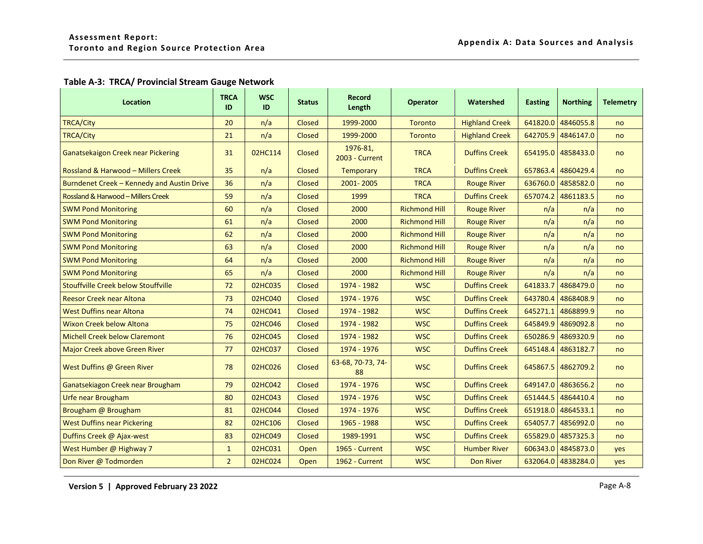# **Table A-3: TRCA/ Provincial Stream Gauge Network**

<span id="page-9-0"></span>

| Location                                      | <b>TRCA</b><br>ID | <b>WSC</b><br>ID | <b>Status</b> | <b>Record</b><br>Length           | <b>Operator</b>      | Watershed             | <b>Easting</b> | <b>Northing</b>    | <b>Telemetry</b> |
|-----------------------------------------------|-------------------|------------------|---------------|-----------------------------------|----------------------|-----------------------|----------------|--------------------|------------------|
| <b>TRCA/City</b>                              | 20                | n/a              | Closed        | 1999-2000                         | <b>Toronto</b>       | <b>Highland Creek</b> |                | 641820.0 4846055.8 | no               |
| <b>TRCA/City</b>                              | 21                | n/a              | Closed        | 1999-2000                         | <b>Toronto</b>       | <b>Highland Creek</b> |                | 642705.9 4846147.0 | no               |
| Ganatsekaigon Creek near Pickering            | 31                | 02HC114          | Closed        | 1976-81,<br><b>2003 - Current</b> | <b>TRCA</b>          | <b>Duffins Creek</b>  |                | 654195.0 4858433.0 | no               |
| <b>Rossland &amp; Harwood - Millers Creek</b> | 35                | n/a              | <b>Closed</b> | <b>Temporary</b>                  | <b>TRCA</b>          | <b>Duffins Creek</b>  | 657863.4       | 4860429.4          | no               |
| Burndenet Creek - Kennedy and Austin Drive    | 36                | n/a              | <b>Closed</b> | 2001-2005                         | <b>TRCA</b>          | <b>Rouge River</b>    |                | 636760.0 4858582.0 | no               |
| Rossland & Harwood - Millers Creek            | 59                | n/a              | <b>Closed</b> | 1999                              | <b>TRCA</b>          | <b>Duffins Creek</b>  | 657074.2       | 4861183.5          | no               |
| <b>SWM Pond Monitoring</b>                    | 60                | n/a              | Closed        | 2000                              | <b>Richmond Hill</b> | <b>Rouge River</b>    | n/a            | n/a                | no               |
| <b>SWM Pond Monitoring</b>                    | 61                | n/a              | Closed        | 2000                              | <b>Richmond Hill</b> | <b>Rouge River</b>    | n/a            | n/a                | no               |
| <b>SWM Pond Monitoring</b>                    | 62                | n/a              | Closed        | 2000                              | <b>Richmond Hill</b> | <b>Rouge River</b>    | n/a            | n/a                | no               |
| <b>SWM Pond Monitoring</b>                    | 63                | n/a              | Closed        | 2000                              | <b>Richmond Hill</b> | <b>Rouge River</b>    | n/a            | n/a                | no               |
| <b>SWM Pond Monitoring</b>                    | 64                | n/a              | Closed        | 2000                              | <b>Richmond Hill</b> | <b>Rouge River</b>    | n/a            | n/a                | no               |
| <b>SWM Pond Monitoring</b>                    | 65                | n/a              | Closed        | 2000                              | <b>Richmond Hill</b> | <b>Rouge River</b>    | n/a            | n/a                | no               |
| <b>Stouffville Creek below Stouffville</b>    | 72                | <b>02HC035</b>   | Closed        | 1974 - 1982                       | <b>WSC</b>           | <b>Duffins Creek</b>  |                | 641833.7 4868479.0 | no               |
| <b>Reesor Creek near Altona</b>               | 73                | 02HC040          | Closed        | 1974 - 1976                       | <b>WSC</b>           | <b>Duffins Creek</b>  | 643780.4       | 4868408.9          | no               |
| <b>West Duffins near Altona</b>               | 74                | 02HC041          | Closed        | 1974 - 1982                       | <b>WSC</b>           | <b>Duffins Creek</b>  |                | 645271.1 4868899.9 | no               |
| <b>Wixon Creek below Altona</b>               | 75                | 02HC046          | Closed        | 1974 - 1982                       | <b>WSC</b>           | <b>Duffins Creek</b>  | 645849.9       | 4869092.8          | no               |
| <b>Michell Creek below Claremont</b>          | 76                | <b>02HC045</b>   | Closed        | 1974 - 1982                       | <b>WSC</b>           | <b>Duffins Creek</b>  |                | 650286.9 4869320.9 | no               |
| Major Creek above Green River                 | 77                | 02HC037          | Closed        | 1974 - 1976                       | <b>WSC</b>           | <b>Duffins Creek</b>  |                | 645148.4 4863182.7 | no               |
| West Duffins @ Green River                    | 78                | 02HC026          | Closed        | 63-68, 70-73, 74-<br>88           | <b>WSC</b>           | <b>Duffins Creek</b>  |                | 645867.5 4862709.2 | no               |
| Ganatsekiagon Creek near Brougham             | 79                | 02HC042          | Closed        | 1974 - 1976                       | <b>WSC</b>           | <b>Duffins Creek</b>  |                | 649147.0 4863656.2 | no               |
| Urfe near Brougham                            | 80                | 02HC043          | Closed        | 1974 - 1976                       | <b>WSC</b>           | <b>Duffins Creek</b>  |                | 651444.5 4864410.4 | no               |
| Brougham @ Brougham                           | 81                | 02HC044          | Closed        | 1974 - 1976                       | <b>WSC</b>           | <b>Duffins Creek</b>  |                | 651918.0 4864533.1 | no               |
| <b>West Duffins near Pickering</b>            | 82                | 02HC106          | Closed        | 1965 - 1988                       | <b>WSC</b>           | <b>Duffins Creek</b>  |                | 654057.7 4856992.0 | no               |
| Duffins Creek @ Ajax-west                     | 83                | 02HC049          | Closed        | 1989-1991                         | <b>WSC</b>           | <b>Duffins Creek</b>  | 655829.0       | 4857325.3          | no               |
| West Humber @ Highway 7                       | $\mathbf{1}$      | 02HC031          | Open          | 1965 - Current                    | <b>WSC</b>           | <b>Humber River</b>   |                | 606343.0 4845873.0 | yes              |
| Don River @ Todmorden                         | $\overline{2}$    | <b>02HC024</b>   | Open          | <b>1962 - Current</b>             | <b>WSC</b>           | <b>Don River</b>      |                | 632064.0 4838284.0 | yes              |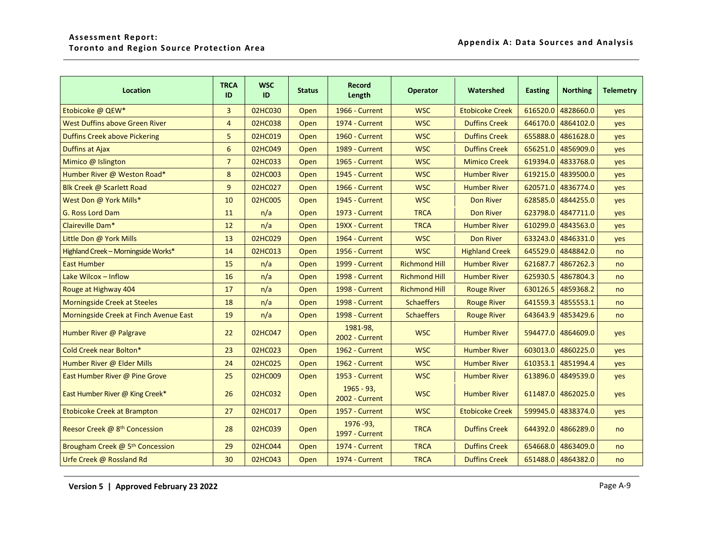| <b>Location</b>                             | <b>TRCA</b><br>ID | <b>WSC</b><br>ID | <b>Status</b> | <b>Record</b><br>Length             | <b>Operator</b>      | Watershed              | <b>Easting</b> | <b>Northing</b>    | <b>Telemetry</b> |
|---------------------------------------------|-------------------|------------------|---------------|-------------------------------------|----------------------|------------------------|----------------|--------------------|------------------|
| Etobicoke @ QEW*                            | 3                 | 02HC030          | Open          | 1966 - Current                      | <b>WSC</b>           | <b>Etobicoke Creek</b> |                | 616520.0 4828660.0 | yes              |
| <b>West Duffins above Green River</b>       | 4                 | 02HC038          | Open          | <b>1974 - Current</b>               | <b>WSC</b>           | <b>Duffins Creek</b>   |                | 646170.0 4864102.0 | yes              |
| <b>Duffins Creek above Pickering</b>        | 5                 | 02HC019          | Open          | <b>1960 - Current</b>               | <b>WSC</b>           | <b>Duffins Creek</b>   | 655888.0       | 4861628.0          | yes              |
| <b>Duffins at Ajax</b>                      | 6                 | 02HC049          | Open          | <b>1989 - Current</b>               | <b>WSC</b>           | <b>Duffins Creek</b>   | 656251.0       | 4856909.0          | yes              |
| Mimico @ Islington                          | $\overline{7}$    | 02HC033          | Open          | <b>1965 - Current</b>               | <b>WSC</b>           | <b>Mimico Creek</b>    | 619394.0       | 4833768.0          | yes              |
| Humber River @ Weston Road*                 | 8                 | 02HC003          | Open          | 1945 - Current                      | <b>WSC</b>           | <b>Humber River</b>    |                | 619215.0 4839500.0 | yes              |
| Blk Creek @ Scarlett Road                   | 9                 | 02HC027          | Open          | <b>1966 - Current</b>               | <b>WSC</b>           | <b>Humber River</b>    | 620571.0       | 4836774.0          | yes              |
| West Don @ York Mills*                      | 10                | 02HC005          | Open          | 1945 - Current                      | <b>WSC</b>           | <b>Don River</b>       |                | 628585.0 4844255.0 | yes              |
| G. Ross Lord Dam                            | 11                | n/a              | Open          | <b>1973 - Current</b>               | <b>TRCA</b>          | <b>Don River</b>       | 623798.0       | 4847711.0          | yes              |
| Claireville Dam*                            | 12                | n/a              | Open          | 19XX - Current                      | <b>TRCA</b>          | <b>Humber River</b>    | 610299.0       | 4843563.0          | yes              |
| Little Don @ York Mills                     | 13                | 02HC029          | Open          | <b>1964 - Current</b>               | <b>WSC</b>           | <b>Don River</b>       | 633243.0       | 4846331.0          | yes              |
| Highland Creek - Morningside Works*         | 14                | 02HC013          | Open          | <b>1956 - Current</b>               | <b>WSC</b>           | <b>Highland Creek</b>  | 645529.0       | 4848842.0          | no               |
| <b>East Humber</b>                          | 15                | n/a              | Open          | <b>1999 - Current</b>               | <b>Richmond Hill</b> | <b>Humber River</b>    | 621687.7       | 4867262.3          | no               |
| Lake Wilcox - Inflow                        | 16                | n/a              | Open          | <b>1998 - Current</b>               | <b>Richmond Hill</b> | <b>Humber River</b>    | 625930.5       | 4867804.3          | no               |
| Rouge at Highway 404                        | 17                | n/a              | Open          | 1998 - Current                      | <b>Richmond Hill</b> | <b>Rouge River</b>     |                | 630126.5 4859368.2 | no               |
| <b>Morningside Creek at Steeles</b>         | 18                | n/a              | Open          | <b>1998 - Current</b>               | <b>Schaeffers</b>    | <b>Rouge River</b>     | 641559.3       | 4855553.1          | no               |
| Morningside Creek at Finch Avenue East      | 19                | n/a              | Open          | <b>1998 - Current</b>               | <b>Schaeffers</b>    | <b>Rouge River</b>     |                | 643643.9 4853429.6 | no               |
| Humber River @ Palgrave                     | 22                | 02HC047          | Open          | 1981-98,<br>2002 - Current          | <b>WSC</b>           | <b>Humber River</b>    |                | 594477.0 4864609.0 | yes              |
| Cold Creek near Bolton*                     | 23                | 02HC023          | Open          | <b>1962 - Current</b>               | <b>WSC</b>           | <b>Humber River</b>    | 603013.0       | 4860225.0          | yes              |
| Humber River @ Elder Mills                  | 24                | 02HC025          | Open          | 1962 - Current                      | <b>WSC</b>           | <b>Humber River</b>    | 610353.1       | 4851994.4          | yes              |
| East Humber River @ Pine Grove              | 25                | 02HC009          | Open          | <b>1953 - Current</b>               | <b>WSC</b>           | <b>Humber River</b>    |                | 613896.0 4849539.0 | yes              |
| East Humber River @ King Creek*             | 26                | 02HC032          | Open          | $1965 - 93,$<br>2002 - Current      | <b>WSC</b>           | <b>Humber River</b>    |                | 611487.0 4862025.0 | yes              |
| <b>Etobicoke Creek at Brampton</b>          | 27                | 02HC017          | Open          | <b>1957 - Current</b>               | <b>WSC</b>           | <b>Etobicoke Creek</b> |                | 599945.0 4838374.0 | yes              |
| Reesor Creek @ 8 <sup>th</sup> Concession   | 28                | 02HC039          | Open          | 1976 - 93,<br><b>1997 - Current</b> | <b>TRCA</b>          | <b>Duffins Creek</b>   |                | 644392.0 4866289.0 | no               |
| Brougham Creek @ 5 <sup>th</sup> Concession | 29                | 02HC044          | Open          | <b>1974 - Current</b>               | <b>TRCA</b>          | <b>Duffins Creek</b>   |                | 654668.0 4863409.0 | no               |
| Urfe Creek @ Rossland Rd                    | 30                | 02HC043          | Open          | <b>1974 - Current</b>               | <b>TRCA</b>          | <b>Duffins Creek</b>   |                | 651488.0 4864382.0 | no               |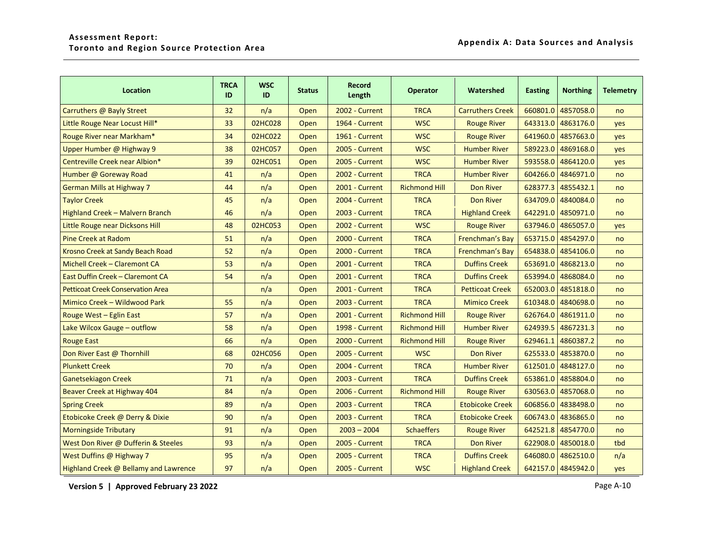| <b>Location</b>                          | <b>TRCA</b><br>ID | <b>WSC</b><br>ID | <b>Status</b> | Record<br>Length      | <b>Operator</b>      | Watershed               | <b>Easting</b> | <b>Northing</b>    | <b>Telemetry</b> |
|------------------------------------------|-------------------|------------------|---------------|-----------------------|----------------------|-------------------------|----------------|--------------------|------------------|
| Carruthers @ Bayly Street                | 32                | n/a              | Open          | 2002 - Current        | <b>TRCA</b>          | <b>Carruthers Creek</b> | 660801.0       | 4857058.0          | no               |
| Little Rouge Near Locust Hill*           | 33                | 02HC028          | Open          | <b>1964 - Current</b> | <b>WSC</b>           | <b>Rouge River</b>      | 643313.0       | 4863176.0          | yes              |
| Rouge River near Markham*                | 34                | <b>02HC022</b>   | Open          | <b>1961 - Current</b> | <b>WSC</b>           | <b>Rouge River</b>      | 641960.0       | 4857663.0          | yes              |
| Upper Humber @ Highway 9                 | 38                | 02HC057          | Open          | 2005 - Current        | <b>WSC</b>           | <b>Humber River</b>     | 589223.0       | 4869168.0          | yes              |
| Centreville Creek near Albion*           | 39                | 02HC051          | Open          | <b>2005 - Current</b> | <b>WSC</b>           | <b>Humber River</b>     | 593558.0       | 4864120.0          | yes              |
| Humber @ Goreway Road                    | 41                | n/a              | Open          | 2002 - Current        | <b>TRCA</b>          | <b>Humber River</b>     | 604266.0       | 4846971.0          | no               |
| <b>German Mills at Highway 7</b>         | 44                | n/a              | Open          | 2001 - Current        | <b>Richmond Hill</b> | <b>Don River</b>        | 628377.3       | 4855432.1          | no               |
| <b>Taylor Creek</b>                      | 45                | n/a              | Open          | 2004 - Current        | <b>TRCA</b>          | <b>Don River</b>        | 634709.0       | 4840084.0          | no               |
| <b>Highland Creek - Malvern Branch</b>   | 46                | n/a              | Open          | <b>2003 - Current</b> | <b>TRCA</b>          | <b>Highland Creek</b>   | 642291.0       | 4850971.0          | no               |
| Little Rouge near Dicksons Hill          | 48                | 02HC053          | Open          | 2002 - Current        | <b>WSC</b>           | <b>Rouge River</b>      | 637946.0       | 4865057.0          | yes              |
| <b>Pine Creek at Radom</b>               | 51                | n/a              | Open          | 2000 - Current        | <b>TRCA</b>          | Frenchman's Bay         | 653715.0       | 4854297.0          | no               |
| Krosno Creek at Sandy Beach Road         | 52                | n/a              | Open          | <b>2000 - Current</b> | <b>TRCA</b>          | Frenchman's Bay         |                | 654838.0 4854106.0 | no               |
| Michell Creek - Claremont CA             | 53                | n/a              | Open          | 2001 - Current        | <b>TRCA</b>          | <b>Duffins Creek</b>    | 653691.0       | 4868213.0          | no               |
| East Duffin Creek - Claremont CA         | 54                | n/a              | Open          | 2001 - Current        | <b>TRCA</b>          | <b>Duffins Creek</b>    | 653994.0       | 4868084.0          | no               |
| <b>Petticoat Creek Conservation Area</b> |                   | n/a              | Open          | 2001 - Current        | <b>TRCA</b>          | <b>Petticoat Creek</b>  | 652003.0       | 4851818.0          | no               |
| Mimico Creek - Wildwood Park             | 55                | n/a              | Open          | <b>2003 - Current</b> | <b>TRCA</b>          | <b>Mimico Creek</b>     | 610348.0       | 4840698.0          | no               |
| Rouge West - Eglin East                  | 57                | n/a              | Open          | 2001 - Current        | <b>Richmond Hill</b> | <b>Rouge River</b>      | 626764.0       | 4861911.0          | no               |
| Lake Wilcox Gauge - outflow              | 58                | n/a              | Open          | <b>1998 - Current</b> | <b>Richmond Hill</b> | <b>Humber River</b>     | 624939.5       | 4867231.3          | no               |
| <b>Rouge East</b>                        | 66                | n/a              | Open          | 2000 - Current        | <b>Richmond Hill</b> | <b>Rouge River</b>      | 629461.1       | 4860387.2          | no               |
| Don River East @ Thornhill               | 68                | 02HC056          | Open          | 2005 - Current        | <b>WSC</b>           | <b>Don River</b>        | 625533.0       | 4853870.0          | no               |
| <b>Plunkett Creek</b>                    | 70                | n/a              | Open          | 2004 - Current        | <b>TRCA</b>          | <b>Humber River</b>     | 612501.0       | 4848127.0          | no               |
| <b>Ganetsekiagon Creek</b>               | 71                | n/a              | Open          | 2003 - Current        | <b>TRCA</b>          | <b>Duffins Creek</b>    |                | 653861.0 4858804.0 | no               |
| Beaver Creek at Highway 404              | 84                | n/a              | Open          | 2006 - Current        | <b>Richmond Hill</b> | <b>Rouge River</b>      | 630563.0       | 4857068.0          | no               |
| <b>Spring Creek</b>                      | 89                | n/a              | Open          | 2003 - Current        | <b>TRCA</b>          | <b>Etobicoke Creek</b>  | 606856.0       | 4838498.0          | no               |
| Etobicoke Creek @ Derry & Dixie          | 90                | n/a              | Open          | <b>2003 - Current</b> | <b>TRCA</b>          | <b>Etobicoke Creek</b>  | 606743.0       | 4836865.0          | no               |
| <b>Morningside Tributary</b>             | 91                | n/a              | Open          | $2003 - 2004$         | <b>Schaeffers</b>    | <b>Rouge River</b>      | 642521.8       | 4854770.0          | no               |
| West Don River @ Dufferin & Steeles      | 93                | n/a              | Open          | 2005 - Current        | <b>TRCA</b>          | <b>Don River</b>        |                | 622908.0 4850018.0 | tbd              |
| West Duffins @ Highway 7                 | 95                | n/a              | Open          | <b>2005 - Current</b> | <b>TRCA</b>          | <b>Duffins Creek</b>    | 646080.0       | 4862510.0          | n/a              |
| Highland Creek @ Bellamy and Lawrence    | 97                | n/a              | Open          | <b>2005 - Current</b> | <b>WSC</b>           | <b>Highland Creek</b>   |                | 642157.0 4845942.0 | yes              |

**Version 5 | Approved February 23 2022 Page A-10**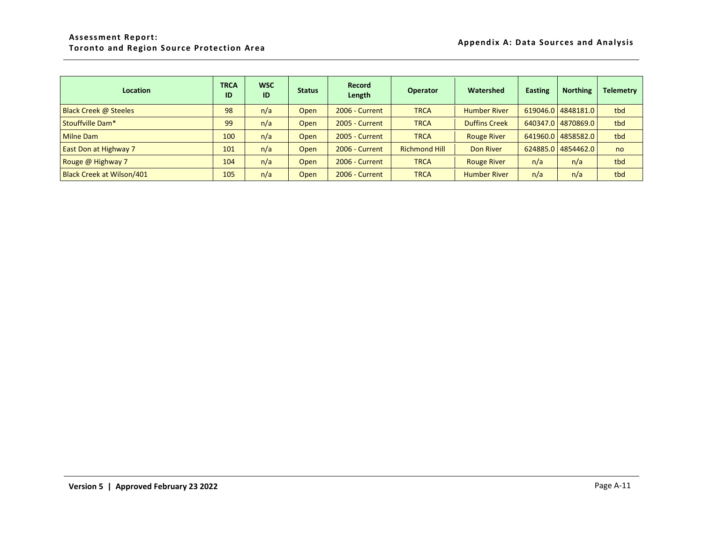#### **Assessment Report: Toronto and Region Source Protection Area Appendix A: Data Sources and Analysis**

| <b>Location</b>                  | <b>TRCA</b><br>ID | <b>WSC</b><br>ID | <b>Status</b> | Record<br>Length      | <b>Operator</b>      | Watershed            | <b>Easting</b> | <b>Northing</b>    | <b>Telemetry</b> |
|----------------------------------|-------------------|------------------|---------------|-----------------------|----------------------|----------------------|----------------|--------------------|------------------|
| Black Creek @ Steeles            | 98                | n/a              | Open          | 2006 - Current        | <b>TRCA</b>          | <b>Humber River</b>  |                | 619046.0 4848181.0 | tbd              |
| Stouffville Dam*                 | 99                | n/a              | Open          | <b>2005 - Current</b> | <b>TRCA</b>          | <b>Duffins Creek</b> |                | 640347.0 4870869.0 | tbd              |
| <b>Milne Dam</b>                 | 100               | n/a              | Open          | <b>2005 - Current</b> | <b>TRCA</b>          | <b>Rouge River</b>   |                | 641960.0 4858582.0 | tbd              |
| East Don at Highway 7            | 101               | n/a              | Open          | 2006 - Current        | <b>Richmond Hill</b> | Don River            |                | 624885.0 4854462.0 | <sub>no</sub>    |
| Rouge @ Highway 7                | 104               | n/a              | Open          | <b>2006 - Current</b> | <b>TRCA</b>          | <b>Rouge River</b>   | n/a            | n/a                | tbd              |
| <b>Black Creek at Wilson/401</b> | 105               | n/a              | Open          | 2006 - Current        | <b>TRCA</b>          | <b>Humber River</b>  | n/a            | n/a                | tbd              |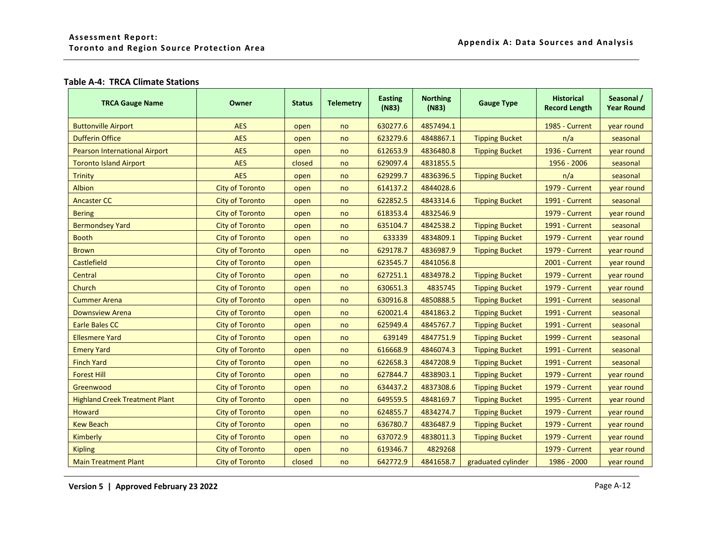# **Table A-4: TRCA Climate Stations**

<span id="page-13-0"></span>

| <b>TRCA Gauge Name</b>                | Owner                  | <b>Status</b> | <b>Telemetry</b> | <b>Easting</b><br>(N83) | <b>Northing</b><br>(N83) | <b>Gauge Type</b>     | <b>Historical</b><br><b>Record Length</b> | Seasonal /<br><b>Year Round</b> |
|---------------------------------------|------------------------|---------------|------------------|-------------------------|--------------------------|-----------------------|-------------------------------------------|---------------------------------|
| <b>Buttonville Airport</b>            | <b>AES</b>             | open          | no               | 630277.6                | 4857494.1                |                       | 1985 - Current                            | year round                      |
| <b>Dufferin Office</b>                | <b>AES</b>             | open          | no               | 623279.6                | 4848867.1                | <b>Tipping Bucket</b> | n/a                                       | seasonal                        |
| <b>Pearson International Airport</b>  | <b>AES</b>             | open          | no               | 612653.9                | 4836480.8                | <b>Tipping Bucket</b> | 1936 - Current                            | year round                      |
| <b>Toronto Island Airport</b>         | <b>AES</b>             | closed        | no               | 629097.4                | 4831855.5                |                       | 1956 - 2006                               | seasonal                        |
| <b>Trinity</b>                        | <b>AES</b>             | open          | no               | 629299.7                | 4836396.5                | <b>Tipping Bucket</b> | n/a                                       | seasonal                        |
| Albion                                | <b>City of Toronto</b> | open          | no               | 614137.2                | 4844028.6                |                       | <b>1979 - Current</b>                     | year round                      |
| <b>Ancaster CC</b>                    | <b>City of Toronto</b> | open          | no               | 622852.5                | 4843314.6                | <b>Tipping Bucket</b> | 1991 - Current                            | seasonal                        |
| <b>Bering</b>                         | <b>City of Toronto</b> | open          | no               | 618353.4                | 4832546.9                |                       | <b>1979 - Current</b>                     | year round                      |
| <b>Bermondsey Yard</b>                | <b>City of Toronto</b> | open          | no               | 635104.7                | 4842538.2                | <b>Tipping Bucket</b> | 1991 - Current                            | seasonal                        |
| <b>Booth</b>                          | <b>City of Toronto</b> | open          | no               | 633339                  | 4834809.1                | <b>Tipping Bucket</b> | <b>1979 - Current</b>                     | year round                      |
| Brown                                 | <b>City of Toronto</b> | open          | no               | 629178.7                | 4836987.9                | <b>Tipping Bucket</b> | 1979 - Current                            | year round                      |
| <b>Castlefield</b>                    | <b>City of Toronto</b> | open          |                  | 623545.7                | 4841056.8                |                       | <b>2001 - Current</b>                     | year round                      |
| Central                               | <b>City of Toronto</b> | open          | no               | 627251.1                | 4834978.2                | <b>Tipping Bucket</b> | <b>1979 - Current</b>                     | year round                      |
| Church                                | <b>City of Toronto</b> | open          | no               | 630651.3                | 4835745                  | <b>Tipping Bucket</b> | <b>1979 - Current</b>                     | year round                      |
| <b>Cummer Arena</b>                   | <b>City of Toronto</b> | open          | no               | 630916.8                | 4850888.5                | <b>Tipping Bucket</b> | <b>1991 - Current</b>                     | seasonal                        |
| <b>Downsview Arena</b>                | <b>City of Toronto</b> | open          | no               | 620021.4                | 4841863.2                | <b>Tipping Bucket</b> | <b>1991 - Current</b>                     | seasonal                        |
| <b>Earle Bales CC</b>                 | <b>City of Toronto</b> | open          | no               | 625949.4                | 4845767.7                | <b>Tipping Bucket</b> | <b>1991 - Current</b>                     | seasonal                        |
| <b>Ellesmere Yard</b>                 | <b>City of Toronto</b> | open          | no               | 639149                  | 4847751.9                | <b>Tipping Bucket</b> | <b>1999 - Current</b>                     | seasonal                        |
| <b>Emery Yard</b>                     | <b>City of Toronto</b> | open          | no               | 616668.9                | 4846074.3                | <b>Tipping Bucket</b> | <b>1991 - Current</b>                     | seasonal                        |
| <b>Finch Yard</b>                     | <b>City of Toronto</b> | open          | no               | 622658.3                | 4847208.9                | <b>Tipping Bucket</b> | <b>1991 - Current</b>                     | seasonal                        |
| <b>Forest Hill</b>                    | <b>City of Toronto</b> | open          | no               | 627844.7                | 4838903.1                | <b>Tipping Bucket</b> | 1979 - Current                            | year round                      |
| Greenwood                             | <b>City of Toronto</b> | open          | no               | 634437.2                | 4837308.6                | <b>Tipping Bucket</b> | <b>1979 - Current</b>                     | year round                      |
| <b>Highland Creek Treatment Plant</b> | <b>City of Toronto</b> | open          | no               | 649559.5                | 4848169.7                | <b>Tipping Bucket</b> | <b>1995 - Current</b>                     | year round                      |
| <b>Howard</b>                         | <b>City of Toronto</b> | open          | no               | 624855.7                | 4834274.7                | <b>Tipping Bucket</b> | <b>1979 - Current</b>                     | year round                      |
| <b>Kew Beach</b>                      | <b>City of Toronto</b> | open          | no               | 636780.7                | 4836487.9                | <b>Tipping Bucket</b> | 1979 - Current                            | year round                      |
| Kimberly                              | <b>City of Toronto</b> | open          | no               | 637072.9                | 4838011.3                | <b>Tipping Bucket</b> | <b>1979 - Current</b>                     | year round                      |
| <b>Kipling</b>                        | <b>City of Toronto</b> | open          | no               | 619346.7                | 4829268                  |                       | <b>1979 - Current</b>                     | year round                      |
| <b>Main Treatment Plant</b>           | <b>City of Toronto</b> | closed        | no               | 642772.9                | 4841658.7                | graduated cylinder    | 1986 - 2000                               | year round                      |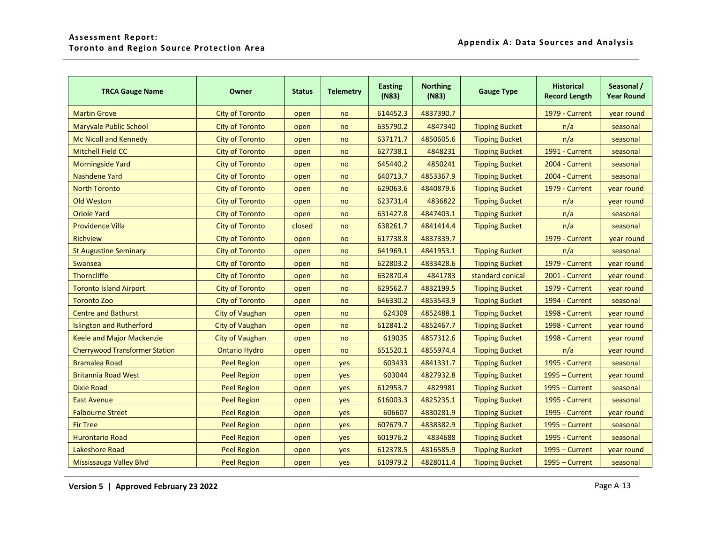| <b>TRCA Gauge Name</b>                | Owner                  | <b>Status</b> | <b>Telemetry</b> | <b>Easting</b><br>(N83) | <b>Northing</b><br>(N83) | <b>Gauge Type</b>     | <b>Historical</b><br><b>Record Length</b> | Seasonal /<br><b>Year Round</b> |
|---------------------------------------|------------------------|---------------|------------------|-------------------------|--------------------------|-----------------------|-------------------------------------------|---------------------------------|
| <b>Martin Grove</b>                   | <b>City of Toronto</b> | open          | no               | 614452.3                | 4837390.7                |                       | <b>1979 - Current</b>                     | year round                      |
| <b>Maryvale Public School</b>         | <b>City of Toronto</b> | open          | no               | 635790.2                | 4847340                  | <b>Tipping Bucket</b> | n/a                                       | seasonal                        |
| <b>Mc Nicoll and Kennedy</b>          | <b>City of Toronto</b> | open          | no               | 637171.7                | 4850605.6                | <b>Tipping Bucket</b> | n/a                                       | seasonal                        |
| <b>Mitchell Field CC</b>              | <b>City of Toronto</b> | open          | no               | 627738.1                | 4848231                  | <b>Tipping Bucket</b> | <b>1991 - Current</b>                     | seasonal                        |
| <b>Morningside Yard</b>               | <b>City of Toronto</b> | open          | no               | 645440.2                | 4850241                  | <b>Tipping Bucket</b> | 2004 - Current                            | seasonal                        |
| <b>Nashdene Yard</b>                  | <b>City of Toronto</b> | open          | no               | 640713.7                | 4853367.9                | <b>Tipping Bucket</b> | 2004 - Current                            | seasonal                        |
| <b>North Toronto</b>                  | City of Toronto        | open          | no               | 629063.6                | 4840879.6                | <b>Tipping Bucket</b> | <b>1979 - Current</b>                     | year round                      |
| <b>Old Weston</b>                     | <b>City of Toronto</b> | open          | no               | 623731.4                | 4836822                  | <b>Tipping Bucket</b> | n/a                                       | year round                      |
| <b>Oriole Yard</b>                    | <b>City of Toronto</b> | open          | no               | 631427.8                | 4847403.1                | <b>Tipping Bucket</b> | n/a                                       | seasonal                        |
| <b>Providence Villa</b>               | City of Toronto        | closed        | no               | 638261.7                | 4841414.4                | <b>Tipping Bucket</b> | n/a                                       | seasonal                        |
| <b>Richview</b>                       | <b>City of Toronto</b> | open          | no               | 617738.8                | 4837339.7                |                       | <b>1979 - Current</b>                     | year round                      |
| <b>St Augustine Seminary</b>          | <b>City of Toronto</b> | open          | no               | 641969.1                | 4841953.1                | <b>Tipping Bucket</b> | n/a                                       | seasonal                        |
| Swansea                               | <b>City of Toronto</b> | open          | no               | 622803.2                | 4833428.6                | <b>Tipping Bucket</b> | <b>1979 - Current</b>                     | year round                      |
| <b>Thorncliffe</b>                    | <b>City of Toronto</b> | open          | no               | 632870.4                | 4841783                  | standard conical      | <b>2001 - Current</b>                     | year round                      |
| <b>Toronto Island Airport</b>         | <b>City of Toronto</b> | open          | no               | 629562.7                | 4832199.5                | <b>Tipping Bucket</b> | <b>1979 - Current</b>                     | year round                      |
| <b>Toronto Zoo</b>                    | <b>City of Toronto</b> | open          | no               | 646330.2                | 4853543.9                | <b>Tipping Bucket</b> | 1994 - Current                            | seasonal                        |
| <b>Centre and Bathurst</b>            | City of Vaughan        | open          | no               | 624309                  | 4852488.1                | <b>Tipping Bucket</b> | <b>1998 - Current</b>                     | year round                      |
| <b>Islington and Rutherford</b>       | <b>City of Vaughan</b> | open          | no               | 612841.2                | 4852467.7                | <b>Tipping Bucket</b> | 1998 - Current                            | year round                      |
| <b>Keele and Major Mackenzie</b>      | <b>City of Vaughan</b> | open          | no               | 619035                  | 4857312.6                | <b>Tipping Bucket</b> | <b>1998 - Current</b>                     | year round                      |
| <b>Cherrywood Transformer Station</b> | <b>Ontario Hydro</b>   | open          | no               | 651520.1                | 4855974.4                | <b>Tipping Bucket</b> | n/a                                       | year round                      |
| <b>Bramalea Road</b>                  | <b>Peel Region</b>     | open          | yes              | 603433                  | 4841331.7                | <b>Tipping Bucket</b> | <b>1995 - Current</b>                     | seasonal                        |
| <b>Britannia Road West</b>            | <b>Peel Region</b>     | open          | yes              | 603044                  | 4827932.8                | <b>Tipping Bucket</b> | 1995 - Current                            | year round                      |
| <b>Dixie Road</b>                     | <b>Peel Region</b>     | open          | yes              | 612953.7                | 4829981                  | <b>Tipping Bucket</b> | $1995 - Current$                          | seasonal                        |
| <b>East Avenue</b>                    | <b>Peel Region</b>     | open          | yes              | 616003.3                | 4825235.1                | <b>Tipping Bucket</b> | <b>1995 - Current</b>                     | seasonal                        |
| <b>Falbourne Street</b>               | <b>Peel Region</b>     | open          | yes              | 606607                  | 4830281.9                | <b>Tipping Bucket</b> | 1995 - Current                            | year round                      |
| <b>Fir Tree</b>                       | <b>Peel Region</b>     | open          | yes              | 607679.7                | 4838382.9                | <b>Tipping Bucket</b> | 1995 - Current                            | seasonal                        |
| <b>Hurontario Road</b>                | <b>Peel Region</b>     | open          | yes              | 601976.2                | 4834688                  | <b>Tipping Bucket</b> | <b>1995 - Current</b>                     | seasonal                        |
| <b>Lakeshore Road</b>                 | <b>Peel Region</b>     | open          | yes              | 612378.5                | 4816585.9                | <b>Tipping Bucket</b> | 1995 - Current                            | year round                      |
| Mississauga Valley Blvd               | <b>Peel Region</b>     | open          | yes              | 610979.2                | 4828011.4                | <b>Tipping Bucket</b> | $1995 - Current$                          | seasonal                        |

**Version 5 | Approved February 23 2022 Page A-13**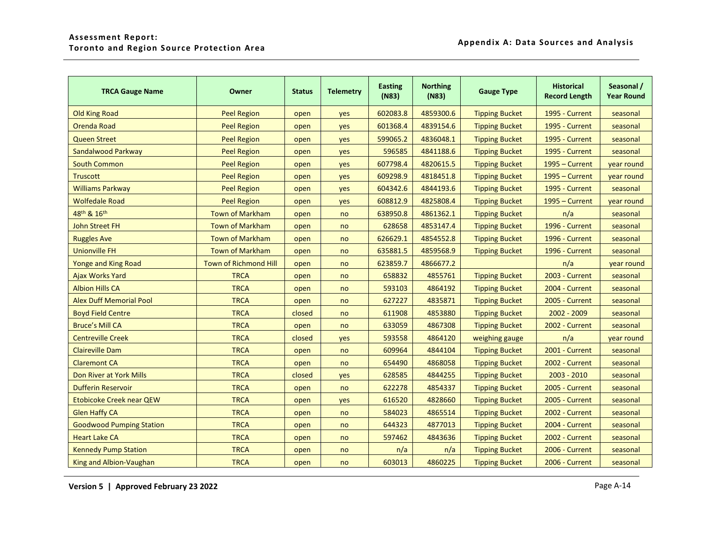| <b>TRCA Gauge Name</b>          | Owner                        | <b>Status</b> | <b>Telemetry</b> | <b>Easting</b><br>(N83) | <b>Northing</b><br>(N83) | <b>Gauge Type</b>     | <b>Historical</b><br><b>Record Length</b> | Seasonal /<br><b>Year Round</b> |
|---------------------------------|------------------------------|---------------|------------------|-------------------------|--------------------------|-----------------------|-------------------------------------------|---------------------------------|
| <b>Old King Road</b>            | <b>Peel Region</b>           | open          | yes              | 602083.8                | 4859300.6                | <b>Tipping Bucket</b> | <b>1995 - Current</b>                     | seasonal                        |
| Orenda Road                     | <b>Peel Region</b>           | open          | yes              | 601368.4                | 4839154.6                | <b>Tipping Bucket</b> | <b>1995 - Current</b>                     | seasonal                        |
| <b>Queen Street</b>             | <b>Peel Region</b>           | open          | yes              | 599065.2                | 4836048.1                | <b>Tipping Bucket</b> | 1995 - Current                            | seasonal                        |
| Sandalwood Parkway              | <b>Peel Region</b>           | open          | yes              | 596585                  | 4841188.6                | <b>Tipping Bucket</b> | 1995 - Current                            | seasonal                        |
| <b>South Common</b>             | <b>Peel Region</b>           | open          | yes              | 607798.4                | 4820615.5                | <b>Tipping Bucket</b> | 1995 - Current                            | year round                      |
| <b>Truscott</b>                 | <b>Peel Region</b>           | open          | yes              | 609298.9                | 4818451.8                | <b>Tipping Bucket</b> | 1995 - Current                            | year round                      |
| <b>Williams Parkway</b>         | <b>Peel Region</b>           | open          | yes              | 604342.6                | 4844193.6                | <b>Tipping Bucket</b> | <b>1995 - Current</b>                     | seasonal                        |
| <b>Wolfedale Road</b>           | <b>Peel Region</b>           | open          | yes              | 608812.9                | 4825808.4                | <b>Tipping Bucket</b> | 1995 - Current                            | year round                      |
| 48th & 16th                     | <b>Town of Markham</b>       | open          | no               | 638950.8                | 4861362.1                | <b>Tipping Bucket</b> | n/a                                       | seasonal                        |
| <b>John Street FH</b>           | <b>Town of Markham</b>       | open          | no               | 628658                  | 4853147.4                | <b>Tipping Bucket</b> | 1996 - Current                            | seasonal                        |
| <b>Ruggles Ave</b>              | <b>Town of Markham</b>       | open          | no               | 626629.1                | 4854552.8                | <b>Tipping Bucket</b> | <b>1996 - Current</b>                     | seasonal                        |
| <b>Unionville FH</b>            | <b>Town of Markham</b>       | open          | no               | 635881.5                | 4859568.9                | <b>Tipping Bucket</b> | 1996 - Current                            | seasonal                        |
| Yonge and King Road             | <b>Town of Richmond Hill</b> | open          | no               | 623859.7                | 4866677.2                |                       | n/a                                       | year round                      |
| <b>Ajax Works Yard</b>          | <b>TRCA</b>                  | open          | no               | 658832                  | 4855761                  | <b>Tipping Bucket</b> | 2003 - Current                            | seasonal                        |
| <b>Albion Hills CA</b>          | <b>TRCA</b>                  | open          | no               | 593103                  | 4864192                  | <b>Tipping Bucket</b> | 2004 - Current                            | seasonal                        |
| <b>Alex Duff Memorial Pool</b>  | <b>TRCA</b>                  | open          | no               | 627227                  | 4835871                  | <b>Tipping Bucket</b> | 2005 - Current                            | seasonal                        |
| <b>Boyd Field Centre</b>        | <b>TRCA</b>                  | closed        | no               | 611908                  | 4853880                  | <b>Tipping Bucket</b> | $2002 - 2009$                             | seasonal                        |
| <b>Bruce's Mill CA</b>          | <b>TRCA</b>                  | open          | no               | 633059                  | 4867308                  | <b>Tipping Bucket</b> | 2002 - Current                            | seasonal                        |
| <b>Centreville Creek</b>        | <b>TRCA</b>                  | closed        | yes              | 593558                  | 4864120                  | weighing gauge        | n/a                                       | year round                      |
| <b>Claireville Dam</b>          | <b>TRCA</b>                  | open          | no               | 609964                  | 4844104                  | <b>Tipping Bucket</b> | 2001 - Current                            | seasonal                        |
| <b>Claremont CA</b>             | <b>TRCA</b>                  | open          | no               | 654490                  | 4868058                  | <b>Tipping Bucket</b> | 2002 - Current                            | seasonal                        |
| Don River at York Mills         | <b>TRCA</b>                  | closed        | yes              | 628585                  | 4844255                  | <b>Tipping Bucket</b> | $2003 - 2010$                             | seasonal                        |
| <b>Dufferin Reservoir</b>       | <b>TRCA</b>                  | open          | no               | 622278                  | 4854337                  | <b>Tipping Bucket</b> | <b>2005 - Current</b>                     | seasonal                        |
| <b>Etobicoke Creek near QEW</b> | <b>TRCA</b>                  | open          | yes              | 616520                  | 4828660                  | <b>Tipping Bucket</b> | 2005 - Current                            | seasonal                        |
| <b>Glen Haffy CA</b>            | <b>TRCA</b>                  | open          | no               | 584023                  | 4865514                  | <b>Tipping Bucket</b> | 2002 - Current                            | seasonal                        |
| <b>Goodwood Pumping Station</b> | <b>TRCA</b>                  | open          | no               | 644323                  | 4877013                  | <b>Tipping Bucket</b> | 2004 - Current                            | seasonal                        |
| <b>Heart Lake CA</b>            | <b>TRCA</b>                  | open          | no               | 597462                  | 4843636                  | <b>Tipping Bucket</b> | 2002 - Current                            | seasonal                        |
| <b>Kennedy Pump Station</b>     | <b>TRCA</b>                  | open          | no               | n/a                     | n/a                      | <b>Tipping Bucket</b> | <b>2006 - Current</b>                     | seasonal                        |
| King and Albion-Vaughan         | <b>TRCA</b>                  | open          | no               | 603013                  | 4860225                  | <b>Tipping Bucket</b> | 2006 - Current                            | seasonal                        |

**Version 5 | Approved February 23 2022 Page A-14**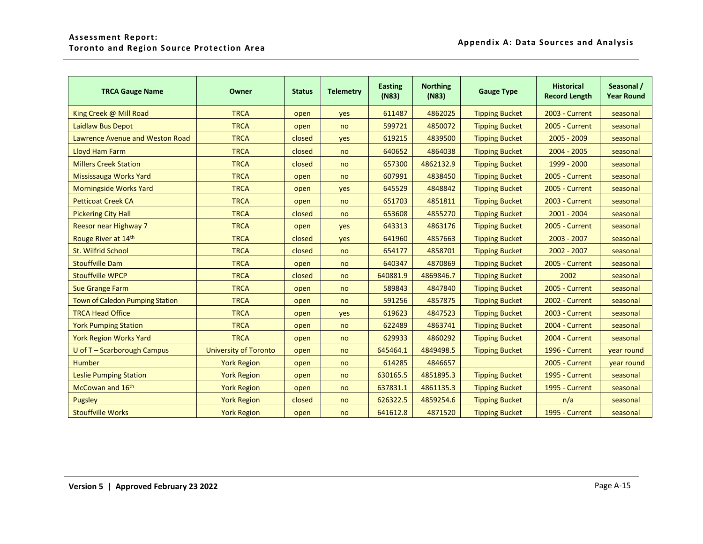#### **Assessment Report: Toronto and Region Source Protection Area Appendix A: Data Sources and Analysis**

| <b>TRCA Gauge Name</b>                 | Owner                        | <b>Status</b> | <b>Telemetry</b> | <b>Easting</b><br>(N83) | <b>Northing</b><br>(N83) | <b>Gauge Type</b>     | <b>Historical</b><br><b>Record Length</b> | Seasonal /<br><b>Year Round</b> |
|----------------------------------------|------------------------------|---------------|------------------|-------------------------|--------------------------|-----------------------|-------------------------------------------|---------------------------------|
| King Creek @ Mill Road                 | <b>TRCA</b>                  | open          | yes              | 611487                  | 4862025                  | <b>Tipping Bucket</b> | 2003 - Current                            | seasonal                        |
| Laidlaw Bus Depot                      | <b>TRCA</b>                  | open          | no               | 599721                  | 4850072                  | <b>Tipping Bucket</b> | 2005 - Current                            | seasonal                        |
| Lawrence Avenue and Weston Road        | <b>TRCA</b>                  | closed        | yes              | 619215                  | 4839500                  | <b>Tipping Bucket</b> | $2005 - 2009$                             | seasonal                        |
| <b>Lloyd Ham Farm</b>                  | <b>TRCA</b>                  | closed        | no               | 640652                  | 4864038                  | <b>Tipping Bucket</b> | $2004 - 2005$                             | seasonal                        |
| <b>Millers Creek Station</b>           | <b>TRCA</b>                  | closed        | no               | 657300                  | 4862132.9                | <b>Tipping Bucket</b> | 1999 - 2000                               | seasonal                        |
| Mississauga Works Yard                 | <b>TRCA</b>                  | open          | no               | 607991                  | 4838450                  | <b>Tipping Bucket</b> | 2005 - Current                            | seasonal                        |
| <b>Morningside Works Yard</b>          | <b>TRCA</b>                  | open          | yes              | 645529                  | 4848842                  | <b>Tipping Bucket</b> | 2005 - Current                            | seasonal                        |
| <b>Petticoat Creek CA</b>              | <b>TRCA</b>                  | open          | no               | 651703                  | 4851811                  | <b>Tipping Bucket</b> | 2003 - Current                            | seasonal                        |
| <b>Pickering City Hall</b>             | <b>TRCA</b>                  | closed        | no               | 653608                  | 4855270                  | <b>Tipping Bucket</b> | $2001 - 2004$                             | seasonal                        |
| Reesor near Highway 7                  | <b>TRCA</b>                  | open          | yes              | 643313                  | 4863176                  | <b>Tipping Bucket</b> | 2005 - Current                            | seasonal                        |
| Rouge River at 14th                    | <b>TRCA</b>                  | closed        | yes              | 641960                  | 4857663                  | <b>Tipping Bucket</b> | $2003 - 2007$                             | seasonal                        |
| <b>St. Wilfrid School</b>              | <b>TRCA</b>                  | closed        | no               | 654177                  | 4858701                  | <b>Tipping Bucket</b> | $2002 - 2007$                             | seasonal                        |
| <b>Stouffville Dam</b>                 | <b>TRCA</b>                  | open          | no               | 640347                  | 4870869                  | <b>Tipping Bucket</b> | 2005 - Current                            | seasonal                        |
| <b>Stouffville WPCP</b>                | <b>TRCA</b>                  | closed        | no               | 640881.9                | 4869846.7                | <b>Tipping Bucket</b> | 2002                                      | seasonal                        |
| <b>Sue Grange Farm</b>                 | <b>TRCA</b>                  | open          | no               | 589843                  | 4847840                  | <b>Tipping Bucket</b> | <b>2005 - Current</b>                     | seasonal                        |
| <b>Town of Caledon Pumping Station</b> | <b>TRCA</b>                  | open          | no               | 591256                  | 4857875                  | <b>Tipping Bucket</b> | 2002 - Current                            | seasonal                        |
| <b>TRCA Head Office</b>                | <b>TRCA</b>                  | open          | yes              | 619623                  | 4847523                  | <b>Tipping Bucket</b> | 2003 - Current                            | seasonal                        |
| <b>York Pumping Station</b>            | <b>TRCA</b>                  | open          | no               | 622489                  | 4863741                  | <b>Tipping Bucket</b> | 2004 - Current                            | seasonal                        |
| <b>York Region Works Yard</b>          | <b>TRCA</b>                  | open          | no               | 629933                  | 4860292                  | <b>Tipping Bucket</b> | 2004 - Current                            | seasonal                        |
| U of T - Scarborough Campus            | <b>University of Toronto</b> | open          | no               | 645464.1                | 4849498.5                | <b>Tipping Bucket</b> | 1996 - Current                            | year round                      |
| <b>Humber</b>                          | <b>York Region</b>           | open          | no               | 614285                  | 4846657                  |                       | <b>2005 - Current</b>                     | year round                      |
| <b>Leslie Pumping Station</b>          | <b>York Region</b>           | open          | no               | 630165.5                | 4851895.3                | <b>Tipping Bucket</b> | <b>1995 - Current</b>                     | seasonal                        |
| McCowan and 16th                       | <b>York Region</b>           | open          | no               | 637831.1                | 4861135.3                | <b>Tipping Bucket</b> | <b>1995 - Current</b>                     | seasonal                        |
| <b>Pugsley</b>                         | <b>York Region</b>           | closed        | no               | 626322.5                | 4859254.6                | <b>Tipping Bucket</b> | n/a                                       | seasonal                        |
| <b>Stouffville Works</b>               | <b>York Region</b>           | open          | no               | 641612.8                | 4871520                  | <b>Tipping Bucket</b> | <b>1995 - Current</b>                     | seasonal                        |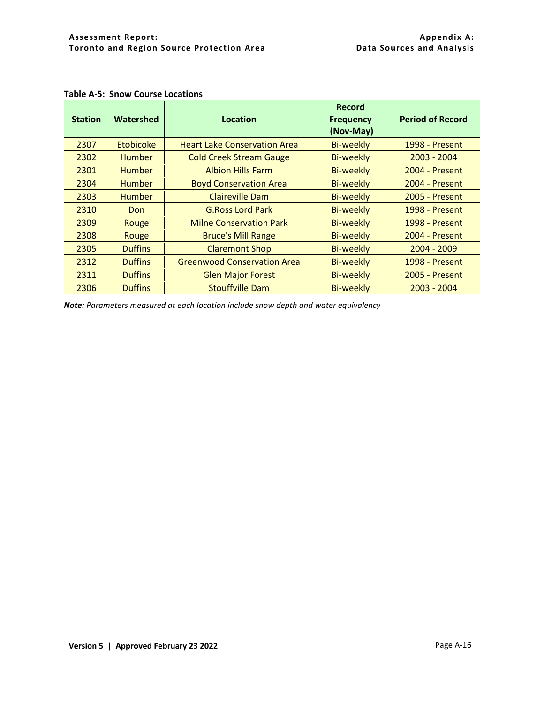| <b>Station</b> | Watershed        | Location                            | <b>Record</b><br><b>Frequency</b><br>(Nov-May) | <b>Period of Record</b> |
|----------------|------------------|-------------------------------------|------------------------------------------------|-------------------------|
| 2307           | <b>Etobicoke</b> | <b>Heart Lake Conservation Area</b> | <b>Bi-weekly</b>                               | 1998 - Present          |
| 2302           | <b>Humber</b>    | <b>Cold Creek Stream Gauge</b>      | <b>Bi-weekly</b>                               | $2003 - 2004$           |
| 2301           | <b>Humber</b>    | <b>Albion Hills Farm</b>            | <b>Bi-weekly</b>                               | 2004 - Present          |
| 2304           | <b>Humber</b>    | <b>Boyd Conservation Area</b>       | <b>Bi-weekly</b>                               | 2004 - Present          |
| 2303           | <b>Humber</b>    | Claireville Dam                     | <b>Bi-weekly</b>                               | 2005 - Present          |
| 2310           | Don              | <b>G.Ross Lord Park</b>             | <b>Bi-weekly</b>                               | 1998 - Present          |
| 2309           | Rouge            | <b>Milne Conservation Park</b>      | <b>Bi-weekly</b>                               | <b>1998 - Present</b>   |
| 2308           | Rouge            | <b>Bruce's Mill Range</b>           | <b>Bi-weekly</b>                               | 2004 - Present          |
| 2305           | <b>Duffins</b>   | <b>Claremont Shop</b>               | <b>Bi-weekly</b>                               | $2004 - 2009$           |
| 2312           | <b>Duffins</b>   | <b>Greenwood Conservation Area</b>  | <b>Bi-weekly</b>                               | <b>1998 - Present</b>   |
| 2311           | <b>Duffins</b>   | <b>Glen Major Forest</b>            | <b>Bi-weekly</b>                               | 2005 - Present          |
| 2306           | <b>Duffins</b>   | <b>Stouffville Dam</b>              | Bi-weekly                                      | $2003 - 2004$           |

# <span id="page-17-0"></span>**Table A-5: Snow Course Locations**

*Note: Parameters measured at each location include snow depth and water equivalency*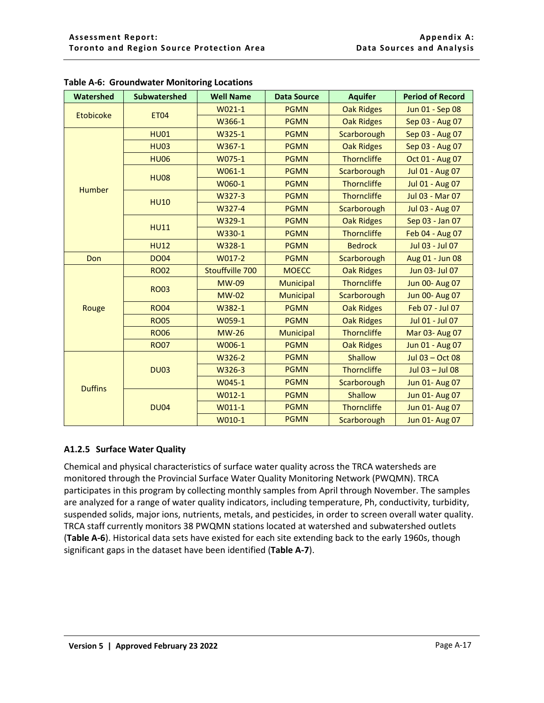| Watershed      | <b>Subwatershed</b>   | <b>Well Name</b> | <b>Data Source</b> | <b>Aquifer</b>     | <b>Period of Record</b> |
|----------------|-----------------------|------------------|--------------------|--------------------|-------------------------|
|                |                       | W021-1           | <b>PGMN</b>        | <b>Oak Ridges</b>  | Jun 01 - Sep 08         |
| Etobicoke      | <b>ET04</b>           | W366-1           | <b>PGMN</b>        | <b>Oak Ridges</b>  | Sep 03 - Aug 07         |
|                | <b>HU01</b>           | W325-1           | <b>PGMN</b>        | Scarborough        | Sep 03 - Aug 07         |
|                | <b>HU03</b>           | W367-1           | <b>PGMN</b>        | <b>Oak Ridges</b>  | Sep 03 - Aug 07         |
|                | <b>HU06</b>           | W075-1           | <b>PGMN</b>        | <b>Thorncliffe</b> | Oct 01 - Aug 07         |
|                | <b>HU08</b>           | W061-1           | <b>PGMN</b>        | Scarborough        | <b>Jul 01 - Aug 07</b>  |
|                |                       | W060-1           | <b>PGMN</b>        | <b>Thorncliffe</b> | <b>Jul 01 - Aug 07</b>  |
|                | Humber<br><b>HU10</b> | W327-3           | <b>PGMN</b>        | <b>Thorncliffe</b> | <b>Jul 03 - Mar 07</b>  |
|                |                       | W327-4           | <b>PGMN</b>        | Scarborough        | <b>Jul 03 - Aug 07</b>  |
|                |                       | W329-1           | <b>PGMN</b>        | <b>Oak Ridges</b>  | Sep 03 - Jan 07         |
|                | <b>HU11</b>           | W330-1           | <b>PGMN</b>        | <b>Thorncliffe</b> | Feb 04 - Aug 07         |
|                | <b>HU12</b>           | W328-1           | <b>PGMN</b>        | <b>Bedrock</b>     | Jul 03 - Jul 07         |
| Don            | <b>DO04</b>           | W017-2           | <b>PGMN</b>        | Scarborough        | Aug 01 - Jun 08         |
|                | <b>RO02</b>           | Stouffville 700  | <b>MOECC</b>       | <b>Oak Ridges</b>  | Jun 03- Jul 07          |
|                |                       | <b>MW-09</b>     | Municipal          | <b>Thorncliffe</b> | <b>Jun 00- Aug 07</b>   |
|                | <b>RO03</b>           | <b>MW-02</b>     | <b>Municipal</b>   | Scarborough        | <b>Jun 00- Aug 07</b>   |
| Rouge          | <b>RO04</b>           | W382-1           | <b>PGMN</b>        | <b>Oak Ridges</b>  | Feb 07 - Jul 07         |
|                | <b>RO05</b>           | W059-1           | <b>PGMN</b>        | <b>Oak Ridges</b>  | Jul 01 - Jul 07         |
|                | <b>RO06</b>           | <b>MW-26</b>     | Municipal          | <b>Thorncliffe</b> | Mar 03- Aug 07          |
|                | <b>RO07</b>           | W006-1           | <b>PGMN</b>        | <b>Oak Ridges</b>  | Jun 01 - Aug 07         |
|                |                       | W326-2           | <b>PGMN</b>        | Shallow            | Jul 03 - Oct 08         |
|                | <b>DU03</b>           | W326-3           | <b>PGMN</b>        | <b>Thorncliffe</b> | Jul 03 - Jul 08         |
|                |                       | W045-1           | <b>PGMN</b>        | Scarborough        | <b>Jun 01- Aug 07</b>   |
| <b>Duffins</b> |                       | W012-1           | <b>PGMN</b>        | Shallow            | <b>Jun 01- Aug 07</b>   |
|                | <b>DU04</b>           | W011-1           | <b>PGMN</b>        | <b>Thorncliffe</b> | <b>Jun 01- Aug 07</b>   |
|                |                       | W010-1           | <b>PGMN</b>        | Scarborough        | <b>Jun 01- Aug 07</b>   |

<span id="page-18-1"></span>**Table A-6: Groundwater Monitoring Locations**

# <span id="page-18-0"></span>**A1.2.5 Surface Water Quality**

Chemical and physical characteristics of surface water quality across the TRCA watersheds are monitored through the Provincial Surface Water Quality Monitoring Network (PWQMN). TRCA participates in this program by collecting monthly samples from April through November. The samples are analyzed for a range of water quality indicators, including temperature, Ph, conductivity, turbidity, suspended solids, major ions, nutrients, metals, and pesticides, in order to screen overall water quality. TRCA staff currently monitors 38 PWQMN stations located at watershed and subwatershed outlets (**[Table A-6](#page-19-0)**). Historical data sets have existed for each site extending back to the early 1960s, though significant gaps in the dataset have been identified (**[Table A-7](#page-21-0)**).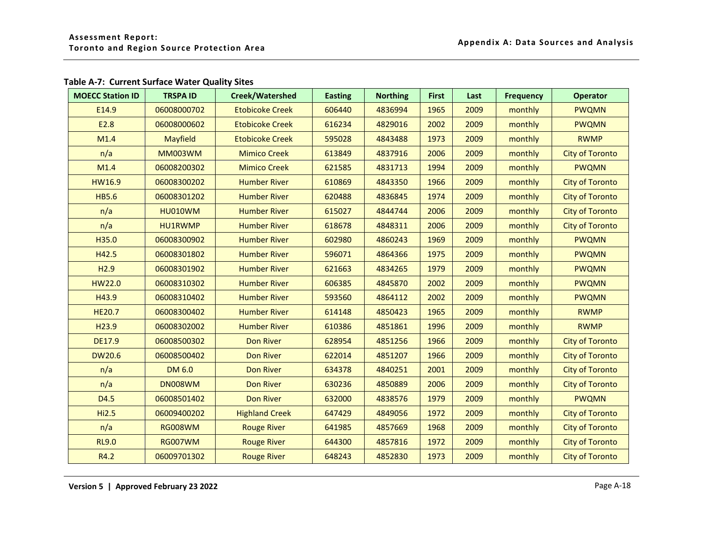# **Table A-7: Current Surface Water Quality Sites**

<span id="page-19-0"></span>

| <b>MOECC Station ID</b> | <b>TRSPA ID</b> | <b>Creek/Watershed</b> | <b>Easting</b> | <b>Northing</b> | <b>First</b> | Last | <b>Frequency</b> | <b>Operator</b>        |
|-------------------------|-----------------|------------------------|----------------|-----------------|--------------|------|------------------|------------------------|
| E14.9                   | 06008000702     | <b>Etobicoke Creek</b> | 606440         | 4836994         | 1965         | 2009 | monthly          | <b>PWQMN</b>           |
| E2.8                    | 06008000602     | <b>Etobicoke Creek</b> | 616234         | 4829016         | 2002         | 2009 | monthly          | <b>PWQMN</b>           |
| M1.4                    | Mayfield        | <b>Etobicoke Creek</b> | 595028         | 4843488         | 1973         | 2009 | monthly          | <b>RWMP</b>            |
| n/a                     | <b>MM003WM</b>  | <b>Mimico Creek</b>    | 613849         | 4837916         | 2006         | 2009 | monthly          | <b>City of Toronto</b> |
| M1.4                    | 06008200302     | <b>Mimico Creek</b>    | 621585         | 4831713         | 1994         | 2009 | monthly          | <b>PWQMN</b>           |
| HW16.9                  | 06008300202     | <b>Humber River</b>    | 610869         | 4843350         | 1966         | 2009 | monthly          | <b>City of Toronto</b> |
| <b>HB5.6</b>            | 06008301202     | <b>Humber River</b>    | 620488         | 4836845         | 1974         | 2009 | monthly          | <b>City of Toronto</b> |
| n/a                     | <b>HU010WM</b>  | <b>Humber River</b>    | 615027         | 4844744         | 2006         | 2009 | monthly          | <b>City of Toronto</b> |
| n/a                     | <b>HU1RWMP</b>  | <b>Humber River</b>    | 618678         | 4848311         | 2006         | 2009 | monthly          | <b>City of Toronto</b> |
| H35.0                   | 06008300902     | <b>Humber River</b>    | 602980         | 4860243         | 1969         | 2009 | monthly          | <b>PWQMN</b>           |
| H42.5                   | 06008301802     | <b>Humber River</b>    | 596071         | 4864366         | 1975         | 2009 | monthly          | <b>PWQMN</b>           |
| H2.9                    | 06008301902     | <b>Humber River</b>    | 621663         | 4834265         | 1979         | 2009 | monthly          | <b>PWQMN</b>           |
| HW22.0                  | 06008310302     | <b>Humber River</b>    | 606385         | 4845870         | 2002         | 2009 | monthly          | <b>PWQMN</b>           |
| H43.9                   | 06008310402     | <b>Humber River</b>    | 593560         | 4864112         | 2002         | 2009 | monthly          | <b>PWQMN</b>           |
| <b>HE20.7</b>           | 06008300402     | <b>Humber River</b>    | 614148         | 4850423         | 1965         | 2009 | monthly          | <b>RWMP</b>            |
| H <sub>23.9</sub>       | 06008302002     | <b>Humber River</b>    | 610386         | 4851861         | 1996         | 2009 | monthly          | <b>RWMP</b>            |
| DE17.9                  | 06008500302     | <b>Don River</b>       | 628954         | 4851256         | 1966         | 2009 | monthly          | <b>City of Toronto</b> |
| <b>DW20.6</b>           | 06008500402     | <b>Don River</b>       | 622014         | 4851207         | 1966         | 2009 | monthly          | <b>City of Toronto</b> |
| n/a                     | DM 6.0          | <b>Don River</b>       | 634378         | 4840251         | 2001         | 2009 | monthly          | <b>City of Toronto</b> |
| n/a                     | <b>DN008WM</b>  | Don River              | 630236         | 4850889         | 2006         | 2009 | monthly          | <b>City of Toronto</b> |
| D4.5                    | 06008501402     | <b>Don River</b>       | 632000         | 4838576         | 1979         | 2009 | monthly          | <b>PWQMN</b>           |
| Hi2.5                   | 06009400202     | <b>Highland Creek</b>  | 647429         | 4849056         | 1972         | 2009 | monthly          | <b>City of Toronto</b> |
| n/a                     | <b>RG008WM</b>  | <b>Rouge River</b>     | 641985         | 4857669         | 1968         | 2009 | monthly          | <b>City of Toronto</b> |
| <b>RL9.0</b>            | <b>RG007WM</b>  | <b>Rouge River</b>     | 644300         | 4857816         | 1972         | 2009 | monthly          | <b>City of Toronto</b> |
| R4.2                    | 06009701302     | <b>Rouge River</b>     | 648243         | 4852830         | 1973         | 2009 | monthly          | <b>City of Toronto</b> |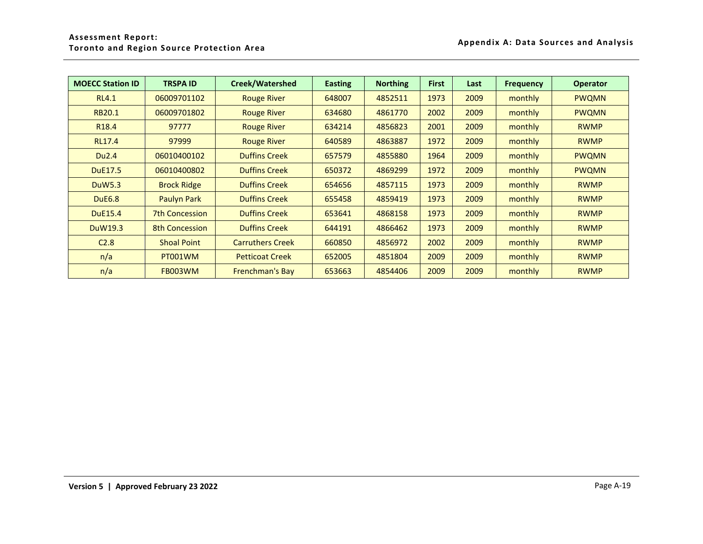| <b>MOECC Station ID</b> | <b>TRSPA ID</b>       | <b>Creek/Watershed</b>  | <b>Easting</b> | <b>Northing</b> | <b>First</b> | Last | <b>Frequency</b> | <b>Operator</b> |
|-------------------------|-----------------------|-------------------------|----------------|-----------------|--------------|------|------------------|-----------------|
| <b>RL4.1</b>            | 06009701102           | <b>Rouge River</b>      | 648007         | 4852511         | 1973         | 2009 | monthly          | <b>PWQMN</b>    |
| RB20.1                  | 06009701802           | <b>Rouge River</b>      | 634680         | 4861770         | 2002         | 2009 | monthly          | <b>PWQMN</b>    |
| R <sub>18.4</sub>       | 97777                 | <b>Rouge River</b>      | 634214         | 4856823         | 2001         | 2009 | monthly          | <b>RWMP</b>     |
| <b>RL17.4</b>           | 97999                 | <b>Rouge River</b>      | 640589         | 4863887         | 1972         | 2009 | monthly          | <b>RWMP</b>     |
| Du2.4                   | 06010400102           | <b>Duffins Creek</b>    | 657579         | 4855880         | 1964         | 2009 | monthly          | <b>PWQMN</b>    |
| <b>DuE17.5</b>          | 06010400802           | <b>Duffins Creek</b>    | 650372         | 4869299         | 1972         | 2009 | monthly          | <b>PWQMN</b>    |
| <b>DuW5.3</b>           | <b>Brock Ridge</b>    | <b>Duffins Creek</b>    | 654656         | 4857115         | 1973         | 2009 | monthly          | <b>RWMP</b>     |
| <b>DuE6.8</b>           | Paulyn Park           | <b>Duffins Creek</b>    | 655458         | 4859419         | 1973         | 2009 | monthly          | <b>RWMP</b>     |
| <b>DuE15.4</b>          | <b>7th Concession</b> | <b>Duffins Creek</b>    | 653641         | 4868158         | 1973         | 2009 | monthly          | <b>RWMP</b>     |
| DuW19.3                 | <b>8th Concession</b> | <b>Duffins Creek</b>    | 644191         | 4866462         | 1973         | 2009 | monthly          | <b>RWMP</b>     |
| C <sub>2.8</sub>        | <b>Shoal Point</b>    | <b>Carruthers Creek</b> | 660850         | 4856972         | 2002         | 2009 | monthly          | <b>RWMP</b>     |
| n/a                     | PT001WM               | <b>Petticoat Creek</b>  | 652005         | 4851804         | 2009         | 2009 | monthly          | <b>RWMP</b>     |
| n/a                     | <b>FB003WM</b>        | Frenchman's Bay         | 653663         | 4854406         | 2009         | 2009 | monthly          | <b>RWMP</b>     |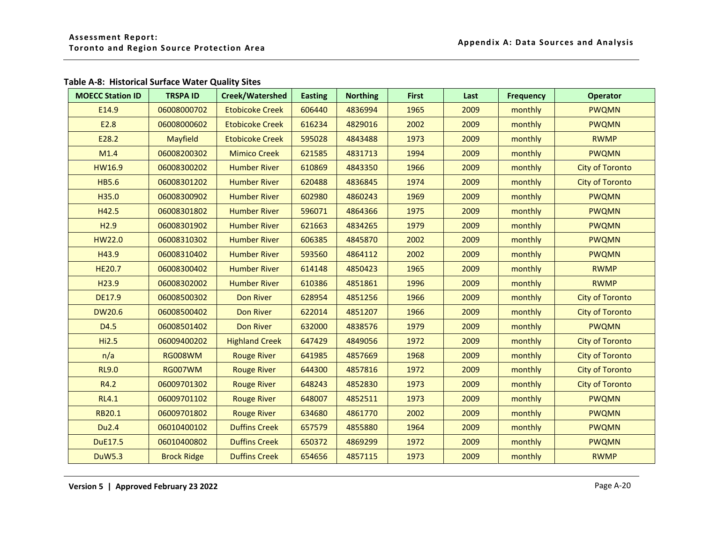# **Table A-8: Historical Surface Water Quality Sites**

<span id="page-21-0"></span>

| <b>MOECC Station ID</b> | <b>TRSPA ID</b>    | <b>Creek/Watershed</b> | <b>Easting</b> | <b>Northing</b> | <b>First</b> | Last | <b>Frequency</b> | <b>Operator</b>        |
|-------------------------|--------------------|------------------------|----------------|-----------------|--------------|------|------------------|------------------------|
| E14.9                   | 06008000702        | <b>Etobicoke Creek</b> | 606440         | 4836994         | 1965         | 2009 | monthly          | <b>PWQMN</b>           |
| E2.8                    | 06008000602        | <b>Etobicoke Creek</b> | 616234         | 4829016         | 2002         | 2009 | monthly          | <b>PWQMN</b>           |
| E28.2                   | Mayfield           | <b>Etobicoke Creek</b> | 595028         | 4843488         | 1973         | 2009 | monthly          | <b>RWMP</b>            |
| M1.4                    | 06008200302        | <b>Mimico Creek</b>    | 621585         | 4831713         | 1994         | 2009 | monthly          | <b>PWQMN</b>           |
| HW16.9                  | 06008300202        | <b>Humber River</b>    | 610869         | 4843350         | 1966         | 2009 | monthly          | <b>City of Toronto</b> |
| <b>HB5.6</b>            | 06008301202        | <b>Humber River</b>    | 620488         | 4836845         | 1974         | 2009 | monthly          | <b>City of Toronto</b> |
| H35.0                   | 06008300902        | <b>Humber River</b>    | 602980         | 4860243         | 1969         | 2009 | monthly          | <b>PWQMN</b>           |
| H42.5                   | 06008301802        | <b>Humber River</b>    | 596071         | 4864366         | 1975         | 2009 | monthly          | <b>PWQMN</b>           |
| H2.9                    | 06008301902        | <b>Humber River</b>    | 621663         | 4834265         | 1979         | 2009 | monthly          | <b>PWQMN</b>           |
| HW22.0                  | 06008310302        | <b>Humber River</b>    | 606385         | 4845870         | 2002         | 2009 | monthly          | <b>PWQMN</b>           |
| H43.9                   | 06008310402        | <b>Humber River</b>    | 593560         | 4864112         | 2002         | 2009 | monthly          | <b>PWQMN</b>           |
| <b>HE20.7</b>           | 06008300402        | <b>Humber River</b>    | 614148         | 4850423         | 1965         | 2009 | monthly          | <b>RWMP</b>            |
| H <sub>23.9</sub>       | 06008302002        | <b>Humber River</b>    | 610386         | 4851861         | 1996         | 2009 | monthly          | <b>RWMP</b>            |
| <b>DE17.9</b>           | 06008500302        | <b>Don River</b>       | 628954         | 4851256         | 1966         | 2009 | monthly          | <b>City of Toronto</b> |
| <b>DW20.6</b>           | 06008500402        | Don River              | 622014         | 4851207         | 1966         | 2009 | monthly          | <b>City of Toronto</b> |
| D4.5                    | 06008501402        | <b>Don River</b>       | 632000         | 4838576         | 1979         | 2009 | monthly          | <b>PWQMN</b>           |
| Hi2.5                   | 06009400202        | <b>Highland Creek</b>  | 647429         | 4849056         | 1972         | 2009 | monthly          | <b>City of Toronto</b> |
| n/a                     | <b>RG008WM</b>     | <b>Rouge River</b>     | 641985         | 4857669         | 1968         | 2009 | monthly          | <b>City of Toronto</b> |
| <b>RL9.0</b>            | <b>RG007WM</b>     | <b>Rouge River</b>     | 644300         | 4857816         | 1972         | 2009 | monthly          | <b>City of Toronto</b> |
| R4.2                    | 06009701302        | <b>Rouge River</b>     | 648243         | 4852830         | 1973         | 2009 | monthly          | <b>City of Toronto</b> |
| <b>RL4.1</b>            | 06009701102        | <b>Rouge River</b>     | 648007         | 4852511         | 1973         | 2009 | monthly          | <b>PWQMN</b>           |
| RB20.1                  | 06009701802        | <b>Rouge River</b>     | 634680         | 4861770         | 2002         | 2009 | monthly          | <b>PWQMN</b>           |
| <b>Du2.4</b>            | 06010400102        | <b>Duffins Creek</b>   | 657579         | 4855880         | 1964         | 2009 | monthly          | <b>PWQMN</b>           |
| <b>DuE17.5</b>          | 06010400802        | <b>Duffins Creek</b>   | 650372         | 4869299         | 1972         | 2009 | monthly          | <b>PWQMN</b>           |
| <b>DuW5.3</b>           | <b>Brock Ridge</b> | <b>Duffins Creek</b>   | 654656         | 4857115         | 1973         | 2009 | monthly          | <b>RWMP</b>            |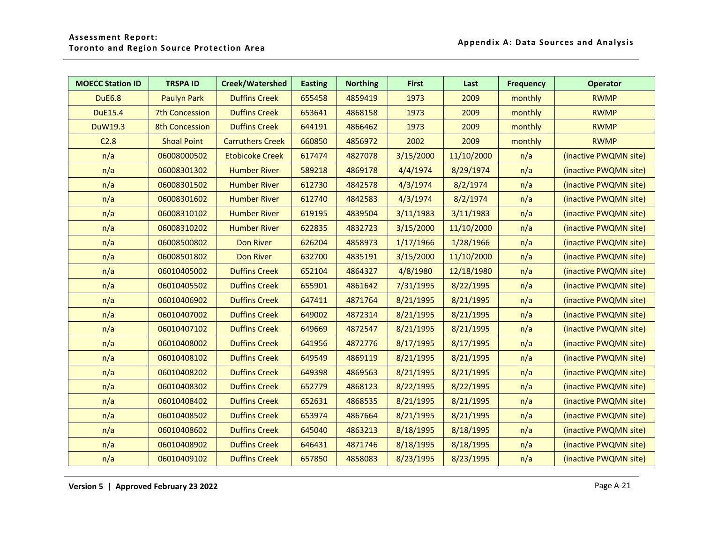| <b>MOECC Station ID</b> | <b>TRSPA ID</b>       | Creek/Watershed         | <b>Easting</b> | <b>Northing</b> | <b>First</b> | Last       | <b>Frequency</b> | <b>Operator</b>       |
|-------------------------|-----------------------|-------------------------|----------------|-----------------|--------------|------------|------------------|-----------------------|
| <b>DuE6.8</b>           | <b>Paulyn Park</b>    | <b>Duffins Creek</b>    | 655458         | 4859419         | 1973         | 2009       | monthly          | <b>RWMP</b>           |
| <b>DuE15.4</b>          | <b>7th Concession</b> | <b>Duffins Creek</b>    | 653641         | 4868158         | 1973         | 2009       | monthly          | <b>RWMP</b>           |
| DuW19.3                 | <b>8th Concession</b> | <b>Duffins Creek</b>    | 644191         | 4866462         | 1973         | 2009       | monthly          | <b>RWMP</b>           |
| C <sub>2.8</sub>        | <b>Shoal Point</b>    | <b>Carruthers Creek</b> | 660850         | 4856972         | 2002         | 2009       | monthly          | <b>RWMP</b>           |
| n/a                     | 06008000502           | <b>Etobicoke Creek</b>  | 617474         | 4827078         | 3/15/2000    | 11/10/2000 | n/a              | (inactive PWQMN site) |
| n/a                     | 06008301302           | <b>Humber River</b>     | 589218         | 4869178         | 4/4/1974     | 8/29/1974  | n/a              | (inactive PWQMN site) |
| n/a                     | 06008301502           | <b>Humber River</b>     | 612730         | 4842578         | 4/3/1974     | 8/2/1974   | n/a              | (inactive PWQMN site) |
| n/a                     | 06008301602           | <b>Humber River</b>     | 612740         | 4842583         | 4/3/1974     | 8/2/1974   | n/a              | (inactive PWQMN site) |
| n/a                     | 06008310102           | <b>Humber River</b>     | 619195         | 4839504         | 3/11/1983    | 3/11/1983  | n/a              | (inactive PWQMN site) |
| n/a                     | 06008310202           | <b>Humber River</b>     | 622835         | 4832723         | 3/15/2000    | 11/10/2000 | n/a              | (inactive PWQMN site) |
| n/a                     | 06008500802           | <b>Don River</b>        | 626204         | 4858973         | 1/17/1966    | 1/28/1966  | n/a              | (inactive PWQMN site) |
| n/a                     | 06008501802           | <b>Don River</b>        | 632700         | 4835191         | 3/15/2000    | 11/10/2000 | n/a              | (inactive PWQMN site) |
| n/a                     | 06010405002           | <b>Duffins Creek</b>    | 652104         | 4864327         | 4/8/1980     | 12/18/1980 | n/a              | (inactive PWQMN site) |
| n/a                     | 06010405502           | <b>Duffins Creek</b>    | 655901         | 4861642         | 7/31/1995    | 8/22/1995  | n/a              | (inactive PWQMN site) |
| n/a                     | 06010406902           | <b>Duffins Creek</b>    | 647411         | 4871764         | 8/21/1995    | 8/21/1995  | n/a              | (inactive PWQMN site) |
| n/a                     | 06010407002           | <b>Duffins Creek</b>    | 649002         | 4872314         | 8/21/1995    | 8/21/1995  | n/a              | (inactive PWQMN site) |
| n/a                     | 06010407102           | <b>Duffins Creek</b>    | 649669         | 4872547         | 8/21/1995    | 8/21/1995  | n/a              | (inactive PWQMN site) |
| n/a                     | 06010408002           | <b>Duffins Creek</b>    | 641956         | 4872776         | 8/17/1995    | 8/17/1995  | n/a              | (inactive PWQMN site) |
| n/a                     | 06010408102           | <b>Duffins Creek</b>    | 649549         | 4869119         | 8/21/1995    | 8/21/1995  | n/a              | (inactive PWQMN site) |
| n/a                     | 06010408202           | <b>Duffins Creek</b>    | 649398         | 4869563         | 8/21/1995    | 8/21/1995  | n/a              | (inactive PWQMN site) |
| n/a                     | 06010408302           | <b>Duffins Creek</b>    | 652779         | 4868123         | 8/22/1995    | 8/22/1995  | n/a              | (inactive PWQMN site) |
| n/a                     | 06010408402           | <b>Duffins Creek</b>    | 652631         | 4868535         | 8/21/1995    | 8/21/1995  | n/a              | (inactive PWQMN site) |
| n/a                     | 06010408502           | <b>Duffins Creek</b>    | 653974         | 4867664         | 8/21/1995    | 8/21/1995  | n/a              | (inactive PWQMN site) |
| n/a                     | 06010408602           | <b>Duffins Creek</b>    | 645040         | 4863213         | 8/18/1995    | 8/18/1995  | n/a              | (inactive PWQMN site) |
| n/a                     | 06010408902           | <b>Duffins Creek</b>    | 646431         | 4871746         | 8/18/1995    | 8/18/1995  | n/a              | (inactive PWQMN site) |
| n/a                     | 06010409102           | <b>Duffins Creek</b>    | 657850         | 4858083         | 8/23/1995    | 8/23/1995  | n/a              | (inactive PWQMN site) |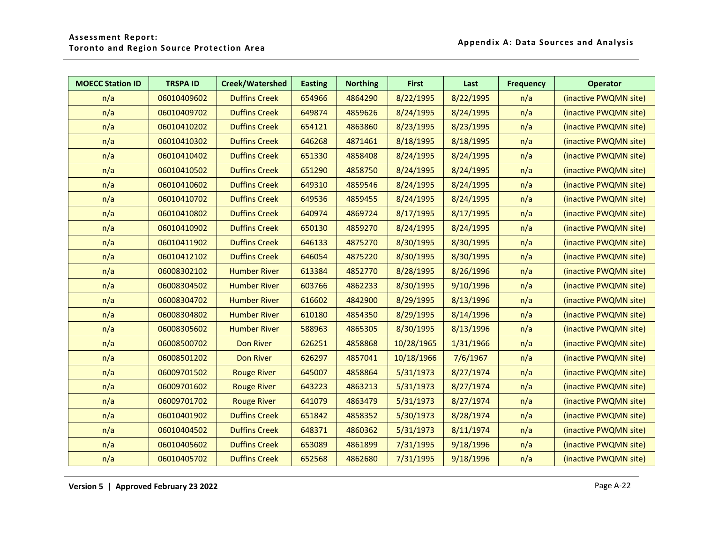| <b>MOECC Station ID</b> | <b>TRSPA ID</b> | Creek/Watershed      | <b>Easting</b> | <b>Northing</b> | <b>First</b> | Last      | <b>Frequency</b> | <b>Operator</b>       |
|-------------------------|-----------------|----------------------|----------------|-----------------|--------------|-----------|------------------|-----------------------|
| n/a                     | 06010409602     | <b>Duffins Creek</b> | 654966         | 4864290         | 8/22/1995    | 8/22/1995 | n/a              | (inactive PWQMN site) |
| n/a                     | 06010409702     | <b>Duffins Creek</b> | 649874         | 4859626         | 8/24/1995    | 8/24/1995 | n/a              | (inactive PWQMN site) |
| n/a                     | 06010410202     | <b>Duffins Creek</b> | 654121         | 4863860         | 8/23/1995    | 8/23/1995 | n/a              | (inactive PWQMN site) |
| n/a                     | 06010410302     | <b>Duffins Creek</b> | 646268         | 4871461         | 8/18/1995    | 8/18/1995 | n/a              | (inactive PWQMN site) |
| n/a                     | 06010410402     | <b>Duffins Creek</b> | 651330         | 4858408         | 8/24/1995    | 8/24/1995 | n/a              | (inactive PWQMN site) |
| n/a                     | 06010410502     | <b>Duffins Creek</b> | 651290         | 4858750         | 8/24/1995    | 8/24/1995 | n/a              | (inactive PWQMN site) |
| n/a                     | 06010410602     | <b>Duffins Creek</b> | 649310         | 4859546         | 8/24/1995    | 8/24/1995 | n/a              | (inactive PWQMN site) |
| n/a                     | 06010410702     | <b>Duffins Creek</b> | 649536         | 4859455         | 8/24/1995    | 8/24/1995 | n/a              | (inactive PWQMN site) |
| n/a                     | 06010410802     | <b>Duffins Creek</b> | 640974         | 4869724         | 8/17/1995    | 8/17/1995 | n/a              | (inactive PWQMN site) |
| n/a                     | 06010410902     | <b>Duffins Creek</b> | 650130         | 4859270         | 8/24/1995    | 8/24/1995 | n/a              | (inactive PWQMN site) |
| n/a                     | 06010411902     | <b>Duffins Creek</b> | 646133         | 4875270         | 8/30/1995    | 8/30/1995 | n/a              | (inactive PWQMN site) |
| n/a                     | 06010412102     | <b>Duffins Creek</b> | 646054         | 4875220         | 8/30/1995    | 8/30/1995 | n/a              | (inactive PWQMN site) |
| n/a                     | 06008302102     | <b>Humber River</b>  | 613384         | 4852770         | 8/28/1995    | 8/26/1996 | n/a              | (inactive PWQMN site) |
| n/a                     | 06008304502     | <b>Humber River</b>  | 603766         | 4862233         | 8/30/1995    | 9/10/1996 | n/a              | (inactive PWQMN site) |
| n/a                     | 06008304702     | <b>Humber River</b>  | 616602         | 4842900         | 8/29/1995    | 8/13/1996 | n/a              | (inactive PWQMN site) |
| n/a                     | 06008304802     | <b>Humber River</b>  | 610180         | 4854350         | 8/29/1995    | 8/14/1996 | n/a              | (inactive PWQMN site) |
| n/a                     | 06008305602     | <b>Humber River</b>  | 588963         | 4865305         | 8/30/1995    | 8/13/1996 | n/a              | (inactive PWQMN site) |
| n/a                     | 06008500702     | <b>Don River</b>     | 626251         | 4858868         | 10/28/1965   | 1/31/1966 | n/a              | (inactive PWQMN site) |
| n/a                     | 06008501202     | <b>Don River</b>     | 626297         | 4857041         | 10/18/1966   | 7/6/1967  | n/a              | (inactive PWQMN site) |
| n/a                     | 06009701502     | <b>Rouge River</b>   | 645007         | 4858864         | 5/31/1973    | 8/27/1974 | n/a              | (inactive PWQMN site) |
| n/a                     | 06009701602     | <b>Rouge River</b>   | 643223         | 4863213         | 5/31/1973    | 8/27/1974 | n/a              | (inactive PWQMN site) |
| n/a                     | 06009701702     | <b>Rouge River</b>   | 641079         | 4863479         | 5/31/1973    | 8/27/1974 | n/a              | (inactive PWQMN site) |
| n/a                     | 06010401902     | <b>Duffins Creek</b> | 651842         | 4858352         | 5/30/1973    | 8/28/1974 | n/a              | (inactive PWQMN site) |
| n/a                     | 06010404502     | <b>Duffins Creek</b> | 648371         | 4860362         | 5/31/1973    | 8/11/1974 | n/a              | (inactive PWQMN site) |
| n/a                     | 06010405602     | <b>Duffins Creek</b> | 653089         | 4861899         | 7/31/1995    | 9/18/1996 | n/a              | (inactive PWQMN site) |
| n/a                     | 06010405702     | <b>Duffins Creek</b> | 652568         | 4862680         | 7/31/1995    | 9/18/1996 | n/a              | (inactive PWQMN site) |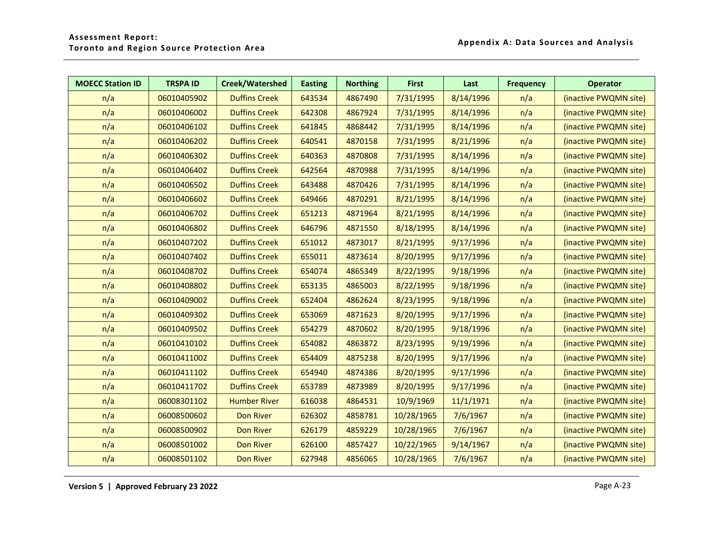| <b>MOECC Station ID</b> | <b>TRSPA ID</b> | Creek/Watershed      | <b>Easting</b> | <b>Northing</b> | <b>First</b> | Last      | <b>Frequency</b> | <b>Operator</b>       |
|-------------------------|-----------------|----------------------|----------------|-----------------|--------------|-----------|------------------|-----------------------|
| n/a                     | 06010405902     | <b>Duffins Creek</b> | 643534         | 4867490         | 7/31/1995    | 8/14/1996 | n/a              | (inactive PWQMN site) |
| n/a                     | 06010406002     | <b>Duffins Creek</b> | 642308         | 4867924         | 7/31/1995    | 8/14/1996 | n/a              | (inactive PWQMN site) |
| n/a                     | 06010406102     | <b>Duffins Creek</b> | 641845         | 4868442         | 7/31/1995    | 8/14/1996 | n/a              | (inactive PWQMN site) |
| n/a                     | 06010406202     | <b>Duffins Creek</b> | 640541         | 4870158         | 7/31/1995    | 8/21/1996 | n/a              | (inactive PWQMN site) |
| n/a                     | 06010406302     | <b>Duffins Creek</b> | 640363         | 4870808         | 7/31/1995    | 8/14/1996 | n/a              | (inactive PWQMN site) |
| n/a                     | 06010406402     | <b>Duffins Creek</b> | 642564         | 4870988         | 7/31/1995    | 8/14/1996 | n/a              | (inactive PWQMN site) |
| n/a                     | 06010406502     | <b>Duffins Creek</b> | 643488         | 4870426         | 7/31/1995    | 8/14/1996 | n/a              | (inactive PWQMN site) |
| n/a                     | 06010406602     | <b>Duffins Creek</b> | 649466         | 4870291         | 8/21/1995    | 8/14/1996 | n/a              | (inactive PWQMN site) |
| n/a                     | 06010406702     | <b>Duffins Creek</b> | 651213         | 4871964         | 8/21/1995    | 8/14/1996 | n/a              | (inactive PWQMN site) |
| n/a                     | 06010406802     | <b>Duffins Creek</b> | 646796         | 4871550         | 8/18/1995    | 8/14/1996 | n/a              | (inactive PWQMN site) |
| n/a                     | 06010407202     | <b>Duffins Creek</b> | 651012         | 4873017         | 8/21/1995    | 9/17/1996 | n/a              | (inactive PWQMN site) |
| n/a                     | 06010407402     | <b>Duffins Creek</b> | 655011         | 4873614         | 8/20/1995    | 9/17/1996 | n/a              | (inactive PWQMN site) |
| n/a                     | 06010408702     | <b>Duffins Creek</b> | 654074         | 4865349         | 8/22/1995    | 9/18/1996 | n/a              | (inactive PWQMN site) |
| n/a                     | 06010408802     | <b>Duffins Creek</b> | 653135         | 4865003         | 8/22/1995    | 9/18/1996 | n/a              | (inactive PWQMN site) |
| n/a                     | 06010409002     | <b>Duffins Creek</b> | 652404         | 4862624         | 8/23/1995    | 9/18/1996 | n/a              | (inactive PWQMN site) |
| n/a                     | 06010409302     | <b>Duffins Creek</b> | 653069         | 4871623         | 8/20/1995    | 9/17/1996 | n/a              | (inactive PWQMN site) |
| n/a                     | 06010409502     | <b>Duffins Creek</b> | 654279         | 4870602         | 8/20/1995    | 9/18/1996 | n/a              | (inactive PWQMN site) |
| n/a                     | 06010410102     | <b>Duffins Creek</b> | 654082         | 4863872         | 8/23/1995    | 9/19/1996 | n/a              | (inactive PWQMN site) |
| n/a                     | 06010411002     | <b>Duffins Creek</b> | 654409         | 4875238         | 8/20/1995    | 9/17/1996 | n/a              | (inactive PWQMN site) |
| n/a                     | 06010411102     | <b>Duffins Creek</b> | 654940         | 4874386         | 8/20/1995    | 9/17/1996 | n/a              | (inactive PWQMN site) |
| n/a                     | 06010411702     | <b>Duffins Creek</b> | 653789         | 4873989         | 8/20/1995    | 9/17/1996 | n/a              | (inactive PWQMN site) |
| n/a                     | 06008301102     | <b>Humber River</b>  | 616038         | 4864531         | 10/9/1969    | 11/1/1971 | n/a              | (inactive PWQMN site) |
| n/a                     | 06008500602     | <b>Don River</b>     | 626302         | 4858781         | 10/28/1965   | 7/6/1967  | n/a              | (inactive PWQMN site) |
| n/a                     | 06008500902     | <b>Don River</b>     | 626179         | 4859229         | 10/28/1965   | 7/6/1967  | n/a              | (inactive PWQMN site) |
| n/a                     | 06008501002     | <b>Don River</b>     | 626100         | 4857427         | 10/22/1965   | 9/14/1967 | n/a              | (inactive PWQMN site) |
| n/a                     | 06008501102     | <b>Don River</b>     | 627948         | 4856065         | 10/28/1965   | 7/6/1967  | n/a              | (inactive PWQMN site) |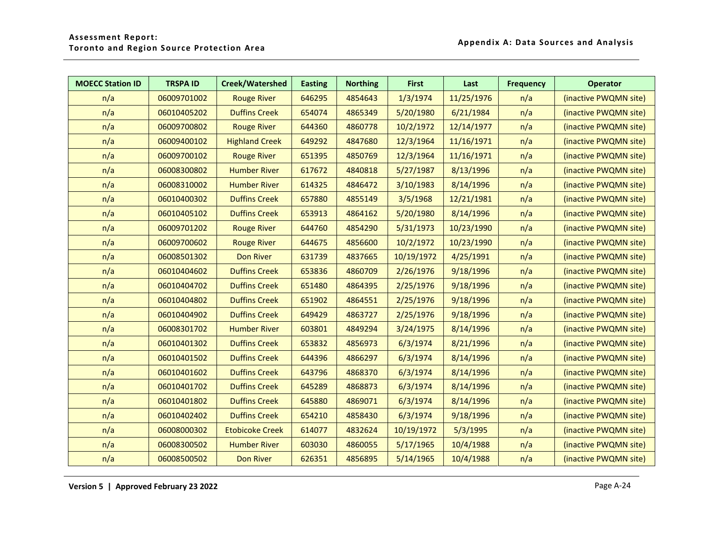| <b>MOECC Station ID</b> | <b>TRSPA ID</b> | Creek/Watershed        | <b>Easting</b> | <b>Northing</b> | <b>First</b> | Last       | <b>Frequency</b> | <b>Operator</b>       |
|-------------------------|-----------------|------------------------|----------------|-----------------|--------------|------------|------------------|-----------------------|
| n/a                     | 06009701002     | <b>Rouge River</b>     | 646295         | 4854643         | 1/3/1974     | 11/25/1976 | n/a              | (inactive PWQMN site) |
| n/a                     | 06010405202     | <b>Duffins Creek</b>   | 654074         | 4865349         | 5/20/1980    | 6/21/1984  | n/a              | (inactive PWQMN site) |
| n/a                     | 06009700802     | <b>Rouge River</b>     | 644360         | 4860778         | 10/2/1972    | 12/14/1977 | n/a              | (inactive PWQMN site) |
| n/a                     | 06009400102     | <b>Highland Creek</b>  | 649292         | 4847680         | 12/3/1964    | 11/16/1971 | n/a              | (inactive PWQMN site) |
| n/a                     | 06009700102     | <b>Rouge River</b>     | 651395         | 4850769         | 12/3/1964    | 11/16/1971 | n/a              | (inactive PWQMN site) |
| n/a                     | 06008300802     | <b>Humber River</b>    | 617672         | 4840818         | 5/27/1987    | 8/13/1996  | n/a              | (inactive PWQMN site) |
| n/a                     | 06008310002     | <b>Humber River</b>    | 614325         | 4846472         | 3/10/1983    | 8/14/1996  | n/a              | (inactive PWQMN site) |
| n/a                     | 06010400302     | <b>Duffins Creek</b>   | 657880         | 4855149         | 3/5/1968     | 12/21/1981 | n/a              | (inactive PWQMN site) |
| n/a                     | 06010405102     | <b>Duffins Creek</b>   | 653913         | 4864162         | 5/20/1980    | 8/14/1996  | n/a              | (inactive PWQMN site) |
| n/a                     | 06009701202     | <b>Rouge River</b>     | 644760         | 4854290         | 5/31/1973    | 10/23/1990 | n/a              | (inactive PWQMN site) |
| n/a                     | 06009700602     | <b>Rouge River</b>     | 644675         | 4856600         | 10/2/1972    | 10/23/1990 | n/a              | (inactive PWQMN site) |
| n/a                     | 06008501302     | <b>Don River</b>       | 631739         | 4837665         | 10/19/1972   | 4/25/1991  | n/a              | (inactive PWQMN site) |
| n/a                     | 06010404602     | <b>Duffins Creek</b>   | 653836         | 4860709         | 2/26/1976    | 9/18/1996  | n/a              | (inactive PWQMN site) |
| n/a                     | 06010404702     | <b>Duffins Creek</b>   | 651480         | 4864395         | 2/25/1976    | 9/18/1996  | n/a              | (inactive PWQMN site) |
| n/a                     | 06010404802     | <b>Duffins Creek</b>   | 651902         | 4864551         | 2/25/1976    | 9/18/1996  | n/a              | (inactive PWQMN site) |
| n/a                     | 06010404902     | <b>Duffins Creek</b>   | 649429         | 4863727         | 2/25/1976    | 9/18/1996  | n/a              | (inactive PWQMN site) |
| n/a                     | 06008301702     | <b>Humber River</b>    | 603801         | 4849294         | 3/24/1975    | 8/14/1996  | n/a              | (inactive PWQMN site) |
| n/a                     | 06010401302     | <b>Duffins Creek</b>   | 653832         | 4856973         | 6/3/1974     | 8/21/1996  | n/a              | (inactive PWQMN site) |
| n/a                     | 06010401502     | <b>Duffins Creek</b>   | 644396         | 4866297         | 6/3/1974     | 8/14/1996  | n/a              | (inactive PWQMN site) |
| n/a                     | 06010401602     | <b>Duffins Creek</b>   | 643796         | 4868370         | 6/3/1974     | 8/14/1996  | n/a              | (inactive PWQMN site) |
| n/a                     | 06010401702     | <b>Duffins Creek</b>   | 645289         | 4868873         | 6/3/1974     | 8/14/1996  | n/a              | (inactive PWQMN site) |
| n/a                     | 06010401802     | <b>Duffins Creek</b>   | 645880         | 4869071         | 6/3/1974     | 8/14/1996  | n/a              | (inactive PWQMN site) |
| n/a                     | 06010402402     | <b>Duffins Creek</b>   | 654210         | 4858430         | 6/3/1974     | 9/18/1996  | n/a              | (inactive PWQMN site) |
| n/a                     | 06008000302     | <b>Etobicoke Creek</b> | 614077         | 4832624         | 10/19/1972   | 5/3/1995   | n/a              | (inactive PWQMN site) |
| n/a                     | 06008300502     | <b>Humber River</b>    | 603030         | 4860055         | 5/17/1965    | 10/4/1988  | n/a              | (inactive PWQMN site) |
| n/a                     | 06008500502     | <b>Don River</b>       | 626351         | 4856895         | 5/14/1965    | 10/4/1988  | n/a              | (inactive PWQMN site) |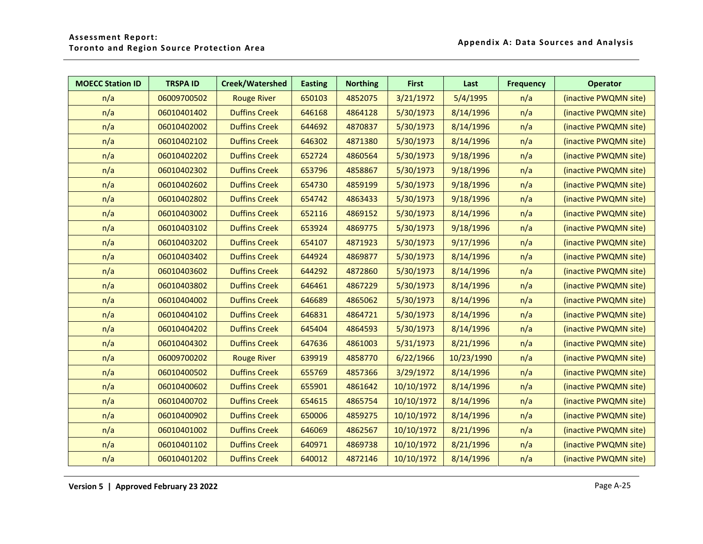| <b>MOECC Station ID</b> | <b>TRSPA ID</b> | Creek/Watershed      | <b>Easting</b> | <b>Northing</b> | <b>First</b> | Last       | <b>Frequency</b> | <b>Operator</b>       |
|-------------------------|-----------------|----------------------|----------------|-----------------|--------------|------------|------------------|-----------------------|
| n/a                     | 06009700502     | <b>Rouge River</b>   | 650103         | 4852075         | 3/21/1972    | 5/4/1995   | n/a              | (inactive PWQMN site) |
| n/a                     | 06010401402     | <b>Duffins Creek</b> | 646168         | 4864128         | 5/30/1973    | 8/14/1996  | n/a              | (inactive PWQMN site) |
| n/a                     | 06010402002     | <b>Duffins Creek</b> | 644692         | 4870837         | 5/30/1973    | 8/14/1996  | n/a              | (inactive PWQMN site) |
| n/a                     | 06010402102     | <b>Duffins Creek</b> | 646302         | 4871380         | 5/30/1973    | 8/14/1996  | n/a              | (inactive PWQMN site) |
| n/a                     | 06010402202     | <b>Duffins Creek</b> | 652724         | 4860564         | 5/30/1973    | 9/18/1996  | n/a              | (inactive PWQMN site) |
| n/a                     | 06010402302     | <b>Duffins Creek</b> | 653796         | 4858867         | 5/30/1973    | 9/18/1996  | n/a              | (inactive PWQMN site) |
| n/a                     | 06010402602     | <b>Duffins Creek</b> | 654730         | 4859199         | 5/30/1973    | 9/18/1996  | n/a              | (inactive PWQMN site) |
| n/a                     | 06010402802     | <b>Duffins Creek</b> | 654742         | 4863433         | 5/30/1973    | 9/18/1996  | n/a              | (inactive PWQMN site) |
| n/a                     | 06010403002     | <b>Duffins Creek</b> | 652116         | 4869152         | 5/30/1973    | 8/14/1996  | n/a              | (inactive PWQMN site) |
| n/a                     | 06010403102     | <b>Duffins Creek</b> | 653924         | 4869775         | 5/30/1973    | 9/18/1996  | n/a              | (inactive PWQMN site) |
| n/a                     | 06010403202     | <b>Duffins Creek</b> | 654107         | 4871923         | 5/30/1973    | 9/17/1996  | n/a              | (inactive PWQMN site) |
| n/a                     | 06010403402     | <b>Duffins Creek</b> | 644924         | 4869877         | 5/30/1973    | 8/14/1996  | n/a              | (inactive PWQMN site) |
| n/a                     | 06010403602     | <b>Duffins Creek</b> | 644292         | 4872860         | 5/30/1973    | 8/14/1996  | n/a              | (inactive PWQMN site) |
| n/a                     | 06010403802     | <b>Duffins Creek</b> | 646461         | 4867229         | 5/30/1973    | 8/14/1996  | n/a              | (inactive PWQMN site) |
| n/a                     | 06010404002     | <b>Duffins Creek</b> | 646689         | 4865062         | 5/30/1973    | 8/14/1996  | n/a              | (inactive PWQMN site) |
| n/a                     | 06010404102     | <b>Duffins Creek</b> | 646831         | 4864721         | 5/30/1973    | 8/14/1996  | n/a              | (inactive PWQMN site) |
| n/a                     | 06010404202     | <b>Duffins Creek</b> | 645404         | 4864593         | 5/30/1973    | 8/14/1996  | n/a              | (inactive PWQMN site) |
| n/a                     | 06010404302     | <b>Duffins Creek</b> | 647636         | 4861003         | 5/31/1973    | 8/21/1996  | n/a              | (inactive PWQMN site) |
| n/a                     | 06009700202     | <b>Rouge River</b>   | 639919         | 4858770         | 6/22/1966    | 10/23/1990 | n/a              | (inactive PWQMN site) |
| n/a                     | 06010400502     | <b>Duffins Creek</b> | 655769         | 4857366         | 3/29/1972    | 8/14/1996  | n/a              | (inactive PWQMN site) |
| n/a                     | 06010400602     | <b>Duffins Creek</b> | 655901         | 4861642         | 10/10/1972   | 8/14/1996  | n/a              | (inactive PWQMN site) |
| n/a                     | 06010400702     | <b>Duffins Creek</b> | 654615         | 4865754         | 10/10/1972   | 8/14/1996  | n/a              | (inactive PWQMN site) |
| n/a                     | 06010400902     | <b>Duffins Creek</b> | 650006         | 4859275         | 10/10/1972   | 8/14/1996  | n/a              | (inactive PWQMN site) |
| n/a                     | 06010401002     | <b>Duffins Creek</b> | 646069         | 4862567         | 10/10/1972   | 8/21/1996  | n/a              | (inactive PWQMN site) |
| n/a                     | 06010401102     | <b>Duffins Creek</b> | 640971         | 4869738         | 10/10/1972   | 8/21/1996  | n/a              | (inactive PWQMN site) |
| n/a                     | 06010401202     | <b>Duffins Creek</b> | 640012         | 4872146         | 10/10/1972   | 8/14/1996  | n/a              | (inactive PWQMN site) |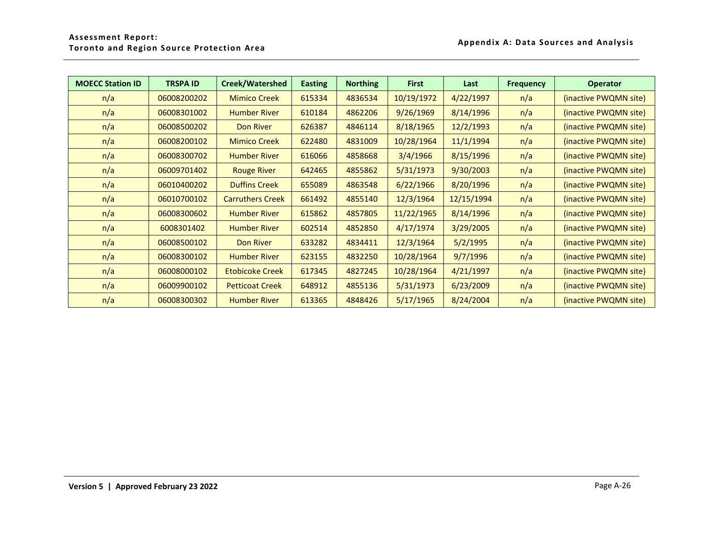| <b>MOECC Station ID</b> | <b>TRSPA ID</b> | Creek/Watershed         | <b>Easting</b> | <b>Northing</b> | <b>First</b> | Last       | <b>Frequency</b> | <b>Operator</b>       |
|-------------------------|-----------------|-------------------------|----------------|-----------------|--------------|------------|------------------|-----------------------|
| n/a                     | 06008200202     | <b>Mimico Creek</b>     | 615334         | 4836534         | 10/19/1972   | 4/22/1997  | n/a              | (inactive PWQMN site) |
| n/a                     | 06008301002     | <b>Humber River</b>     | 610184         | 4862206         | 9/26/1969    | 8/14/1996  | n/a              | (inactive PWQMN site) |
| n/a                     | 06008500202     | Don River               | 626387         | 4846114         | 8/18/1965    | 12/2/1993  | n/a              | (inactive PWQMN site) |
| n/a                     | 06008200102     | <b>Mimico Creek</b>     | 622480         | 4831009         | 10/28/1964   | 11/1/1994  | n/a              | (inactive PWQMN site) |
| n/a                     | 06008300702     | <b>Humber River</b>     | 616066         | 4858668         | 3/4/1966     | 8/15/1996  | n/a              | (inactive PWQMN site) |
| n/a                     | 06009701402     | <b>Rouge River</b>      | 642465         | 4855862         | 5/31/1973    | 9/30/2003  | n/a              | (inactive PWQMN site) |
| n/a                     | 06010400202     | <b>Duffins Creek</b>    | 655089         | 4863548         | 6/22/1966    | 8/20/1996  | n/a              | (inactive PWQMN site) |
| n/a                     | 06010700102     | <b>Carruthers Creek</b> | 661492         | 4855140         | 12/3/1964    | 12/15/1994 | n/a              | (inactive PWQMN site) |
| n/a                     | 06008300602     | <b>Humber River</b>     | 615862         | 4857805         | 11/22/1965   | 8/14/1996  | n/a              | (inactive PWQMN site) |
| n/a                     | 6008301402      | <b>Humber River</b>     | 602514         | 4852850         | 4/17/1974    | 3/29/2005  | n/a              | (inactive PWQMN site) |
| n/a                     | 06008500102     | Don River               | 633282         | 4834411         | 12/3/1964    | 5/2/1995   | n/a              | (inactive PWQMN site) |
| n/a                     | 06008300102     | <b>Humber River</b>     | 623155         | 4832250         | 10/28/1964   | 9/7/1996   | n/a              | (inactive PWQMN site) |
| n/a                     | 06008000102     | <b>Etobicoke Creek</b>  | 617345         | 4827245         | 10/28/1964   | 4/21/1997  | n/a              | (inactive PWQMN site) |
| n/a                     | 06009900102     | <b>Petticoat Creek</b>  | 648912         | 4855136         | 5/31/1973    | 6/23/2009  | n/a              | (inactive PWQMN site) |
| n/a                     | 06008300302     | <b>Humber River</b>     | 613365         | 4848426         | 5/17/1965    | 8/24/2004  | n/a              | (inactive PWQMN site) |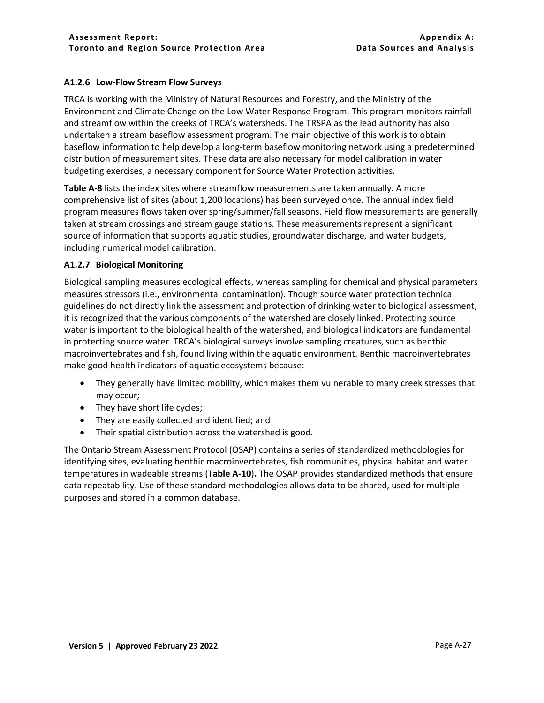## <span id="page-28-0"></span>**A1.2.6 Low-Flow Stream Flow Surveys**

TRCA is working with the Ministry of Natural Resources and Forestry, and the Ministry of the Environment and Climate Change on the Low Water Response Program. This program monitors rainfall and streamflow within the creeks of TRCA's watersheds. The TRSPA as the lead authority has also undertaken a stream baseflow assessment program. The main objective of this work is to obtain baseflow information to help develop a long-term baseflow monitoring network using a predetermined distribution of measurement sites. These data are also necessary for model calibration in water budgeting exercises, a necessary component for Source Water Protection activities.

**[Table A-8](#page-29-0)** lists the index sites where streamflow measurements are taken annually. A more comprehensive list of sites (about 1,200 locations) has been surveyed once. The annual index field program measures flows taken over spring/summer/fall seasons. Field flow measurements are generally taken at stream crossings and stream gauge stations. These measurements represent a significant source of information that supports aquatic studies, groundwater discharge, and water budgets, including numerical model calibration.

#### <span id="page-28-1"></span>**A1.2.7 Biological Monitoring**

Biological sampling measures ecological effects, whereas sampling for chemical and physical parameters measures stressors (i.e., environmental contamination). Though source water protection technical guidelines do not directly link the assessment and protection of drinking water to biological assessment, it is recognized that the various components of the watershed are closely linked. Protecting source water is important to the biological health of the watershed, and biological indicators are fundamental in protecting source water. TRCA's biological surveys involve sampling creatures, such as benthic macroinvertebrates and fish, found living within the aquatic environment. Benthic macroinvertebrates make good health indicators of aquatic ecosystems because:

- They generally have limited mobility, which makes them vulnerable to many creek stresses that may occur;
- They have short life cycles;
- They are easily collected and identified; and
- Their spatial distribution across the watershed is good.

The Ontario Stream Assessment Protocol (OSAP) contains a series of standardized methodologies for identifying sites, evaluating benthic macroinvertebrates, fish communities, physical habitat and water temperatures in wadeable streams (**Table A-10**)**.** The OSAP provides standardized methods that ensure data repeatability. Use of these standard methodologies allows data to be shared, used for multiple purposes and stored in a common database.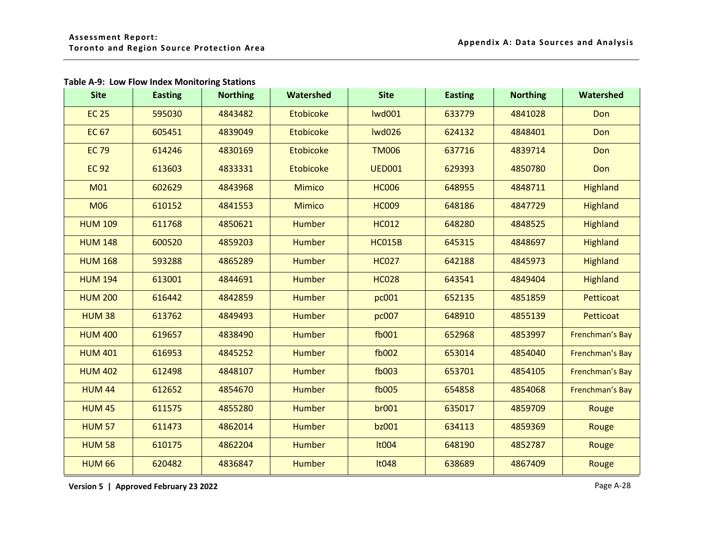<span id="page-29-0"></span>

| <b>Site</b>    | <b>Easting</b> | <b>Northing</b> | Watershed        | <b>Site</b>   | <b>Easting</b> | <b>Northing</b> | Watershed       |
|----------------|----------------|-----------------|------------------|---------------|----------------|-----------------|-----------------|
| <b>EC 25</b>   | 595030         | 4843482         | <b>Etobicoke</b> | <b>lwd001</b> | 633779         | 4841028         | Don             |
| <b>EC 67</b>   | 605451         | 4839049         | <b>Etobicoke</b> | <b>lwd026</b> | 624132         | 4848401         | Don             |
| <b>EC 79</b>   | 614246         | 4830169         | <b>Etobicoke</b> | <b>TM006</b>  | 637716         | 4839714         | Don             |
| <b>EC 92</b>   | 613603         | 4833331         | <b>Etobicoke</b> | <b>UED001</b> | 629393         | 4850780         | Don             |
| <b>M01</b>     | 602629         | 4843968         | <b>Mimico</b>    | <b>HC006</b>  | 648955         | 4848711         | <b>Highland</b> |
| <b>M06</b>     | 610152         | 4841553         | <b>Mimico</b>    | <b>HC009</b>  | 648186         | 4847729         | <b>Highland</b> |
| <b>HUM 109</b> | 611768         | 4850621         | <b>Humber</b>    | <b>HC012</b>  | 648280         | 4848525         | <b>Highland</b> |
| <b>HUM 148</b> | 600520         | 4859203         | <b>Humber</b>    | <b>HC015B</b> | 645315         | 4848697         | <b>Highland</b> |
| <b>HUM 168</b> | 593288         | 4865289         | <b>Humber</b>    | <b>HC027</b>  | 642188         | 4845973         | <b>Highland</b> |
| <b>HUM 194</b> | 613001         | 4844691         | <b>Humber</b>    | <b>HC028</b>  | 643541         | 4849404         | <b>Highland</b> |
| <b>HUM 200</b> | 616442         | 4842859         | <b>Humber</b>    | pc001         | 652135         | 4851859         | Petticoat       |
| <b>HUM 38</b>  | 613762         | 4849493         | <b>Humber</b>    | pc007         | 648910         | 4855139         | Petticoat       |
| <b>HUM 400</b> | 619657         | 4838490         | <b>Humber</b>    | fb001         | 652968         | 4853997         | Frenchman's Bay |
| <b>HUM 401</b> | 616953         | 4845252         | <b>Humber</b>    | fb002         | 653014         | 4854040         | Frenchman's Bay |
| <b>HUM 402</b> | 612498         | 4848107         | <b>Humber</b>    | fb003         | 653701         | 4854105         | Frenchman's Bay |
| <b>HUM 44</b>  | 612652         | 4854670         | <b>Humber</b>    | fb005         | 654858         | 4854068         | Frenchman's Bay |
| <b>HUM 45</b>  | 611575         | 4855280         | <b>Humber</b>    | <b>br001</b>  | 635017         | 4859709         | Rouge           |
| <b>HUM 57</b>  | 611473         | 4862014         | <b>Humber</b>    | bz001         | 634113         | 4859369         | Rouge           |
| <b>HUM 58</b>  | 610175         | 4862204         | <b>Humber</b>    | <b>It004</b>  | 648190         | 4852787         | Rouge           |
| <b>HUM 66</b>  | 620482         | 4836847         | <b>Humber</b>    | <b>It048</b>  | 638689         | 4867409         | Rouge           |

**Version 5 | Approved February 23 2022 Page A-28**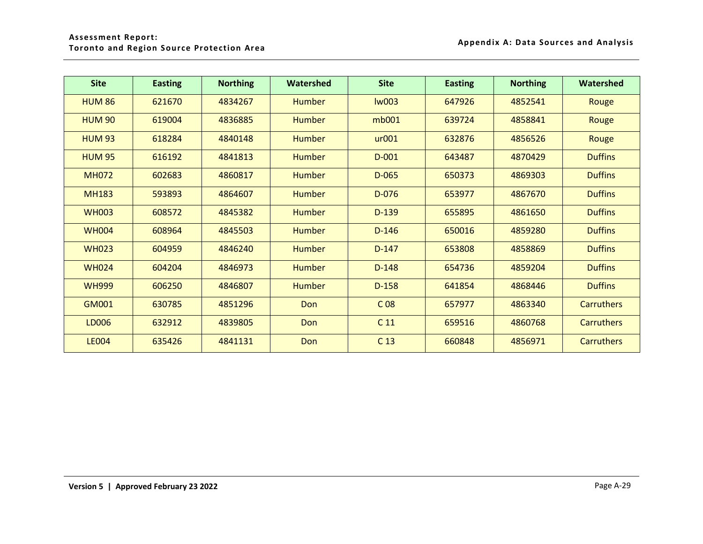| <b>Site</b>   | <b>Easting</b> | <b>Northing</b> | Watershed     | <b>Site</b>     | <b>Easting</b> | <b>Northing</b> | <b>Watershed</b>  |
|---------------|----------------|-----------------|---------------|-----------------|----------------|-----------------|-------------------|
| <b>HUM 86</b> | 621670         | 4834267         | <b>Humber</b> | <b>Iw003</b>    | 647926         | 4852541         | Rouge             |
| <b>HUM 90</b> | 619004         | 4836885         | <b>Humber</b> | mb001           | 639724         | 4858841         | Rouge             |
| <b>HUM 93</b> | 618284         | 4840148         | <b>Humber</b> | ur001           | 632876         | 4856526         | Rouge             |
| <b>HUM 95</b> | 616192         | 4841813         | <b>Humber</b> | $D-001$         | 643487         | 4870429         | <b>Duffins</b>    |
| <b>MH072</b>  | 602683         | 4860817         | <b>Humber</b> | $D-065$         | 650373         | 4869303         | <b>Duffins</b>    |
| <b>MH183</b>  | 593893         | 4864607         | <b>Humber</b> | $D-076$         | 653977         | 4867670         | <b>Duffins</b>    |
| <b>WH003</b>  | 608572         | 4845382         | <b>Humber</b> | $D-139$         | 655895         | 4861650         | <b>Duffins</b>    |
| <b>WH004</b>  | 608964         | 4845503         | <b>Humber</b> | $D-146$         | 650016         | 4859280         | <b>Duffins</b>    |
| <b>WH023</b>  | 604959         | 4846240         | <b>Humber</b> | $D-147$         | 653808         | 4858869         | <b>Duffins</b>    |
| <b>WH024</b>  | 604204         | 4846973         | <b>Humber</b> | $D-148$         | 654736         | 4859204         | <b>Duffins</b>    |
| <b>WH999</b>  | 606250         | 4846807         | <b>Humber</b> | $D-158$         | 641854         | 4868446         | <b>Duffins</b>    |
| <b>GM001</b>  | 630785         | 4851296         | Don           | C <sub>08</sub> | 657977         | 4863340         | <b>Carruthers</b> |
| LD006         | 632912         | 4839805         | Don           | C <sub>11</sub> | 659516         | 4860768         | <b>Carruthers</b> |
| <b>LE004</b>  | 635426         | 4841131         | Don           | C <sub>13</sub> | 660848         | 4856971         | <b>Carruthers</b> |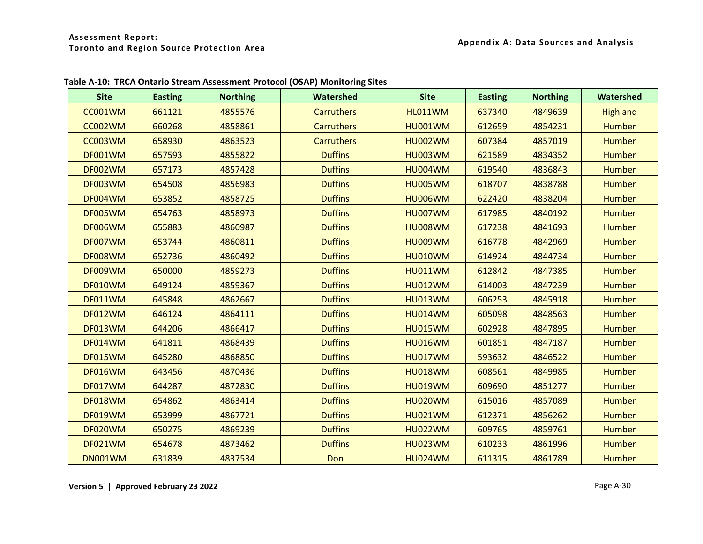<span id="page-31-0"></span>

| <b>Site</b>    | <b>Easting</b> | <b>Northing</b> | Watershed         | <b>Site</b>    | <b>Easting</b> | <b>Northing</b> | Watershed       |
|----------------|----------------|-----------------|-------------------|----------------|----------------|-----------------|-----------------|
| <b>CC001WM</b> | 661121         | 4855576         | <b>Carruthers</b> | <b>HL011WM</b> | 637340         | 4849639         | <b>Highland</b> |
| <b>CC002WM</b> | 660268         | 4858861         | <b>Carruthers</b> | <b>HU001WM</b> | 612659         | 4854231         | <b>Humber</b>   |
| <b>CC003WM</b> | 658930         | 4863523         | <b>Carruthers</b> | <b>HU002WM</b> | 607384         | 4857019         | <b>Humber</b>   |
| <b>DF001WM</b> | 657593         | 4855822         | <b>Duffins</b>    | <b>HU003WM</b> | 621589         | 4834352         | <b>Humber</b>   |
| DF002WM        | 657173         | 4857428         | <b>Duffins</b>    | <b>HU004WM</b> | 619540         | 4836843         | <b>Humber</b>   |
| DF003WM        | 654508         | 4856983         | <b>Duffins</b>    | <b>HU005WM</b> | 618707         | 4838788         | <b>Humber</b>   |
| <b>DF004WM</b> | 653852         | 4858725         | <b>Duffins</b>    | <b>HU006WM</b> | 622420         | 4838204         | <b>Humber</b>   |
| DF005WM        | 654763         | 4858973         | <b>Duffins</b>    | <b>HU007WM</b> | 617985         | 4840192         | <b>Humber</b>   |
| <b>DF006WM</b> | 655883         | 4860987         | <b>Duffins</b>    | <b>HU008WM</b> | 617238         | 4841693         | <b>Humber</b>   |
| DF007WM        | 653744         | 4860811         | <b>Duffins</b>    | <b>HU009WM</b> | 616778         | 4842969         | <b>Humber</b>   |
| <b>DF008WM</b> | 652736         | 4860492         | <b>Duffins</b>    | <b>HU010WM</b> | 614924         | 4844734         | <b>Humber</b>   |
| DF009WM        | 650000         | 4859273         | <b>Duffins</b>    | <b>HU011WM</b> | 612842         | 4847385         | <b>Humber</b>   |
| DF010WM        | 649124         | 4859367         | <b>Duffins</b>    | <b>HU012WM</b> | 614003         | 4847239         | Humber          |
| DF011WM        | 645848         | 4862667         | <b>Duffins</b>    | <b>HU013WM</b> | 606253         | 4845918         | <b>Humber</b>   |
| DF012WM        | 646124         | 4864111         | <b>Duffins</b>    | <b>HU014WM</b> | 605098         | 4848563         | <b>Humber</b>   |
| DF013WM        | 644206         | 4866417         | <b>Duffins</b>    | <b>HU015WM</b> | 602928         | 4847895         | <b>Humber</b>   |
| <b>DF014WM</b> | 641811         | 4868439         | <b>Duffins</b>    | <b>HU016WM</b> | 601851         | 4847187         | <b>Humber</b>   |
| <b>DF015WM</b> | 645280         | 4868850         | <b>Duffins</b>    | <b>HU017WM</b> | 593632         | 4846522         | <b>Humber</b>   |
| <b>DF016WM</b> | 643456         | 4870436         | <b>Duffins</b>    | <b>HU018WM</b> | 608561         | 4849985         | <b>Humber</b>   |
| DF017WM        | 644287         | 4872830         | <b>Duffins</b>    | <b>HU019WM</b> | 609690         | 4851277         | Humber          |
| <b>DF018WM</b> | 654862         | 4863414         | <b>Duffins</b>    | <b>HU020WM</b> | 615016         | 4857089         | <b>Humber</b>   |
| <b>DF019WM</b> | 653999         | 4867721         | <b>Duffins</b>    | <b>HU021WM</b> | 612371         | 4856262         | <b>Humber</b>   |
| DF020WM        | 650275         | 4869239         | <b>Duffins</b>    | <b>HU022WM</b> | 609765         | 4859761         | <b>Humber</b>   |
| <b>DF021WM</b> | 654678         | 4873462         | <b>Duffins</b>    | <b>HU023WM</b> | 610233         | 4861996         | <b>Humber</b>   |
| <b>DN001WM</b> | 631839         | 4837534         | Don               | <b>HU024WM</b> | 611315         | 4861789         | <b>Humber</b>   |

**Table A-10: TRCA Ontario Stream Assessment Protocol (OSAP) Monitoring Sites**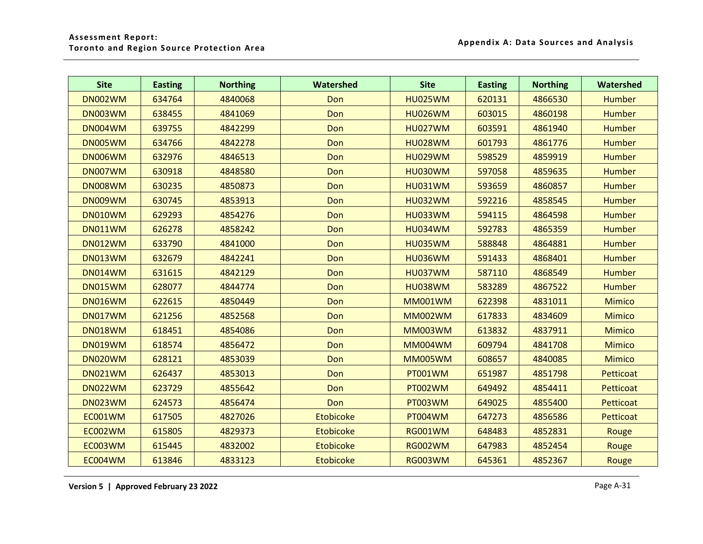| <b>Site</b>    | <b>Easting</b> | <b>Northing</b> | Watershed        | <b>Site</b>    | <b>Easting</b> | <b>Northing</b> | Watershed     |
|----------------|----------------|-----------------|------------------|----------------|----------------|-----------------|---------------|
| <b>DN002WM</b> | 634764         | 4840068         | Don              | <b>HU025WM</b> | 620131         | 4866530         | <b>Humber</b> |
| <b>DN003WM</b> | 638455         | 4841069         | Don              | <b>HU026WM</b> | 603015         | 4860198         | <b>Humber</b> |
| <b>DN004WM</b> | 639755         | 4842299         | Don              | <b>HU027WM</b> | 603591         | 4861940         | <b>Humber</b> |
| <b>DN005WM</b> | 634766         | 4842278         | Don              | <b>HU028WM</b> | 601793         | 4861776         | <b>Humber</b> |
| <b>DN006WM</b> | 632976         | 4846513         | Don              | <b>HU029WM</b> | 598529         | 4859919         | <b>Humber</b> |
| <b>DN007WM</b> | 630918         | 4848580         | Don              | <b>HU030WM</b> | 597058         | 4859635         | <b>Humber</b> |
| <b>DN008WM</b> | 630235         | 4850873         | Don              | <b>HU031WM</b> | 593659         | 4860857         | <b>Humber</b> |
| <b>DN009WM</b> | 630745         | 4853913         | Don              | <b>HU032WM</b> | 592216         | 4858545         | <b>Humber</b> |
| <b>DN010WM</b> | 629293         | 4854276         | Don              | <b>HU033WM</b> | 594115         | 4864598         | <b>Humber</b> |
| <b>DN011WM</b> | 626278         | 4858242         | Don              | <b>HU034WM</b> | 592783         | 4865359         | <b>Humber</b> |
| <b>DN012WM</b> | 633790         | 4841000         | Don              | <b>HU035WM</b> | 588848         | 4864881         | <b>Humber</b> |
| <b>DN013WM</b> | 632679         | 4842241         | Don              | <b>HU036WM</b> | 591433         | 4868401         | <b>Humber</b> |
| <b>DN014WM</b> | 631615         | 4842129         | Don              | <b>HU037WM</b> | 587110         | 4868549         | <b>Humber</b> |
| <b>DN015WM</b> | 628077         | 4844774         | Don              | <b>HU038WM</b> | 583289         | 4867522         | <b>Humber</b> |
| <b>DN016WM</b> | 622615         | 4850449         | Don              | <b>MM001WM</b> | 622398         | 4831011         | <b>Mimico</b> |
| <b>DN017WM</b> | 621256         | 4852568         | Don              | <b>MM002WM</b> | 617833         | 4834609         | <b>Mimico</b> |
| <b>DN018WM</b> | 618451         | 4854086         | Don              | <b>MM003WM</b> | 613832         | 4837911         | <b>Mimico</b> |
| <b>DN019WM</b> | 618574         | 4856472         | Don              | <b>MM004WM</b> | 609794         | 4841708         | <b>Mimico</b> |
| <b>DN020WM</b> | 628121         | 4853039         | Don              | <b>MM005WM</b> | 608657         | 4840085         | <b>Mimico</b> |
| <b>DN021WM</b> | 626437         | 4853013         | Don              | <b>PT001WM</b> | 651987         | 4851798         | Petticoat     |
| <b>DN022WM</b> | 623729         | 4855642         | Don              | PT002WM        | 649492         | 4854411         | Petticoat     |
| <b>DN023WM</b> | 624573         | 4856474         | Don              | <b>PT003WM</b> | 649025         | 4855400         | Petticoat     |
| <b>EC001WM</b> | 617505         | 4827026         | <b>Etobicoke</b> | PT004WM        | 647273         | 4856586         | Petticoat     |
| <b>EC002WM</b> | 615805         | 4829373         | <b>Etobicoke</b> | <b>RG001WM</b> | 648483         | 4852831         | Rouge         |
| EC003WM        | 615445         | 4832002         | <b>Etobicoke</b> | <b>RG002WM</b> | 647983         | 4852454         | Rouge         |
| <b>EC004WM</b> | 613846         | 4833123         | <b>Etobicoke</b> | <b>RG003WM</b> | 645361         | 4852367         | Rouge         |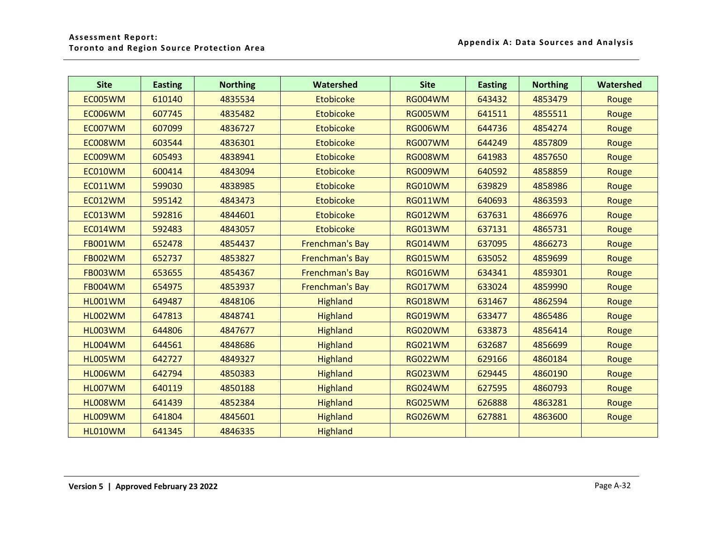| <b>Site</b>    | <b>Easting</b> | <b>Northing</b> | Watershed              | <b>Site</b>    | <b>Easting</b> | <b>Northing</b> | Watershed |
|----------------|----------------|-----------------|------------------------|----------------|----------------|-----------------|-----------|
| EC005WM        | 610140         | 4835534         | <b>Etobicoke</b>       | <b>RG004WM</b> | 643432         | 4853479         | Rouge     |
| <b>EC006WM</b> | 607745         | 4835482         | <b>Etobicoke</b>       | <b>RG005WM</b> | 641511         | 4855511         | Rouge     |
| <b>EC007WM</b> | 607099         | 4836727         | <b>Etobicoke</b>       | <b>RG006WM</b> | 644736         | 4854274         | Rouge     |
| <b>EC008WM</b> | 603544         | 4836301         | <b>Etobicoke</b>       | <b>RG007WM</b> | 644249         | 4857809         | Rouge     |
| EC009WM        | 605493         | 4838941         | <b>Etobicoke</b>       | <b>RG008WM</b> | 641983         | 4857650         | Rouge     |
| EC010WM        | 600414         | 4843094         | <b>Etobicoke</b>       | <b>RG009WM</b> | 640592         | 4858859         | Rouge     |
| EC011WM        | 599030         | 4838985         | <b>Etobicoke</b>       | <b>RG010WM</b> | 639829         | 4858986         | Rouge     |
| EC012WM        | 595142         | 4843473         | <b>Etobicoke</b>       | <b>RG011WM</b> | 640693         | 4863593         | Rouge     |
| EC013WM        | 592816         | 4844601         | <b>Etobicoke</b>       | <b>RG012WM</b> | 637631         | 4866976         | Rouge     |
| EC014WM        | 592483         | 4843057         | <b>Etobicoke</b>       | <b>RG013WM</b> | 637131         | 4865731         | Rouge     |
| <b>FB001WM</b> | 652478         | 4854437         | <b>Frenchman's Bay</b> | <b>RG014WM</b> | 637095         | 4866273         | Rouge     |
| <b>FB002WM</b> | 652737         | 4853827         | <b>Frenchman's Bay</b> | <b>RG015WM</b> | 635052         | 4859699         | Rouge     |
| <b>FB003WM</b> | 653655         | 4854367         | Frenchman's Bay        | <b>RG016WM</b> | 634341         | 4859301         | Rouge     |
| <b>FB004WM</b> | 654975         | 4853937         | <b>Frenchman's Bay</b> | <b>RG017WM</b> | 633024         | 4859990         | Rouge     |
| <b>HL001WM</b> | 649487         | 4848106         | <b>Highland</b>        | <b>RG018WM</b> | 631467         | 4862594         | Rouge     |
| <b>HL002WM</b> | 647813         | 4848741         | <b>Highland</b>        | <b>RG019WM</b> | 633477         | 4865486         | Rouge     |
| <b>HL003WM</b> | 644806         | 4847677         | <b>Highland</b>        | <b>RG020WM</b> | 633873         | 4856414         | Rouge     |
| <b>HL004WM</b> | 644561         | 4848686         | <b>Highland</b>        | <b>RG021WM</b> | 632687         | 4856699         | Rouge     |
| <b>HL005WM</b> | 642727         | 4849327         | <b>Highland</b>        | <b>RG022WM</b> | 629166         | 4860184         | Rouge     |
| <b>HL006WM</b> | 642794         | 4850383         | <b>Highland</b>        | <b>RG023WM</b> | 629445         | 4860190         | Rouge     |
| <b>HL007WM</b> | 640119         | 4850188         | <b>Highland</b>        | <b>RG024WM</b> | 627595         | 4860793         | Rouge     |
| <b>HL008WM</b> | 641439         | 4852384         | <b>Highland</b>        | <b>RG025WM</b> | 626888         | 4863281         | Rouge     |
| <b>HL009WM</b> | 641804         | 4845601         | <b>Highland</b>        | <b>RG026WM</b> | 627881         | 4863600         | Rouge     |
| HL010WM        | 641345         | 4846335         | <b>Highland</b>        |                |                |                 |           |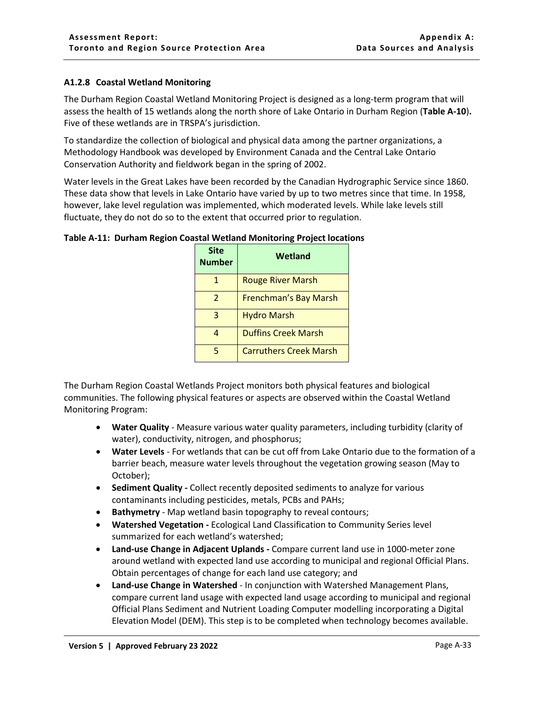## <span id="page-34-0"></span>**A1.2.8 Coastal Wetland Monitoring**

The Durham Region Coastal Wetland Monitoring Project is designed as a long-term program that will assess the health of 15 wetlands along the north shore of Lake Ontario in Durham Region (**[Table A-10](#page-34-1)**)**.** Five of these wetlands are in TRSPA's jurisdiction.

To standardize the collection of biological and physical data among the partner organizations, a Methodology Handbook was developed by Environment Canada and the Central Lake Ontario Conservation Authority and fieldwork began in the spring of 2002.

Water levels in the Great Lakes have been recorded by the Canadian Hydrographic Service since 1860. These data show that levels in Lake Ontario have varied by up to two metres since that time. In 1958, however, lake level regulation was implemented, which moderated levels. While lake levels still fluctuate, they do not do so to the extent that occurred prior to regulation.

| <b>Site</b><br><b>Number</b> | Wetland                       |  |  |
|------------------------------|-------------------------------|--|--|
|                              | <b>Rouge River Marsh</b>      |  |  |
| $\mathcal{P}$                | <b>Frenchman's Bay Marsh</b>  |  |  |
| 3                            | <b>Hydro Marsh</b>            |  |  |
| Λ                            | <b>Duffins Creek Marsh</b>    |  |  |
| 5                            | <b>Carruthers Creek Marsh</b> |  |  |

#### <span id="page-34-1"></span>**Table A-11: Durham Region Coastal Wetland Monitoring Project locations**

The Durham Region Coastal Wetlands Project monitors both physical features and biological communities. The following physical features or aspects are observed within the Coastal Wetland Monitoring Program:

- **Water Quality** Measure various water quality parameters, including turbidity (clarity of water), conductivity, nitrogen, and phosphorus;
- **Water Levels** For wetlands that can be cut off from Lake Ontario due to the formation of a barrier beach, measure water levels throughout the vegetation growing season (May to October);
- **Sediment Quality -** Collect recently deposited sediments to analyze for various contaminants including pesticides, metals, PCBs and PAHs;
- **Bathymetry** Map wetland basin topography to reveal contours;
- **Watershed Vegetation -** Ecological Land Classification to Community Series level summarized for each wetland's watershed;
- **Land-use Change in Adjacent Uplands -** Compare current land use in 1000-meter zone around wetland with expected land use according to municipal and regional Official Plans. Obtain percentages of change for each land use category; and
- **Land-use Change in Watershed** In conjunction with Watershed Management Plans, compare current land usage with expected land usage according to municipal and regional Official Plans Sediment and Nutrient Loading Computer modelling incorporating a Digital Elevation Model (DEM). This step is to be completed when technology becomes available.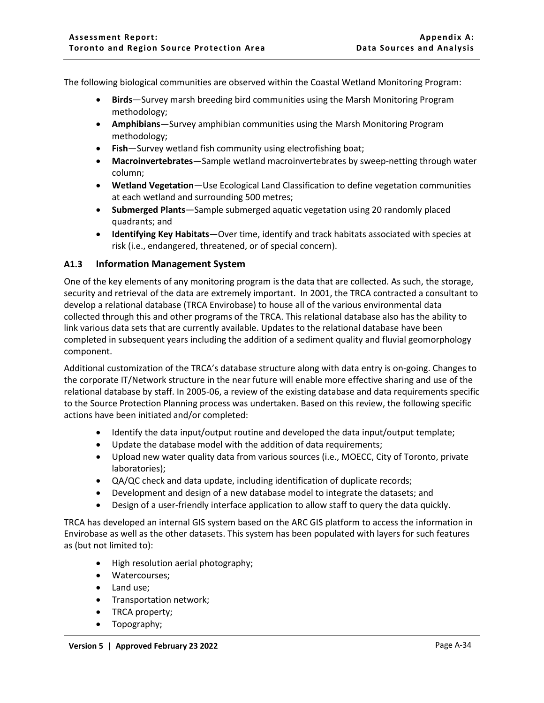The following biological communities are observed within the Coastal Wetland Monitoring Program:

- **Birds**—Survey marsh breeding bird communities using the Marsh Monitoring Program methodology;
- **Amphibians**—Survey amphibian communities using the Marsh Monitoring Program methodology;
- **Fish**—Survey wetland fish community using electrofishing boat;
- **Macroinvertebrates**—Sample wetland macroinvertebrates by sweep-netting through water column;
- **Wetland Vegetation**—Use Ecological Land Classification to define vegetation communities at each wetland and surrounding 500 metres;
- **Submerged Plants**—Sample submerged aquatic vegetation using 20 randomly placed quadrants; and
- **Identifying Key Habitats**—Over time, identify and track habitats associated with species at risk (i.e., endangered, threatened, or of special concern).

#### <span id="page-35-0"></span>**A1.3 Information Management System**

One of the key elements of any monitoring program is the data that are collected. As such, the storage, security and retrieval of the data are extremely important. In 2001, the TRCA contracted a consultant to develop a relational database (TRCA Envirobase) to house all of the various environmental data collected through this and other programs of the TRCA. This relational database also has the ability to link various data sets that are currently available. Updates to the relational database have been completed in subsequent years including the addition of a sediment quality and fluvial geomorphology component.

Additional customization of the TRCA's database structure along with data entry is on-going. Changes to the corporate IT/Network structure in the near future will enable more effective sharing and use of the relational database by staff. In 2005-06, a review of the existing database and data requirements specific to the Source Protection Planning process was undertaken. Based on this review, the following specific actions have been initiated and/or completed:

- Identify the data input/output routine and developed the data input/output template;
- Update the database model with the addition of data requirements;
- Upload new water quality data from various sources (i.e., MOECC, City of Toronto, private laboratories);
- QA/QC check and data update, including identification of duplicate records;
- Development and design of a new database model to integrate the datasets; and
- Design of a user-friendly interface application to allow staff to query the data quickly.

TRCA has developed an internal GIS system based on the ARC GIS platform to access the information in Envirobase as well as the other datasets. This system has been populated with layers for such features as (but not limited to):

- High resolution aerial photography;
- Watercourses;
- Land use;
- Transportation network;
- TRCA property;
- Topography;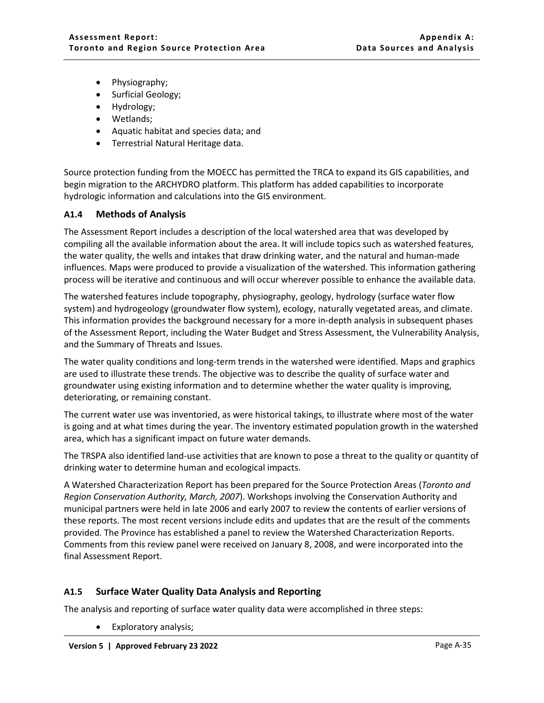- Physiography;
- Surficial Geology;
- Hydrology;
- Wetlands;
- Aquatic habitat and species data; and
- Terrestrial Natural Heritage data.

Source protection funding from the MOECC has permitted the TRCA to expand its GIS capabilities, and begin migration to the ARCHYDRO platform. This platform has added capabilities to incorporate hydrologic information and calculations into the GIS environment.

#### <span id="page-36-0"></span>**A1.4 Methods of Analysis**

The Assessment Report includes a description of the local watershed area that was developed by compiling all the available information about the area. It will include topics such as watershed features, the water quality, the wells and intakes that draw drinking water, and the natural and human-made influences. Maps were produced to provide a visualization of the watershed. This information gathering process will be iterative and continuous and will occur wherever possible to enhance the available data.

The watershed features include topography, physiography, geology, hydrology (surface water flow system) and hydrogeology (groundwater flow system), ecology, naturally vegetated areas, and climate. This information provides the background necessary for a more in-depth analysis in subsequent phases of the Assessment Report, including the Water Budget and Stress Assessment, the Vulnerability Analysis, and the Summary of Threats and Issues.

The water quality conditions and long-term trends in the watershed were identified. Maps and graphics are used to illustrate these trends. The objective was to describe the quality of surface water and groundwater using existing information and to determine whether the water quality is improving, deteriorating, or remaining constant.

The current water use was inventoried, as were historical takings, to illustrate where most of the water is going and at what times during the year. The inventory estimated population growth in the watershed area, which has a significant impact on future water demands.

The TRSPA also identified land-use activities that are known to pose a threat to the quality or quantity of drinking water to determine human and ecological impacts.

A Watershed Characterization Report has been prepared for the Source Protection Areas (*Toronto and Region Conservation Authority, March, 2007*). Workshops involving the Conservation Authority and municipal partners were held in late 2006 and early 2007 to review the contents of earlier versions of these reports. The most recent versions include edits and updates that are the result of the comments provided. The Province has established a panel to review the Watershed Characterization Reports. Comments from this review panel were received on January 8, 2008, and were incorporated into the final Assessment Report.

#### <span id="page-36-1"></span>**A1.5 Surface Water Quality Data Analysis and Reporting**

The analysis and reporting of surface water quality data were accomplished in three steps:

• Exploratory analysis;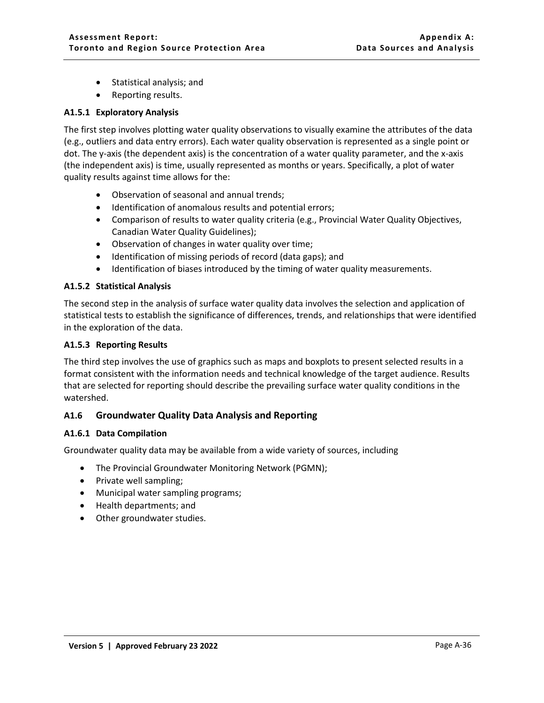- Statistical analysis; and
- Reporting results.

#### <span id="page-37-0"></span>**A1.5.1 Exploratory Analysis**

The first step involves plotting water quality observations to visually examine the attributes of the data (e.g., outliers and data entry errors). Each water quality observation is represented as a single point or dot. The y-axis (the dependent axis) is the concentration of a water quality parameter, and the x-axis (the independent axis) is time, usually represented as months or years. Specifically, a plot of water quality results against time allows for the:

- Observation of seasonal and annual trends;
- Identification of anomalous results and potential errors;
- Comparison of results to water quality criteria (e.g., Provincial Water Quality Objectives, Canadian Water Quality Guidelines);
- Observation of changes in water quality over time;
- Identification of missing periods of record (data gaps); and
- Identification of biases introduced by the timing of water quality measurements.

#### <span id="page-37-1"></span>**A1.5.2 Statistical Analysis**

The second step in the analysis of surface water quality data involves the selection and application of statistical tests to establish the significance of differences, trends, and relationships that were identified in the exploration of the data.

#### <span id="page-37-2"></span>**A1.5.3 Reporting Results**

The third step involves the use of graphics such as maps and boxplots to present selected results in a format consistent with the information needs and technical knowledge of the target audience. Results that are selected for reporting should describe the prevailing surface water quality conditions in the watershed.

#### <span id="page-37-3"></span>**A1.6 Groundwater Quality Data Analysis and Reporting**

#### <span id="page-37-4"></span>**A1.6.1 Data Compilation**

Groundwater quality data may be available from a wide variety of sources, including

- The Provincial Groundwater Monitoring Network (PGMN);
- Private well sampling;
- Municipal water sampling programs;
- Health departments; and
- Other groundwater studies.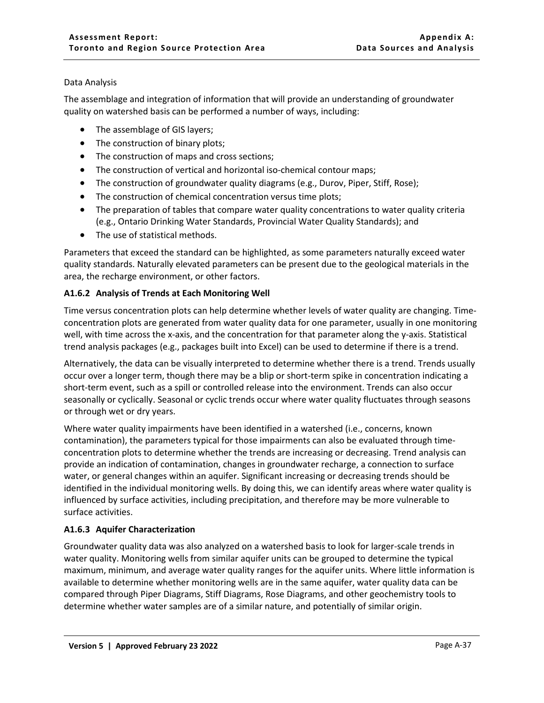# Data Analysis

The assemblage and integration of information that will provide an understanding of groundwater quality on watershed basis can be performed a number of ways, including:

- The assemblage of GIS layers;
- The construction of binary plots;
- The construction of maps and cross sections;
- The construction of vertical and horizontal iso-chemical contour maps;
- The construction of groundwater quality diagrams (e.g., Durov, Piper, Stiff, Rose);
- The construction of chemical concentration versus time plots;
- The preparation of tables that compare water quality concentrations to water quality criteria (e.g., Ontario Drinking Water Standards, Provincial Water Quality Standards); and
- The use of statistical methods.

Parameters that exceed the standard can be highlighted, as some parameters naturally exceed water quality standards. Naturally elevated parameters can be present due to the geological materials in the area, the recharge environment, or other factors.

# <span id="page-38-0"></span>**A1.6.2 Analysis of Trends at Each Monitoring Well**

Time versus concentration plots can help determine whether levels of water quality are changing. Timeconcentration plots are generated from water quality data for one parameter, usually in one monitoring well, with time across the x-axis, and the concentration for that parameter along the y-axis. Statistical trend analysis packages (e.g., packages built into Excel) can be used to determine if there is a trend.

Alternatively, the data can be visually interpreted to determine whether there is a trend. Trends usually occur over a longer term, though there may be a blip or short-term spike in concentration indicating a short-term event, such as a spill or controlled release into the environment. Trends can also occur seasonally or cyclically. Seasonal or cyclic trends occur where water quality fluctuates through seasons or through wet or dry years.

Where water quality impairments have been identified in a watershed (i.e., concerns, known contamination), the parameters typical for those impairments can also be evaluated through timeconcentration plots to determine whether the trends are increasing or decreasing. Trend analysis can provide an indication of contamination, changes in groundwater recharge, a connection to surface water, or general changes within an aquifer. Significant increasing or decreasing trends should be identified in the individual monitoring wells. By doing this, we can identify areas where water quality is influenced by surface activities, including precipitation, and therefore may be more vulnerable to surface activities.

#### <span id="page-38-1"></span>**A1.6.3 Aquifer Characterization**

Groundwater quality data was also analyzed on a watershed basis to look for larger-scale trends in water quality. Monitoring wells from similar aquifer units can be grouped to determine the typical maximum, minimum, and average water quality ranges for the aquifer units. Where little information is available to determine whether monitoring wells are in the same aquifer, water quality data can be compared through Piper Diagrams, Stiff Diagrams, Rose Diagrams, and other geochemistry tools to determine whether water samples are of a similar nature, and potentially of similar origin.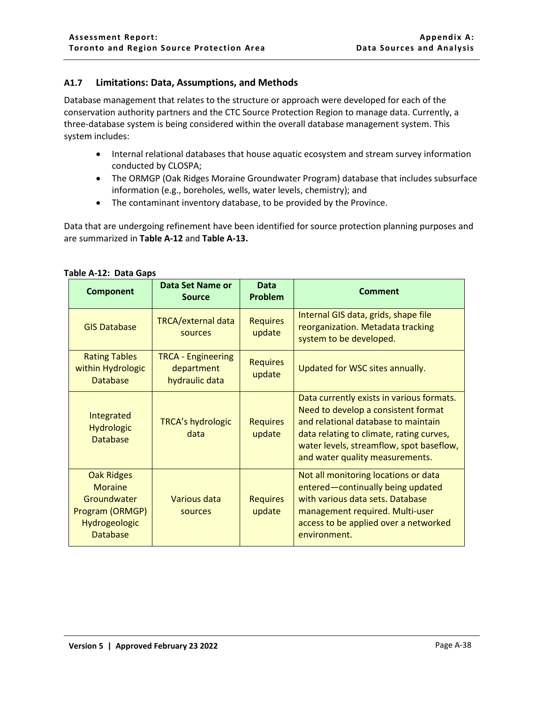# <span id="page-39-0"></span>**A1.7 Limitations: Data, Assumptions, and Methods**

Database management that relates to the structure or approach were developed for each of the conservation authority partners and the CTC Source Protection Region to manage data. Currently, a three-database system is being considered within the overall database management system. This system includes:

- Internal relational databases that house aquatic ecosystem and stream survey information conducted by CLOSPA;
- The ORMGP (Oak Ridges Moraine Groundwater Program) database that includes subsurface information (e.g., boreholes, wells, water levels, chemistry); and
- The contaminant inventory database, to be provided by the Province.

Data that are undergoing refinement have been identified for source protection planning purposes and are summarized in **Table A-12** and **[Table A-13.](#page-40-1)**

| <b>Component</b>                                                                                          | <b>Data Set Name or</b><br><b>Source</b>                  | Data<br>Problem           | <b>Comment</b>                                                                                                                                                                                                                                     |  |  |
|-----------------------------------------------------------------------------------------------------------|-----------------------------------------------------------|---------------------------|----------------------------------------------------------------------------------------------------------------------------------------------------------------------------------------------------------------------------------------------------|--|--|
| TRCA/external data<br><b>GIS Database</b><br>sources                                                      |                                                           | <b>Requires</b><br>update | Internal GIS data, grids, shape file<br>reorganization. Metadata tracking<br>system to be developed.                                                                                                                                               |  |  |
| <b>Rating Tables</b><br>within Hydrologic<br><b>Database</b>                                              | <b>TRCA - Engineering</b><br>department<br>hydraulic data | <b>Requires</b><br>update | Updated for WSC sites annually.                                                                                                                                                                                                                    |  |  |
| Integrated<br><b>Hydrologic</b><br><b>Database</b>                                                        | <b>TRCA's hydrologic</b><br>data                          | <b>Requires</b><br>update | Data currently exists in various formats.<br>Need to develop a consistent format<br>and relational database to maintain<br>data relating to climate, rating curves,<br>water levels, streamflow, spot baseflow,<br>and water quality measurements. |  |  |
| <b>Oak Ridges</b><br><b>Moraine</b><br>Groundwater<br>Program (ORMGP)<br>Hydrogeologic<br><b>Database</b> | Various data<br>sources                                   | <b>Requires</b><br>update | Not all monitoring locations or data<br>entered-continually being updated<br>with various data sets. Database<br>management required. Multi-user<br>access to be applied over a networked<br>environment.                                          |  |  |

#### <span id="page-39-1"></span>**Table A-12: Data Gaps**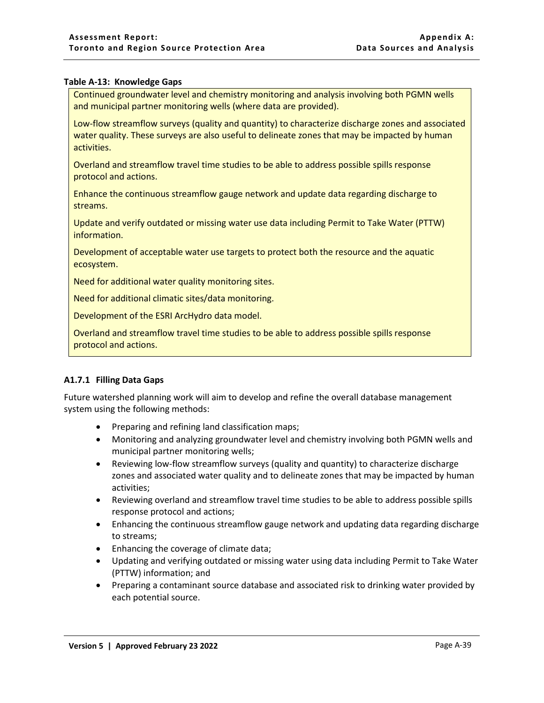#### <span id="page-40-1"></span>**Table A-13: Knowledge Gaps**

Continued groundwater level and chemistry monitoring and analysis involving both PGMN wells and municipal partner monitoring wells (where data are provided).

Low-flow streamflow surveys (quality and quantity) to characterize discharge zones and associated water quality. These surveys are also useful to delineate zones that may be impacted by human activities.

Overland and streamflow travel time studies to be able to address possible spills response protocol and actions.

Enhance the continuous streamflow gauge network and update data regarding discharge to streams.

Update and verify outdated or missing water use data including Permit to Take Water (PTTW) information.

Development of acceptable water use targets to protect both the resource and the aquatic ecosystem.

Need for additional water quality monitoring sites.

Need for additional climatic sites/data monitoring.

Development of the ESRI ArcHydro data model.

Overland and streamflow travel time studies to be able to address possible spills response protocol and actions.

#### <span id="page-40-0"></span>**A1.7.1 Filling Data Gaps**

Future watershed planning work will aim to develop and refine the overall database management system using the following methods:

- Preparing and refining land classification maps;
- Monitoring and analyzing groundwater level and chemistry involving both PGMN wells and municipal partner monitoring wells;
- Reviewing low-flow streamflow surveys (quality and quantity) to characterize discharge zones and associated water quality and to delineate zones that may be impacted by human activities;
- Reviewing overland and streamflow travel time studies to be able to address possible spills response protocol and actions;
- Enhancing the continuous streamflow gauge network and updating data regarding discharge to streams;
- Enhancing the coverage of climate data;
- Updating and verifying outdated or missing water using data including Permit to Take Water (PTTW) information; and
- Preparing a contaminant source database and associated risk to drinking water provided by each potential source.